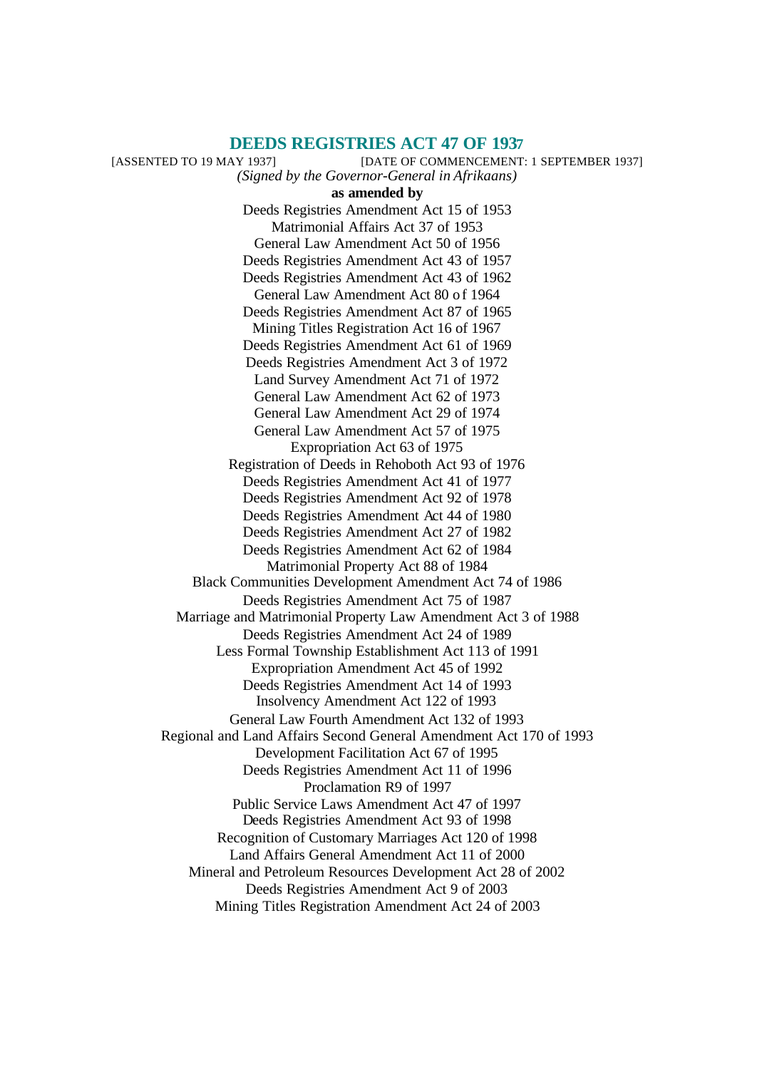#### **DEEDS REGISTRIES ACT 47 OF 1937**

[ASSENTED TO 19 MAY 1937] [DATE OF COMMENCEMENT: 1 SEPTEMBER 1937] *(Signed by the Governor-General in Afrikaans)* **as amended by** Deeds Registries Amendment Act 15 of 1953 Matrimonial Affairs Act 37 of 1953 General Law Amendment Act 50 of 1956 Deeds Registries Amendment Act 43 of 1957 Deeds Registries Amendment Act 43 of 1962 General Law Amendment Act 80 of 1964 Deeds Registries Amendment Act 87 of 1965 Mining Titles Registration Act 16 of 1967 Deeds Registries Amendment Act 61 of 1969 Deeds Registries Amendment Act 3 of 1972 Land Survey Amendment Act 71 of 1972 General Law Amendment Act 62 of 1973 General Law Amendment Act 29 of 1974 General Law Amendment Act 57 of 1975 Expropriation Act 63 of 1975 Registration of Deeds in Rehoboth Act 93 of 1976 Deeds Registries Amendment Act 41 of 1977 Deeds Registries Amendment Act 92 of 1978 Deeds Registries Amendment Act 44 of 1980 Deeds Registries Amendment Act 27 of 1982 Deeds Registries Amendment Act 62 of 1984 Matrimonial Property Act 88 of 1984 Black Communities Development Amendment Act 74 of 1986 Deeds Registries Amendment Act 75 of 1987 Marriage and Matrimonial Property Law Amendment Act 3 of 1988 Deeds Registries Amendment Act 24 of 1989 Less Formal Township Establishment Act 113 of 1991 Expropriation Amendment Act 45 of 1992 Deeds Registries Amendment Act 14 of 1993 Insolvency Amendment Act 122 of 1993 General Law Fourth Amendment Act 132 of 1993 Regional and Land Affairs Second General Amendment Act 170 of 1993 Development Facilitation Act 67 of 1995 Deeds Registries Amendment Act 11 of 1996 Proclamation R9 of 1997 Public Service Laws Amendment Act 47 of 1997 Deeds Registries Amendment Act 93 of 1998 Recognition of Customary Marriages Act 120 of 1998 Land Affairs General Amendment Act 11 of 2000 Mineral and Petroleum Resources Development Act 28 of 2002 Deeds Registries Amendment Act 9 of 2003 Mining Titles Registration Amendment Act 24 of 2003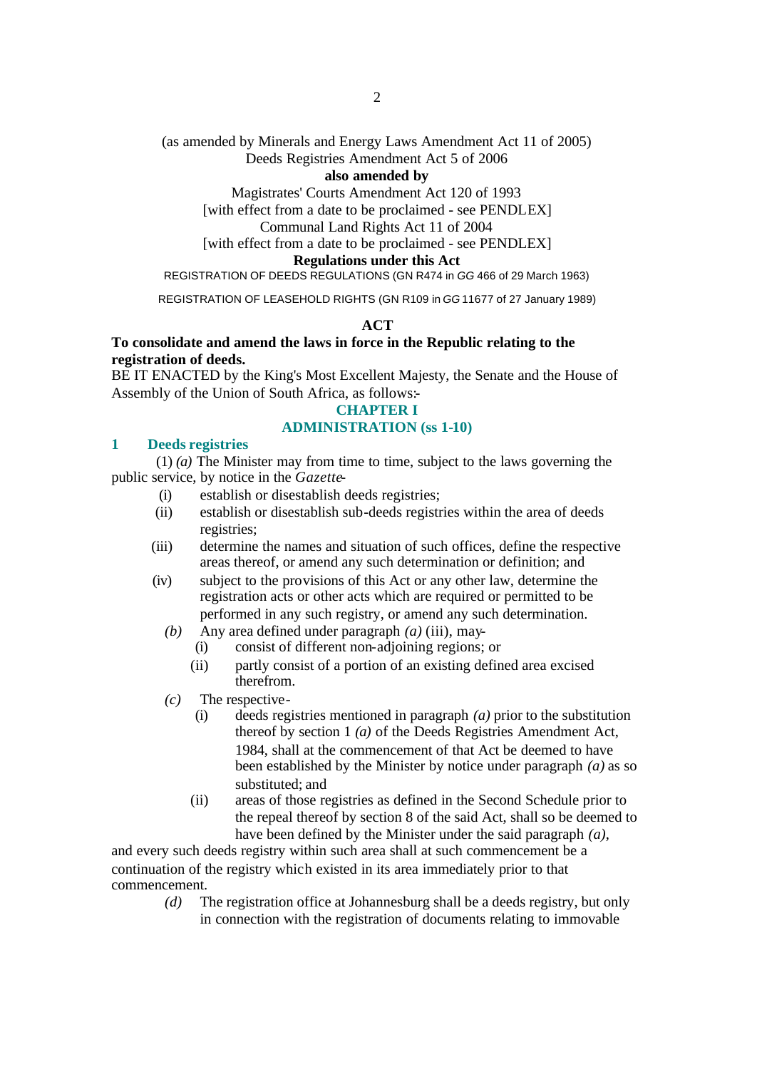# (as amended by Minerals and Energy Laws Amendment Act 11 of 2005)

# Deeds Registries Amendment Act 5 of 2006

# **also amended by**

Magistrates' Courts Amendment Act 120 of 1993

[with effect from a date to be proclaimed - see PENDLEX]

# Communal Land Rights Act 11 of 2004

[with effect from a date to be proclaimed - see PENDLEX]

# **Regulations under this Act**

# REGISTRATION OF DEEDS REGULATIONS (GN R474 in *GG* 466 of 29 March 1963)

REGISTRATION OF LEASEHOLD RIGHTS (GN R109 in *GG* 11677 of 27 January 1989)

# **ACT**

# **To consolidate and amend the laws in force in the Republic relating to the registration of deeds.**

BE IT ENACTED by the King's Most Excellent Majesty, the Senate and the House of Assembly of the Union of South Africa, as follows:-

# **CHAPTER I**

# **ADMINISTRATION (ss 1-10)**

# **1 Deeds registries**

(1) *(a)* The Minister may from time to time, subject to the laws governing the public service, by notice in the *Gazette*-

- (i) establish or disestablish deeds registries;
- (ii) establish or disestablish sub-deeds registries within the area of deeds registries;
- (iii) determine the names and situation of such offices, define the respective areas thereof, or amend any such determination or definition; and
- (iv) subject to the provisions of this Act or any other law, determine the registration acts or other acts which are required or permitted to be performed in any such registry, or amend any such determination.
	- *(b)* Any area defined under paragraph *(a)* (iii), may-
		- (i) consist of different non-adjoining regions; or
		- (ii) partly consist of a portion of an existing defined area excised therefrom.
	- *(c)* The respective-
		- (i) deeds registries mentioned in paragraph *(a)* prior to the substitution thereof by section 1 *(a)* of the Deeds Registries Amendment Act, 1984, shall at the commencement of that Act be deemed to have been established by the Minister by notice under paragraph *(a)* as so substituted; and
		- (ii) areas of those registries as defined in the Second Schedule prior to the repeal thereof by section 8 of the said Act, shall so be deemed to have been defined by the Minister under the said paragraph *(a)*,

and every such deeds registry within such area shall at such commencement be a continuation of the registry which existed in its area immediately prior to that commencement.

> *(d)* The registration office at Johannesburg shall be a deeds registry, but only in connection with the registration of documents relating to immovable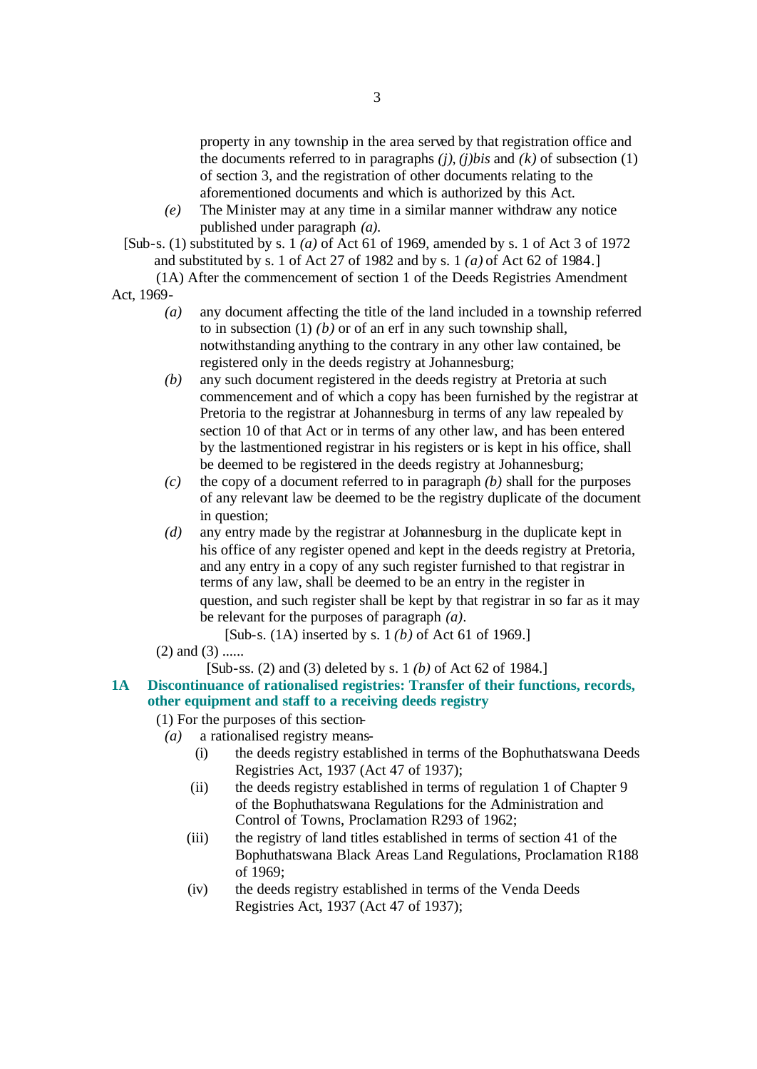property in any township in the area served by that registration office and the documents referred to in paragraphs *(j)*, *(j)bis* and *(k)* of subsection (1) of section 3, and the registration of other documents relating to the aforementioned documents and which is authorized by this Act.

*(e)* The Minister may at any time in a similar manner withdraw any notice published under paragraph *(a)*.

[Sub-s. (1) substituted by s. 1 *(a)* of Act 61 of 1969, amended by s. 1 of Act 3 of 1972 and substituted by s. 1 of Act 27 of 1982 and by s. 1 *(a)* of Act 62 of 1984.]

(1A) After the commencement of section 1 of the Deeds Registries Amendment Act, 1969-

- *(a)* any document affecting the title of the land included in a township referred to in subsection (1) *(b)* or of an erf in any such township shall, notwithstanding anything to the contrary in any other law contained, be registered only in the deeds registry at Johannesburg;
- *(b)* any such document registered in the deeds registry at Pretoria at such commencement and of which a copy has been furnished by the registrar at Pretoria to the registrar at Johannesburg in terms of any law repealed by section 10 of that Act or in terms of any other law, and has been entered by the lastmentioned registrar in his registers or is kept in his office, shall be deemed to be registered in the deeds registry at Johannesburg;
- *(c)* the copy of a document referred to in paragraph *(b)* shall for the purposes of any relevant law be deemed to be the registry duplicate of the document in question;
- *(d)* any entry made by the registrar at Johannesburg in the duplicate kept in his office of any register opened and kept in the deeds registry at Pretoria, and any entry in a copy of any such register furnished to that registrar in terms of any law, shall be deemed to be an entry in the register in question, and such register shall be kept by that registrar in so far as it may be relevant for the purposes of paragraph *(a)*.

[Sub-s. (1A) inserted by s. 1 *(b)* of Act 61 of 1969.]

- $(2)$  and  $(3)$  ......
	- [Sub-ss. (2) and (3) deleted by s. 1 *(b)* of Act 62 of 1984.]
- **1A Discontinuance of rationalised registries: Transfer of their functions, records, other equipment and staff to a receiving deeds registry**
	- (1) For the purposes of this section-
		- *(a)* a rationalised registry means-
			- (i) the deeds registry established in terms of the Bophuthatswana Deeds Registries Act, 1937 (Act 47 of 1937);
			- (ii) the deeds registry established in terms of regulation 1 of Chapter 9 of the Bophuthatswana Regulations for the Administration and Control of Towns, Proclamation R293 of 1962;
			- (iii) the registry of land titles established in terms of section 41 of the Bophuthatswana Black Areas Land Regulations, Proclamation R188 of 1969;
			- (iv) the deeds registry established in terms of the Venda Deeds Registries Act, 1937 (Act 47 of 1937);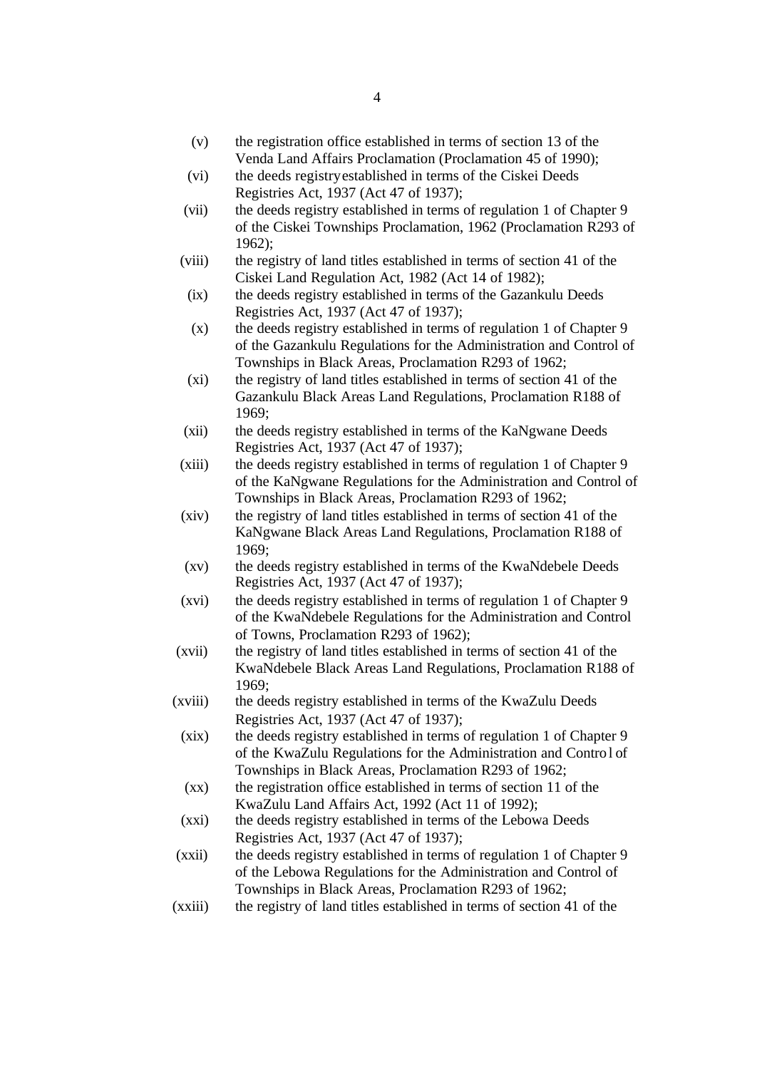- (v) the registration office established in terms of section 13 of the Venda Land Affairs Proclamation (Proclamation 45 of 1990);
- (vi) the deeds registry established in terms of the Ciskei Deeds Registries Act, 1937 (Act 47 of 1937);
- (vii) the deeds registry established in terms of regulation 1 of Chapter 9 of the Ciskei Townships Proclamation, 1962 (Proclamation R293 of 1962);
- (viii) the registry of land titles established in terms of section 41 of the Ciskei Land Regulation Act, 1982 (Act 14 of 1982);
	- (ix) the deeds registry established in terms of the Gazankulu Deeds Registries Act, 1937 (Act 47 of 1937);
	- (x) the deeds registry established in terms of regulation 1 of Chapter 9 of the Gazankulu Regulations for the Administration and Control of Townships in Black Areas, Proclamation R293 of 1962;
	- (xi) the registry of land titles established in terms of section 41 of the Gazankulu Black Areas Land Regulations, Proclamation R188 of 1969;
- (xii) the deeds registry established in terms of the KaNgwane Deeds Registries Act, 1937 (Act 47 of 1937);
- (xiii) the deeds registry established in terms of regulation 1 of Chapter 9 of the KaNgwane Regulations for the Administration and Control of Townships in Black Areas, Proclamation R293 of 1962;
- (xiv) the registry of land titles established in terms of section 41 of the KaNgwane Black Areas Land Regulations, Proclamation R188 of 1969;
- (xv) the deeds registry established in terms of the KwaNdebele Deeds Registries Act, 1937 (Act 47 of 1937);
- (xvi) the deeds registry established in terms of regulation 1 of Chapter 9 of the KwaNdebele Regulations for the Administration and Control of Towns, Proclamation R293 of 1962);
- (xvii) the registry of land titles established in terms of section 41 of the KwaNdebele Black Areas Land Regulations, Proclamation R188 of 1969;
- (xviii) the deeds registry established in terms of the KwaZulu Deeds Registries Act, 1937 (Act 47 of 1937);
	- (xix) the deeds registry established in terms of regulation 1 of Chapter 9 of the KwaZulu Regulations for the Administration and Control of Townships in Black Areas, Proclamation R293 of 1962;
	- (xx) the registration office established in terms of section 11 of the KwaZulu Land Affairs Act, 1992 (Act 11 of 1992);
	- (xxi) the deeds registry established in terms of the Lebowa Deeds Registries Act, 1937 (Act 47 of 1937);
- (xxii) the deeds registry established in terms of regulation 1 of Chapter 9 of the Lebowa Regulations for the Administration and Control of Townships in Black Areas, Proclamation R293 of 1962;
- (xxiii) the registry of land titles established in terms of section 41 of the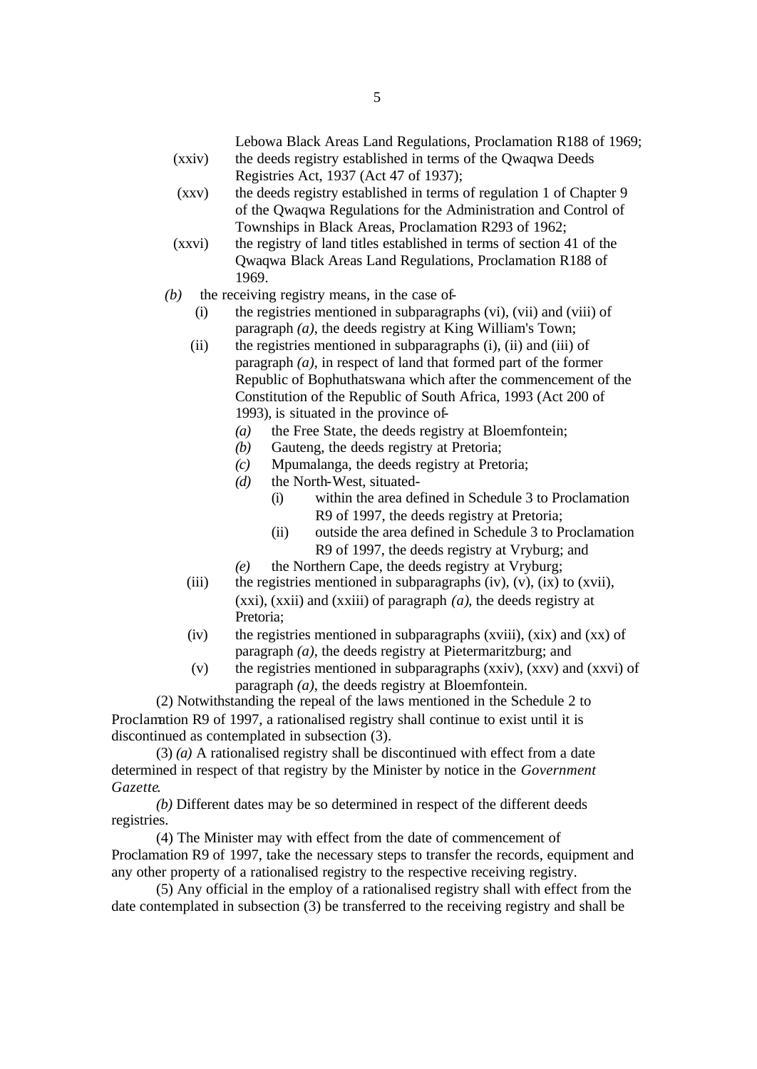Lebowa Black Areas Land Regulations, Proclamation R188 of 1969; (xxiv) the deeds registry established in terms of the Qwaqwa Deeds

- Registries Act, 1937 (Act 47 of 1937);
- (xxv) the deeds registry established in terms of regulation 1 of Chapter 9 of the Qwaqwa Regulations for the Administration and Control of Townships in Black Areas, Proclamation R293 of 1962;
- (xxvi) the registry of land titles established in terms of section 41 of the Qwaqwa Black Areas Land Regulations, Proclamation R188 of 1969.
- *(b)* the receiving registry means, in the case of-
	- (i) the registries mentioned in subparagraphs (vi), (vii) and (viii) of paragraph *(a)*, the deeds registry at King William's Town;
	- (ii) the registries mentioned in subparagraphs (i), (ii) and (iii) of paragraph *(a)*, in respect of land that formed part of the former Republic of Bophuthatswana which after the commencement of the Constitution of the Republic of South Africa, 1993 (Act 200 of 1993), is situated in the province of-
		- *(a)* the Free State, the deeds registry at Bloemfontein;
		- *(b)* Gauteng, the deeds registry at Pretoria;
		- *(c)* Mpumalanga, the deeds registry at Pretoria;
		- *(d)* the North-West, situated-
			- (i) within the area defined in Schedule 3 to Proclamation R9 of 1997, the deeds registry at Pretoria;
			- (ii) outside the area defined in Schedule 3 to Proclamation R9 of 1997, the deeds registry at Vryburg; and
		- *(e)* the Northern Cape, the deeds registry at Vryburg;
	- (iii) the registries mentioned in subparagraphs (iv), (v), (ix) to (xvii), (xxi), (xxii) and (xxiii) of paragraph *(a)*, the deeds registry at Pretoria;
	- (iv) the registries mentioned in subparagraphs (xviii), (xix) and (xx) of paragraph *(a)*, the deeds registry at Pietermaritzburg; and
	- (v) the registries mentioned in subparagraphs (xxiv), (xxv) and (xxvi) of paragraph *(a)*, the deeds registry at Bloemfontein.

(2) Notwithstanding the repeal of the laws mentioned in the Schedule 2 to Proclamation R9 of 1997, a rationalised registry shall continue to exist until it is discontinued as contemplated in subsection (3).

(3) *(a)* A rationalised registry shall be discontinued with effect from a date determined in respect of that registry by the Minister by notice in the *Government Gazette*.

*(b)* Different dates may be so determined in respect of the different deeds registries.

(4) The Minister may with effect from the date of commencement of Proclamation R9 of 1997, take the necessary steps to transfer the records, equipment and any other property of a rationalised registry to the respective receiving registry.

(5) Any official in the employ of a rationalised registry shall with effect from the date contemplated in subsection (3) be transferred to the receiving registry and shall be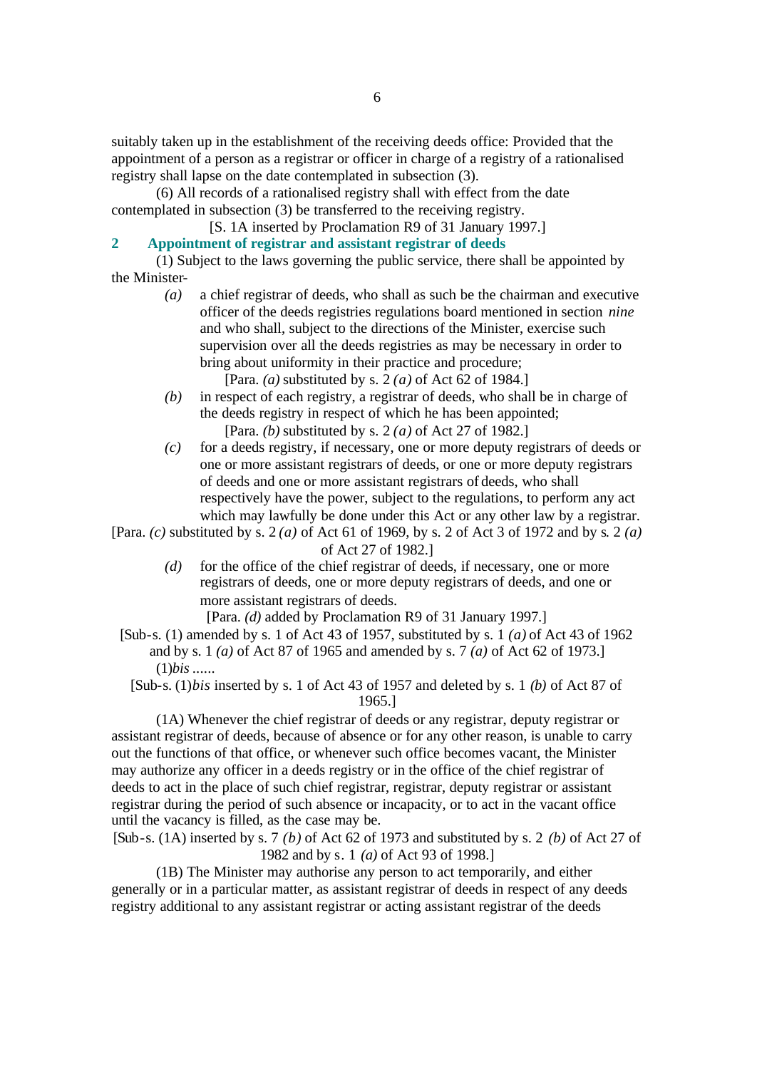suitably taken up in the establishment of the receiving deeds office: Provided that the appointment of a person as a registrar or officer in charge of a registry of a rationalised registry shall lapse on the date contemplated in subsection (3).

(6) All records of a rationalised registry shall with effect from the date contemplated in subsection (3) be transferred to the receiving registry.

- [S. 1A inserted by Proclamation R9 of 31 January 1997.]
- **2 Appointment of registrar and assistant registrar of deeds**

(1) Subject to the laws governing the public service, there shall be appointed by the Minister-

- *(a)* a chief registrar of deeds, who shall as such be the chairman and executive officer of the deeds registries regulations board mentioned in section *nine* and who shall, subject to the directions of the Minister, exercise such supervision over all the deeds registries as may be necessary in order to bring about uniformity in their practice and procedure;
	- [Para. *(a)* substituted by s. 2 *(a)* of Act 62 of 1984.]
- *(b)* in respect of each registry, a registrar of deeds, who shall be in charge of the deeds registry in respect of which he has been appointed; [Para. *(b)* substituted by s. 2 *(a)* of Act 27 of 1982.]
- *(c)* for a deeds registry, if necessary, one or more deputy registrars of deeds or one or more assistant registrars of deeds, or one or more deputy registrars of deeds and one or more assistant registrars of deeds, who shall respectively have the power, subject to the regulations, to perform any act which may lawfully be done under this Act or any other law by a registrar.

[Para. *(c)* substituted by s. 2 *(a)* of Act 61 of 1969, by s. 2 of Act 3 of 1972 and by s. 2 *(a)* of Act 27 of 1982.]

*(d)* for the office of the chief registrar of deeds, if necessary, one or more registrars of deeds, one or more deputy registrars of deeds, and one or more assistant registrars of deeds.

[Para. *(d)* added by Proclamation R9 of 31 January 1997.]

- [Sub-s. (1) amended by s. 1 of Act 43 of 1957, substituted by s. 1 *(a)* of Act 43 of 1962 and by s. 1 *(a)* of Act 87 of 1965 and amended by s. 7 *(a)* of Act 62 of 1973.] (1)*bis* ......
	- [Sub-s. (1)*bis* inserted by s. 1 of Act 43 of 1957 and deleted by s. 1 *(b)* of Act 87 of 1965.]

(1A) Whenever the chief registrar of deeds or any registrar, deputy registrar or assistant registrar of deeds, because of absence or for any other reason, is unable to carry out the functions of that office, or whenever such office becomes vacant, the Minister may authorize any officer in a deeds registry or in the office of the chief registrar of deeds to act in the place of such chief registrar, registrar, deputy registrar or assistant registrar during the period of such absence or incapacity, or to act in the vacant office until the vacancy is filled, as the case may be.

[Sub-s. (1A) inserted by s. 7 *(b)* of Act 62 of 1973 and substituted by s. 2 *(b)* of Act 27 of 1982 and by s. 1 *(a)* of Act 93 of 1998.]

(1B) The Minister may authorise any person to act temporarily, and either generally or in a particular matter, as assistant registrar of deeds in respect of any deeds registry additional to any assistant registrar or acting assistant registrar of the deeds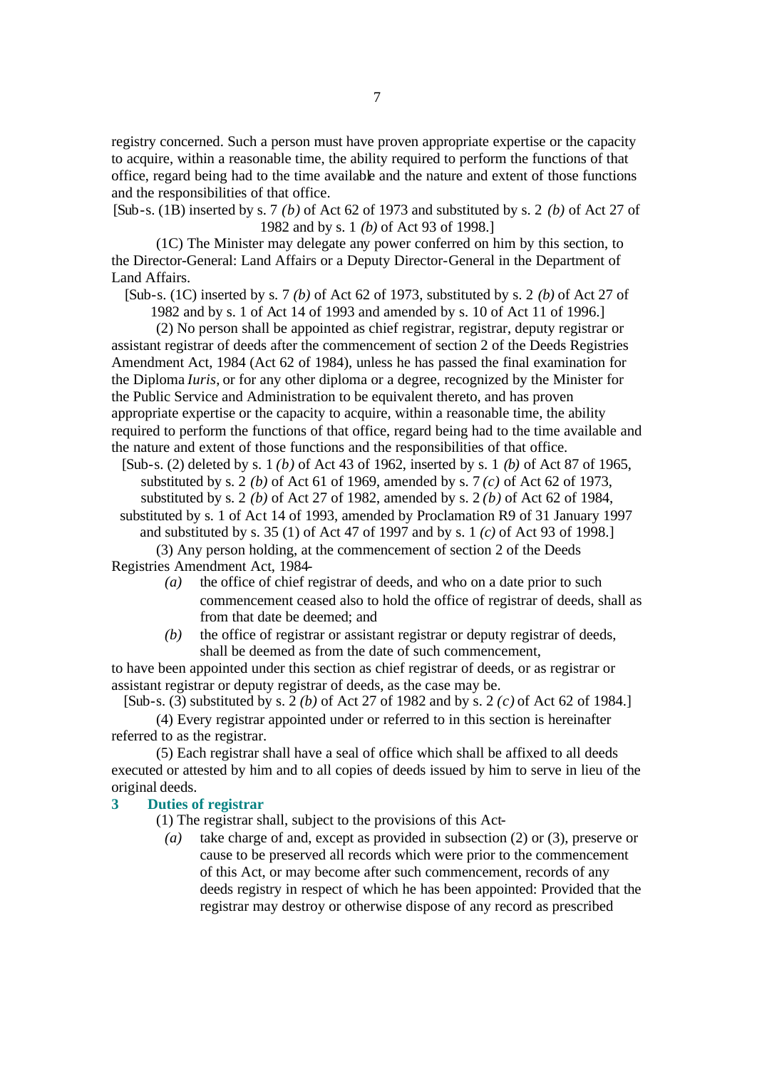registry concerned. Such a person must have proven appropriate expertise or the capacity to acquire, within a reasonable time, the ability required to perform the functions of that office, regard being had to the time available and the nature and extent of those functions and the responsibilities of that office.

[Sub-s. (1B) inserted by s. 7 *(b)* of Act 62 of 1973 and substituted by s. 2 *(b)* of Act 27 of 1982 and by s. 1 *(b)* of Act 93 of 1998.]

(1C) The Minister may delegate any power conferred on him by this section, to the Director-General: Land Affairs or a Deputy Director-General in the Department of Land Affairs.

[Sub-s. (1C) inserted by s. 7 *(b)* of Act 62 of 1973, substituted by s. 2 *(b)* of Act 27 of

1982 and by s. 1 of Act 14 of 1993 and amended by s. 10 of Act 11 of 1996.]

(2) No person shall be appointed as chief registrar, registrar, deputy registrar or assistant registrar of deeds after the commencement of section 2 of the Deeds Registries Amendment Act, 1984 (Act 62 of 1984), unless he has passed the final examination for the Diploma *Iuris*, or for any other diploma or a degree, recognized by the Minister for the Public Service and Administration to be equivalent thereto, and has proven appropriate expertise or the capacity to acquire, within a reasonable time, the ability required to perform the functions of that office, regard being had to the time available and the nature and extent of those functions and the responsibilities of that office.

[Sub-s. (2) deleted by s. 1 *(b)* of Act 43 of 1962, inserted by s. 1 *(b)* of Act 87 of 1965, substituted by s. 2 *(b)* of Act 61 of 1969, amended by s. 7 *(c)* of Act 62 of 1973, substituted by s. 2 *(b)* of Act 27 of 1982, amended by s. 2 *(b)* of Act 62 of 1984,

substituted by s. 1 of Act 14 of 1993, amended by Proclamation R9 of 31 January 1997 and substituted by s. 35 (1) of Act 47 of 1997 and by s. 1 *(c)* of Act 93 of 1998.]

(3) Any person holding, at the commencement of section 2 of the Deeds Registries Amendment Act, 1984-

- *(a)* the office of chief registrar of deeds, and who on a date prior to such commencement ceased also to hold the office of registrar of deeds, shall as from that date be deemed; and
- *(b)* the office of registrar or assistant registrar or deputy registrar of deeds, shall be deemed as from the date of such commencement,

to have been appointed under this section as chief registrar of deeds, or as registrar or assistant registrar or deputy registrar of deeds, as the case may be.

[Sub-s. (3) substituted by s. 2 *(b)* of Act 27 of 1982 and by s. 2 *(c)* of Act 62 of 1984.]

(4) Every registrar appointed under or referred to in this section is hereinafter referred to as the registrar.

(5) Each registrar shall have a seal of office which shall be affixed to all deeds executed or attested by him and to all copies of deeds issued by him to serve in lieu of the original deeds.

# **3 Duties of registrar**

(1) The registrar shall, subject to the provisions of this Act-

*(a)* take charge of and, except as provided in subsection (2) or (3), preserve or cause to be preserved all records which were prior to the commencement of this Act, or may become after such commencement, records of any deeds registry in respect of which he has been appointed: Provided that the registrar may destroy or otherwise dispose of any record as prescribed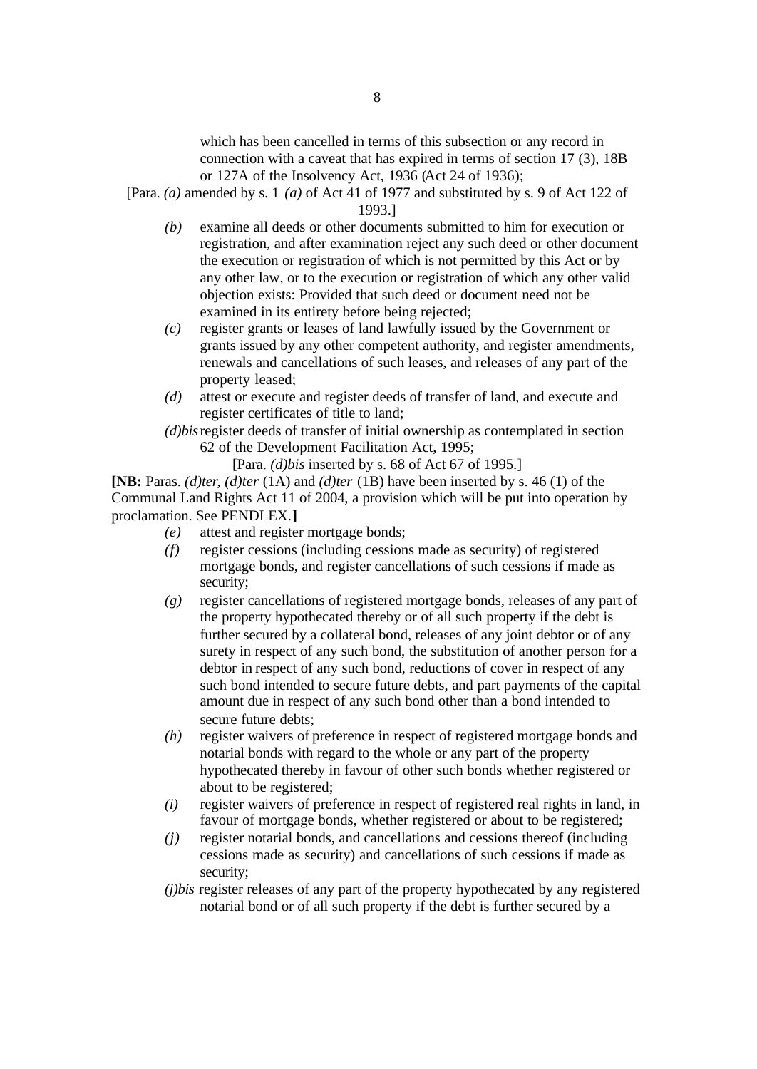which has been cancelled in terms of this subsection or any record in connection with a caveat that has expired in terms of section 17 (3), 18B or 127A of the Insolvency Act, 1936 (Act 24 of 1936);

[Para. *(a)* amended by s. 1 *(a)* of Act 41 of 1977 and substituted by s. 9 of Act 122 of 1993.]

- *(b)* examine all deeds or other documents submitted to him for execution or registration, and after examination reject any such deed or other document the execution or registration of which is not permitted by this Act or by any other law, or to the execution or registration of which any other valid objection exists: Provided that such deed or document need not be examined in its entirety before being rejected;
- *(c)* register grants or leases of land lawfully issued by the Government or grants issued by any other competent authority, and register amendments, renewals and cancellations of such leases, and releases of any part of the property leased;
- *(d)* attest or execute and register deeds of transfer of land, and execute and register certificates of title to land;
- *(d)bis*register deeds of transfer of initial ownership as contemplated in section 62 of the Development Facilitation Act, 1995;

[Para. *(d)bis* inserted by s. 68 of Act 67 of 1995.]

**[NB:** Paras. *(d)ter*, *(d)ter* (1A) and *(d)ter* (1B) have been inserted by s. 46 (1) of the Communal Land Rights Act 11 of 2004, a provision which will be put into operation by proclamation. See PENDLEX.**]**

- *(e)* attest and register mortgage bonds;
- *(f)* register cessions (including cessions made as security) of registered mortgage bonds, and register cancellations of such cessions if made as security;
- *(g)* register cancellations of registered mortgage bonds, releases of any part of the property hypothecated thereby or of all such property if the debt is further secured by a collateral bond, releases of any joint debtor or of any surety in respect of any such bond, the substitution of another person for a debtor in respect of any such bond, reductions of cover in respect of any such bond intended to secure future debts, and part payments of the capital amount due in respect of any such bond other than a bond intended to secure future debts;
- *(h)* register waivers of preference in respect of registered mortgage bonds and notarial bonds with regard to the whole or any part of the property hypothecated thereby in favour of other such bonds whether registered or about to be registered;
- *(i)* register waivers of preference in respect of registered real rights in land, in favour of mortgage bonds, whether registered or about to be registered;
- *(j)* register notarial bonds, and cancellations and cessions thereof (including cessions made as security) and cancellations of such cessions if made as security;
- *(j)bis* register releases of any part of the property hypothecated by any registered notarial bond or of all such property if the debt is further secured by a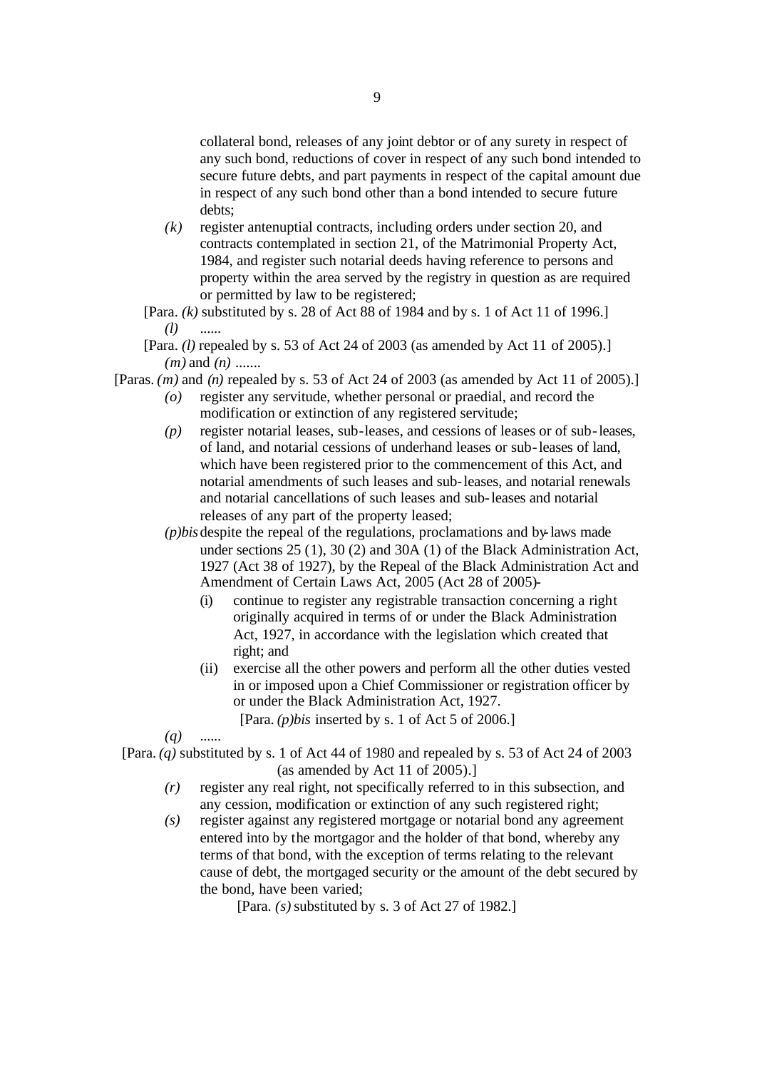collateral bond, releases of any joint debtor or of any surety in respect of any such bond, reductions of cover in respect of any such bond intended to secure future debts, and part payments in respect of the capital amount due in respect of any such bond other than a bond intended to secure future debts;

- *(k)* register antenuptial contracts, including orders under section 20, and contracts contemplated in section 21, of the Matrimonial Property Act, 1984, and register such notarial deeds having reference to persons and property within the area served by the registry in question as are required or permitted by law to be registered;
- [Para. *(k)* substituted by s. 28 of Act 88 of 1984 and by s. 1 of Act 11 of 1996.] *(l)* ......
- [Para. *(l)* repealed by s. 53 of Act 24 of 2003 (as amended by Act 11 of 2005).] *(m)* and *(n)* .......
- [Paras. *(m)* and *(n)* repealed by s. 53 of Act 24 of 2003 (as amended by Act 11 of 2005).]
	- *(o)* register any servitude, whether personal or praedial, and record the modification or extinction of any registered servitude;
	- *(p)* register notarial leases, sub-leases, and cessions of leases or of sub-leases, of land, and notarial cessions of underhand leases or sub-leases of land, which have been registered prior to the commencement of this Act, and notarial amendments of such leases and sub-leases, and notarial renewals and notarial cancellations of such leases and sub-leases and notarial releases of any part of the property leased;
	- *(p)bis*despite the repeal of the regulations, proclamations and by-laws made under sections 25 (1), 30 (2) and 30A (1) of the Black Administration Act, 1927 (Act 38 of 1927), by the Repeal of the Black Administration Act and Amendment of Certain Laws Act, 2005 (Act 28 of 2005)-
		- (i) continue to register any registrable transaction concerning a right originally acquired in terms of or under the Black Administration Act, 1927, in accordance with the legislation which created that right; and
		- (ii) exercise all the other powers and perform all the other duties vested in or imposed upon a Chief Commissioner or registration officer by or under the Black Administration Act, 1927. [Para. *(p)bis* inserted by s. 1 of Act 5 of 2006.]
	- $(q)$

[Para. *(q)* substituted by s. 1 of Act 44 of 1980 and repealed by s. 53 of Act 24 of 2003 (as amended by Act 11 of 2005).]

- *(r)* register any real right, not specifically referred to in this subsection, and any cession, modification or extinction of any such registered right;
- *(s)* register against any registered mortgage or notarial bond any agreement entered into by the mortgagor and the holder of that bond, whereby any terms of that bond, with the exception of terms relating to the relevant cause of debt, the mortgaged security or the amount of the debt secured by the bond, have been varied;

[Para. *(s)* substituted by s. 3 of Act 27 of 1982.]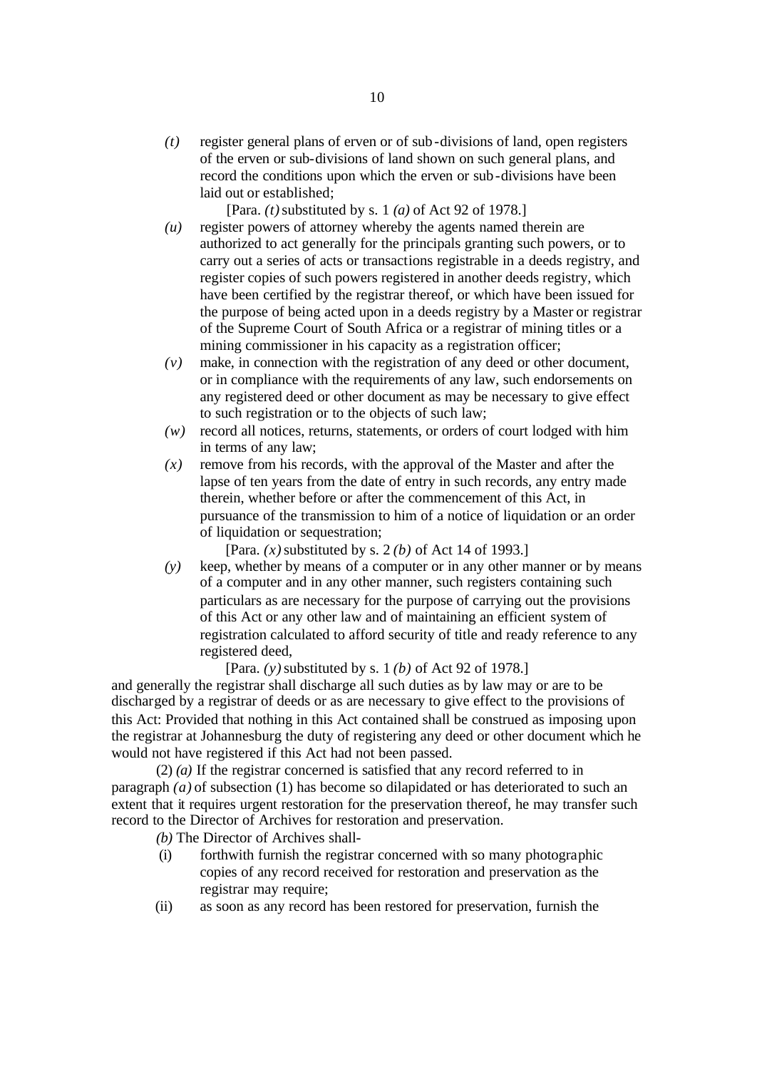*(t)* register general plans of erven or of sub-divisions of land, open registers of the erven or sub-divisions of land shown on such general plans, and record the conditions upon which the erven or sub-divisions have been laid out or established;

[Para. *(t)* substituted by s. 1 *(a)* of Act 92 of 1978.]

- *(u)* register powers of attorney whereby the agents named therein are authorized to act generally for the principals granting such powers, or to carry out a series of acts or transactions registrable in a deeds registry, and register copies of such powers registered in another deeds registry, which have been certified by the registrar thereof, or which have been issued for the purpose of being acted upon in a deeds registry by a Master or registrar of the Supreme Court of South Africa or a registrar of mining titles or a mining commissioner in his capacity as a registration officer;
- *(v)* make, in connection with the registration of any deed or other document, or in compliance with the requirements of any law, such endorsements on any registered deed or other document as may be necessary to give effect to such registration or to the objects of such law;
- *(w)* record all notices, returns, statements, or orders of court lodged with him in terms of any law;
- $(x)$  remove from his records, with the approval of the Master and after the lapse of ten years from the date of entry in such records, any entry made therein, whether before or after the commencement of this Act, in pursuance of the transmission to him of a notice of liquidation or an order of liquidation or sequestration;

[Para. *(x)* substituted by s. 2 *(b)* of Act 14 of 1993.]

*(y)* keep, whether by means of a computer or in any other manner or by means of a computer and in any other manner, such registers containing such particulars as are necessary for the purpose of carrying out the provisions of this Act or any other law and of maintaining an efficient system of registration calculated to afford security of title and ready reference to any registered deed,

[Para. *(y)* substituted by s. 1 *(b)* of Act 92 of 1978.]

and generally the registrar shall discharge all such duties as by law may or are to be discharged by a registrar of deeds or as are necessary to give effect to the provisions of this Act: Provided that nothing in this Act contained shall be construed as imposing upon the registrar at Johannesburg the duty of registering any deed or other document which he would not have registered if this Act had not been passed.

(2) *(a)* If the registrar concerned is satisfied that any record referred to in paragraph *(a)* of subsection (1) has become so dilapidated or has deteriorated to such an extent that it requires urgent restoration for the preservation thereof, he may transfer such record to the Director of Archives for restoration and preservation.

- *(b)* The Director of Archives shall-
- (i) forthwith furnish the registrar concerned with so many photographic copies of any record received for restoration and preservation as the registrar may require;
- (ii) as soon as any record has been restored for preservation, furnish the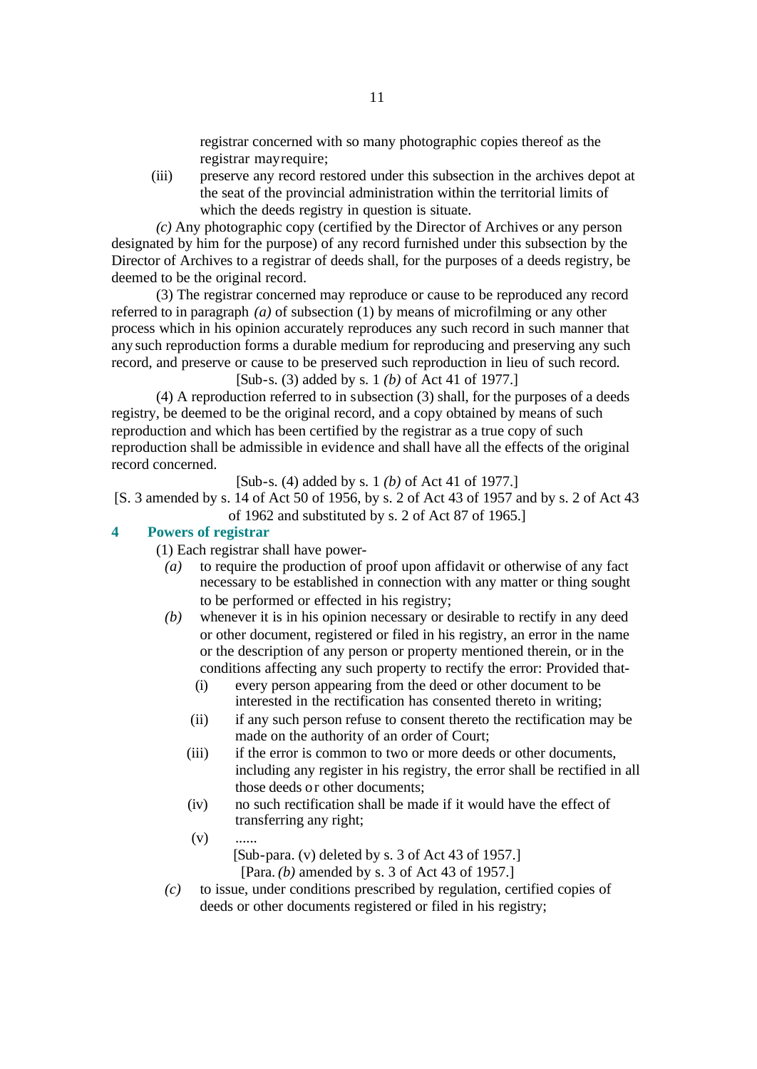registrar concerned with so many photographic copies thereof as the registrar may require;

(iii) preserve any record restored under this subsection in the archives depot at the seat of the provincial administration within the territorial limits of which the deeds registry in question is situate.

*(c)* Any photographic copy (certified by the Director of Archives or any person designated by him for the purpose) of any record furnished under this subsection by the Director of Archives to a registrar of deeds shall, for the purposes of a deeds registry, be deemed to be the original record.

(3) The registrar concerned may reproduce or cause to be reproduced any record referred to in paragraph *(a)* of subsection (1) by means of microfilming or any other process which in his opinion accurately reproduces any such record in such manner that any such reproduction forms a durable medium for reproducing and preserving any such record, and preserve or cause to be preserved such reproduction in lieu of such record.

[Sub-s. (3) added by s. 1 *(b)* of Act 41 of 1977.]

(4) A reproduction referred to in subsection (3) shall, for the purposes of a deeds registry, be deemed to be the original record, and a copy obtained by means of such reproduction and which has been certified by the registrar as a true copy of such reproduction shall be admissible in evidence and shall have all the effects of the original record concerned.

[Sub-s. (4) added by s. 1 *(b)* of Act 41 of 1977.]

[S. 3 amended by s. 14 of Act 50 of 1956, by s. 2 of Act 43 of 1957 and by s. 2 of Act 43 of 1962 and substituted by s. 2 of Act 87 of 1965.]

#### **4 Powers of registrar**

(1) Each registrar shall have power-

- *(a)* to require the production of proof upon affidavit or otherwise of any fact necessary to be established in connection with any matter or thing sought to be performed or effected in his registry;
- *(b)* whenever it is in his opinion necessary or desirable to rectify in any deed or other document, registered or filed in his registry, an error in the name or the description of any person or property mentioned therein, or in the conditions affecting any such property to rectify the error: Provided that-
	- (i) every person appearing from the deed or other document to be interested in the rectification has consented thereto in writing;
	- (ii) if any such person refuse to consent thereto the rectification may be made on the authority of an order of Court;
	- (iii) if the error is common to two or more deeds or other documents, including any register in his registry, the error shall be rectified in all those deeds or other documents;
	- (iv) no such rectification shall be made if it would have the effect of transferring any right;
	- $(v)$ [Sub-para. (v) deleted by s. 3 of Act 43 of 1957.] [Para. *(b)* amended by s. 3 of Act 43 of 1957.]

*(c)* to issue, under conditions prescribed by regulation, certified copies of deeds or other documents registered or filed in his registry;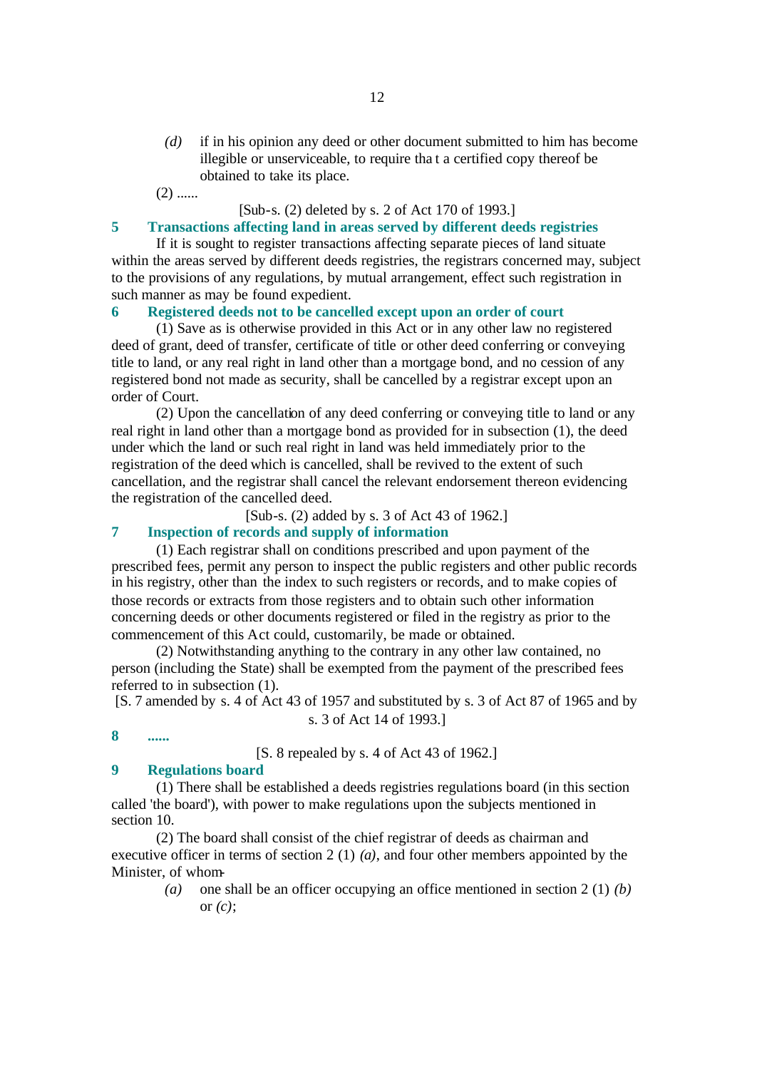*(d)* if in his opinion any deed or other document submitted to him has become illegible or unserviceable, to require tha t a certified copy thereof be obtained to take its place.

 $(2)$  ......

# [Sub-s. (2) deleted by s. 2 of Act 170 of 1993.]

# **5 Transactions affecting land in areas served by different deeds registries**

If it is sought to register transactions affecting separate pieces of land situate within the areas served by different deeds registries, the registrars concerned may, subject to the provisions of any regulations, by mutual arrangement, effect such registration in such manner as may be found expedient.

# **6 Registered deeds not to be cancelled except upon an order of court**

(1) Save as is otherwise provided in this Act or in any other law no registered deed of grant, deed of transfer, certificate of title or other deed conferring or conveying title to land, or any real right in land other than a mortgage bond, and no cession of any registered bond not made as security, shall be cancelled by a registrar except upon an order of Court.

(2) Upon the cancellation of any deed conferring or conveying title to land or any real right in land other than a mortgage bond as provided for in subsection (1), the deed under which the land or such real right in land was held immediately prior to the registration of the deed which is cancelled, shall be revived to the extent of such cancellation, and the registrar shall cancel the relevant endorsement thereon evidencing the registration of the cancelled deed.

[Sub-s. (2) added by s. 3 of Act 43 of 1962.]

# **7 Inspection of records and supply of information**

(1) Each registrar shall on conditions prescribed and upon payment of the prescribed fees, permit any person to inspect the public registers and other public records in his registry, other than the index to such registers or records, and to make copies of those records or extracts from those registers and to obtain such other information concerning deeds or other documents registered or filed in the registry as prior to the commencement of this Act could, customarily, be made or obtained.

(2) Notwithstanding anything to the contrary in any other law contained, no person (including the State) shall be exempted from the payment of the prescribed fees referred to in subsection (1).

[S. 7 amended by s. 4 of Act 43 of 1957 and substituted by s. 3 of Act 87 of 1965 and by s. 3 of Act 14 of 1993.]

**8 ......**

[S. 8 repealed by s. 4 of Act 43 of 1962.]

#### **9 Regulations board**

(1) There shall be established a deeds registries regulations board (in this section called 'the board'), with power to make regulations upon the subjects mentioned in section 10.

(2) The board shall consist of the chief registrar of deeds as chairman and executive officer in terms of section 2 (1) *(a)*, and four other members appointed by the Minister, of whom-

> *(a)* one shall be an officer occupying an office mentioned in section 2 (1) *(b)* or *(c)*;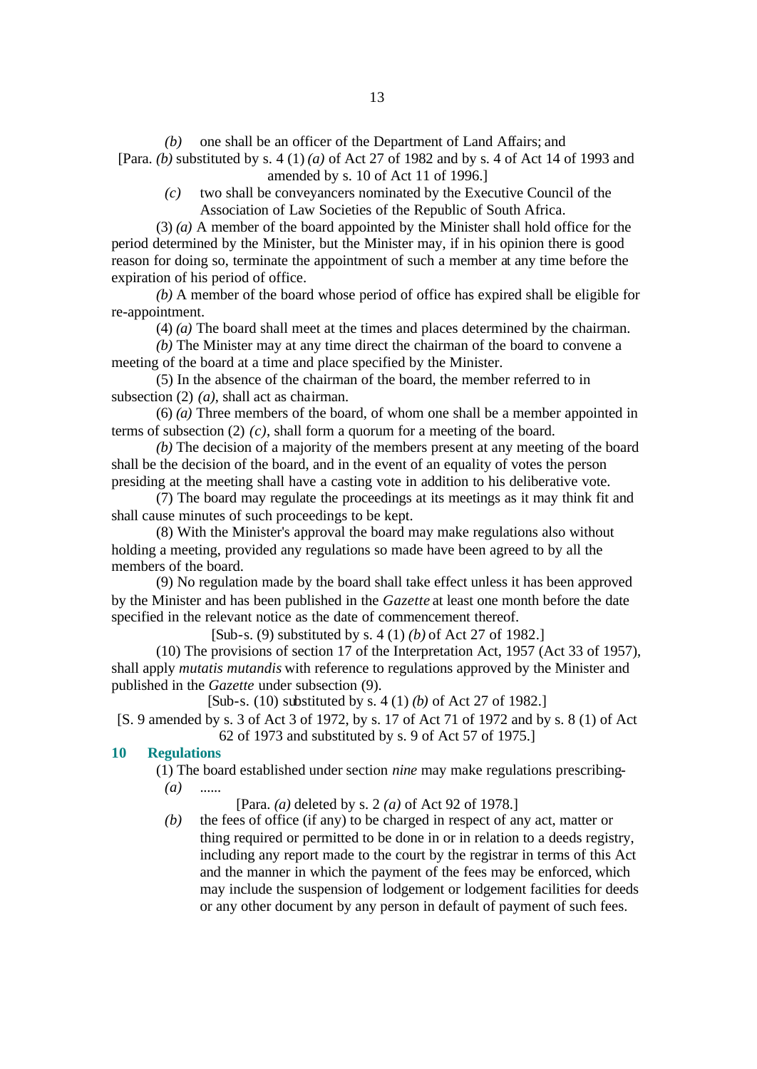*(b)* one shall be an officer of the Department of Land Affairs; and [Para. *(b)* substituted by s. 4 (1) *(a)* of Act 27 of 1982 and by s. 4 of Act 14 of 1993 and amended by s. 10 of Act 11 of 1996.]

*(c)* two shall be conveyancers nominated by the Executive Council of the Association of Law Societies of the Republic of South Africa.

(3) *(a)* A member of the board appointed by the Minister shall hold office for the period determined by the Minister, but the Minister may, if in his opinion there is good reason for doing so, terminate the appointment of such a member at any time before the expiration of his period of office.

*(b)* A member of the board whose period of office has expired shall be eligible for re-appointment.

(4) *(a)* The board shall meet at the times and places determined by the chairman.

*(b)* The Minister may at any time direct the chairman of the board to convene a meeting of the board at a time and place specified by the Minister.

(5) In the absence of the chairman of the board, the member referred to in subsection (2) *(a)*, shall act as chairman.

(6) *(a)* Three members of the board, of whom one shall be a member appointed in terms of subsection (2) *(c)*, shall form a quorum for a meeting of the board.

*(b)* The decision of a majority of the members present at any meeting of the board shall be the decision of the board, and in the event of an equality of votes the person presiding at the meeting shall have a casting vote in addition to his deliberative vote.

(7) The board may regulate the proceedings at its meetings as it may think fit and shall cause minutes of such proceedings to be kept.

(8) With the Minister's approval the board may make regulations also without holding a meeting, provided any regulations so made have been agreed to by all the members of the board.

(9) No regulation made by the board shall take effect unless it has been approved by the Minister and has been published in the *Gazette* at least one month before the date specified in the relevant notice as the date of commencement thereof.

[Sub-s. (9) substituted by s. 4 (1) *(b)* of Act 27 of 1982.]

(10) The provisions of section 17 of the Interpretation Act, 1957 (Act 33 of 1957), shall apply *mutatis mutandis* with reference to regulations approved by the Minister and published in the *Gazette* under subsection (9).

[Sub-s. (10) substituted by s. 4 (1) *(b)* of Act 27 of 1982.]

[S. 9 amended by s. 3 of Act 3 of 1972, by s. 17 of Act 71 of 1972 and by s. 8 (1) of Act 62 of 1973 and substituted by s. 9 of Act 57 of 1975.]

#### **10 Regulations**

(1) The board established under section *nine* may make regulations prescribing- *(a)* ......

[Para. *(a)* deleted by s. 2 *(a)* of Act 92 of 1978.]

*(b)* the fees of office (if any) to be charged in respect of any act, matter or thing required or permitted to be done in or in relation to a deeds registry, including any report made to the court by the registrar in terms of this Act and the manner in which the payment of the fees may be enforced, which may include the suspension of lodgement or lodgement facilities for deeds or any other document by any person in default of payment of such fees.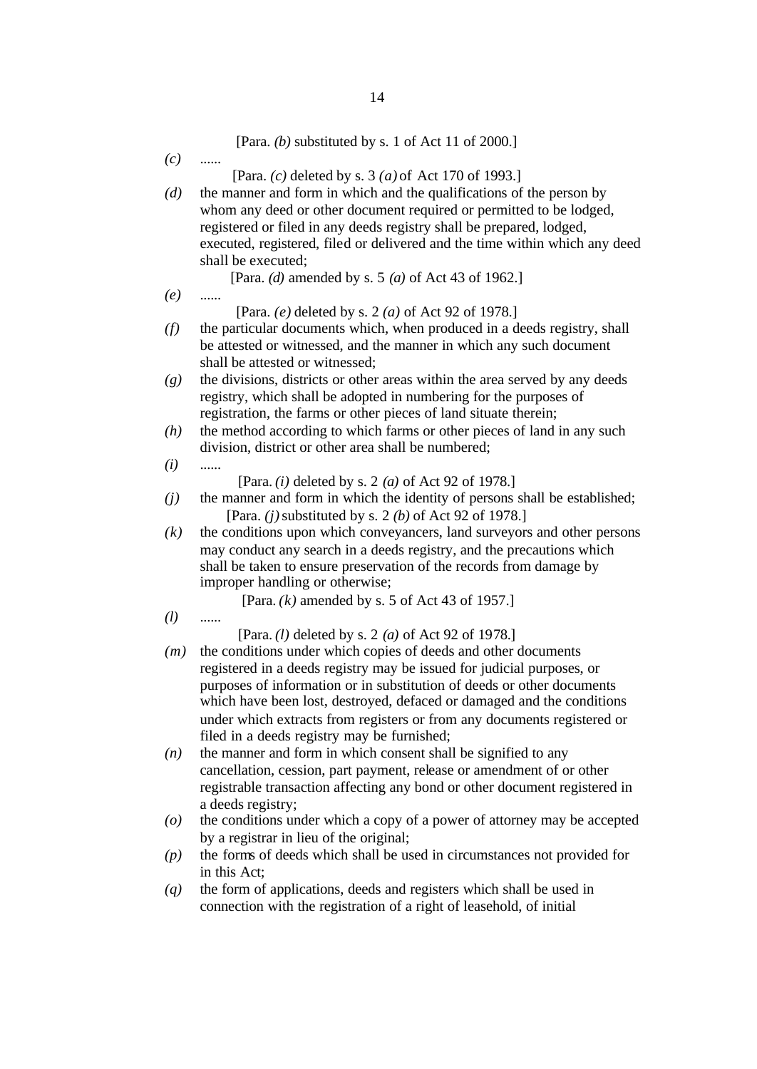|     | [Para. $(b)$ substituted by s. 1 of Act 11 of 2000.]                        |
|-----|-----------------------------------------------------------------------------|
| (c) |                                                                             |
|     | [Para. (c) deleted by s. $3(a)$ of Act 170 of 1993.]                        |
| (d) | the manner and form in which and the qualifications of the person by        |
|     | whom any deed or other document required or permitted to be lodged,         |
|     | registered or filed in any deeds registry shall be prepared, lodged,        |
|     | executed, registered, filed or delivered and the time within which any deed |
|     | shall be executed;                                                          |
|     | [Para. (d) amended by s. 5 (a) of Act 43 of 1962.]                          |
|     |                                                                             |
| (e) | [Para. $(e)$ deleted by s. 2 $(a)$ of Act 92 of 1978.]                      |
|     | the particular documents which, when produced in a deeds registry, shall    |
| (f) |                                                                             |
|     | be attested or witnessed, and the manner in which any such document         |
|     | shall be attested or witnessed;                                             |
| (g) | the divisions, districts or other areas within the area served by any deeds |
|     | registry, which shall be adopted in numbering for the purposes of           |
|     | registration, the farms or other pieces of land situate therein;            |
| (h) | the method according to which farms or other pieces of land in any such     |
|     | division, district or other area shall be numbered;                         |
| (i) |                                                                             |
|     | [Para. $(i)$ deleted by s. 2 $(a)$ of Act 92 of 1978.]                      |
| (j) | the manner and form in which the identity of persons shall be established;  |
|     | [Para. $(j)$ substituted by s. 2 $(b)$ of Act 92 of 1978.]                  |
| (k) | the conditions upon which conveyancers, land surveyors and other persons    |
|     | may conduct any search in a deeds registry, and the precautions which       |
|     | shall be taken to ensure preservation of the records from damage by         |
|     | improper handling or otherwise;                                             |
|     | [Para. $(k)$ amended by s. 5 of Act 43 of 1957.]                            |
| (l) |                                                                             |
|     | [Para. $(l)$ deleted by s. 2 $(a)$ of Act 92 of 1978.]                      |
| (m) | the conditions under which copies of deeds and other documents              |
|     | registered in a deeds registry may be issued for judicial purposes, or      |
|     | purposes of information or in substitution of deeds or other documents      |
|     | which have been lost, destroyed, defaced or damaged and the conditions      |
|     | under which extracts from registers or from any documents registered or     |
|     | filed in a deeds registry may be furnished;                                 |
| (n) | the manner and form in which consent shall be signified to any              |
|     | cancellation, cession, part payment, release or amendment of or other       |
|     | registrable transaction affecting any bond or other document registered in  |
|     | a deeds registry;                                                           |
| (o) | the conditions under which a copy of a power of attorney may be accepted    |
|     | by a registrar in lieu of the original;                                     |
|     | the forms of deeds which shall be used in circumstances not provided for    |
| (p) | in this Act;                                                                |
|     | the form of applications, deeds and registers which shall be used in        |
| (q) |                                                                             |
|     | connection with the registration of a right of leasehold, of initial        |
|     |                                                                             |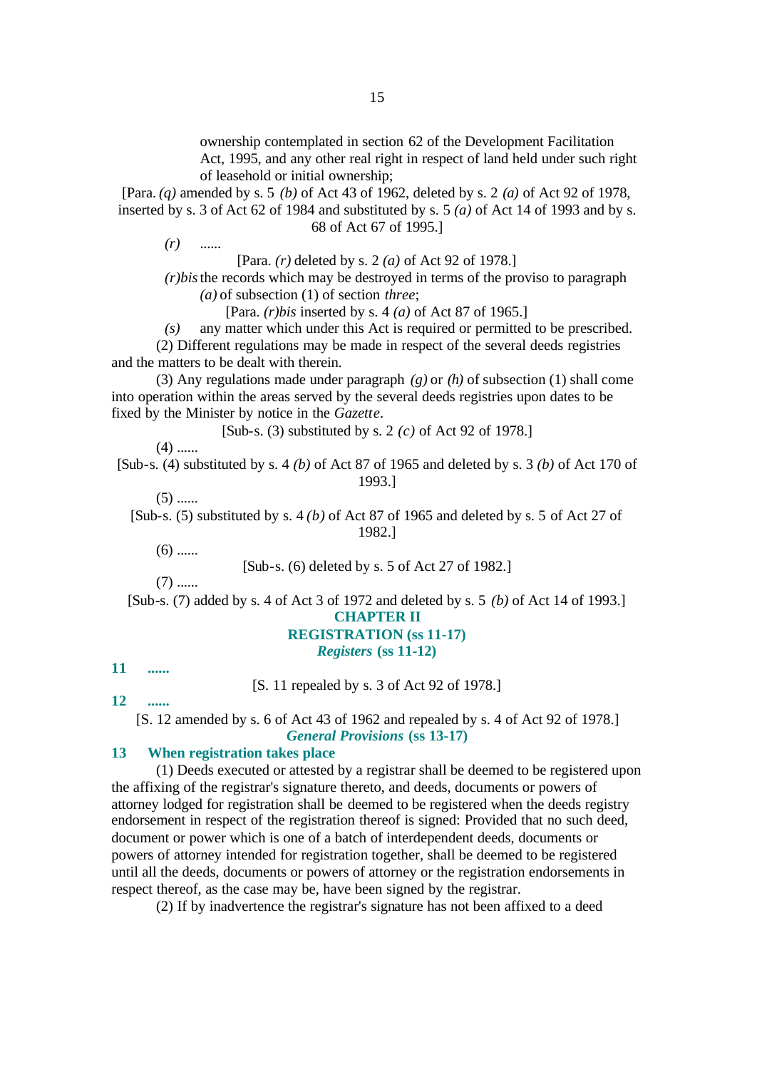ownership contemplated in section 62 of the Development Facilitation Act, 1995, and any other real right in respect of land held under such right of leasehold or initial ownership;

[Para. *(q)* amended by s. 5 *(b)* of Act 43 of 1962, deleted by s. 2 *(a)* of Act 92 of 1978, inserted by s. 3 of Act 62 of 1984 and substituted by s. 5 *(a)* of Act 14 of 1993 and by s. 68 of Act 67 of 1995.]

*(r)* ......

[Para. *(r)* deleted by s. 2 *(a)* of Act 92 of 1978.]

*(r)bis*the records which may be destroyed in terms of the proviso to paragraph *(a)* of subsection (1) of section *three*;

[Para. *(r)bis* inserted by s. 4 *(a)* of Act 87 of 1965.]

*(s)* any matter which under this Act is required or permitted to be prescribed. (2) Different regulations may be made in respect of the several deeds registries and the matters to be dealt with therein.

(3) Any regulations made under paragraph *(g)* or *(h)* of subsection (1) shall come into operation within the areas served by the several deeds registries upon dates to be fixed by the Minister by notice in the *Gazette*.

[Sub-s. (3) substituted by s. 2 *(c)* of Act 92 of 1978.]

 $(4)$  ......

[Sub-s. (4) substituted by s. 4 *(b)* of Act 87 of 1965 and deleted by s. 3 *(b)* of Act 170 of 1993.]

 $(5)$  ......

[Sub-s. (5) substituted by s. 4 *(b)* of Act 87 of 1965 and deleted by s. 5 of Act 27 of 1982.]

 $(6)$  ......

[Sub-s. (6) deleted by s. 5 of Act 27 of 1982.]

 $(7)$  ......

[Sub-s. (7) added by s. 4 of Act 3 of 1972 and deleted by s. 5 *(b)* of Act 14 of 1993.] **CHAPTER II**

# **REGISTRATION (ss 11-17)**

# *Registers* **(ss 11-12)**

**11 ......**

[S. 11 repealed by s. 3 of Act 92 of 1978.]

**12 ......**

[S. 12 amended by s. 6 of Act 43 of 1962 and repealed by s. 4 of Act 92 of 1978.] *General Provisions* **(ss 13-17)**

### **13 When registration takes place**

(1) Deeds executed or attested by a registrar shall be deemed to be registered upon the affixing of the registrar's signature thereto, and deeds, documents or powers of attorney lodged for registration shall be deemed to be registered when the deeds registry endorsement in respect of the registration thereof is signed: Provided that no such deed, document or power which is one of a batch of interdependent deeds, documents or powers of attorney intended for registration together, shall be deemed to be registered until all the deeds, documents or powers of attorney or the registration endorsements in respect thereof, as the case may be, have been signed by the registrar.

(2) If by inadvertence the registrar's signature has not been affixed to a deed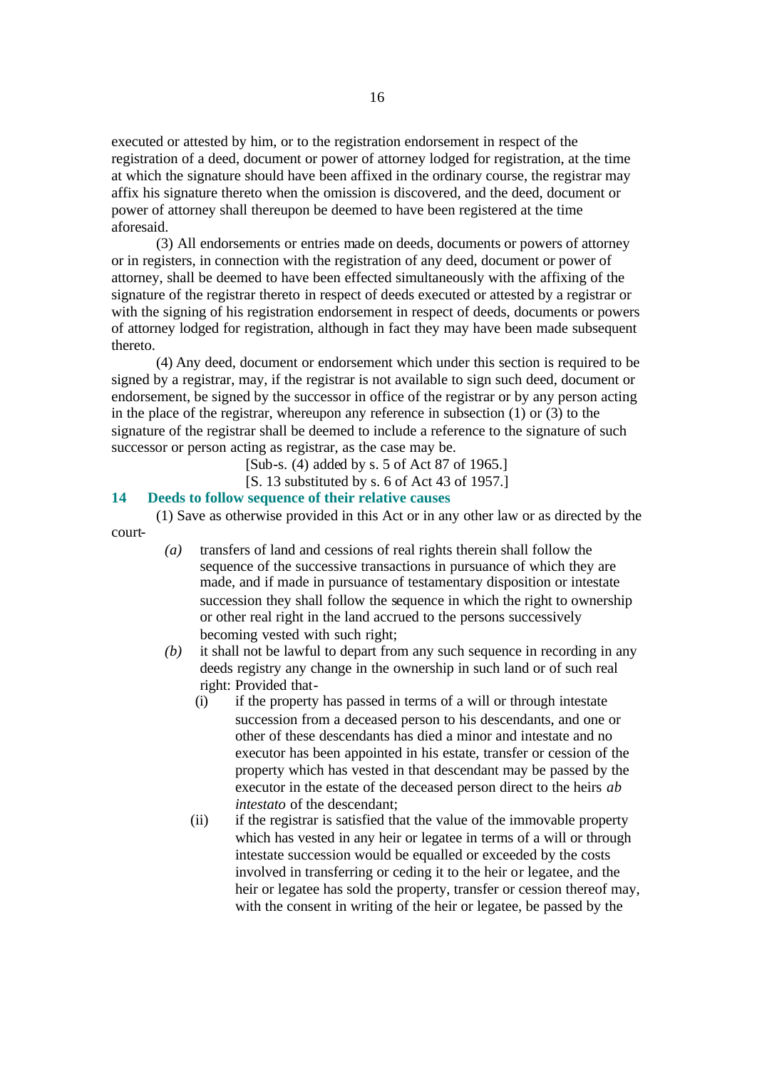executed or attested by him, or to the registration endorsement in respect of the registration of a deed, document or power of attorney lodged for registration, at the time at which the signature should have been affixed in the ordinary course, the registrar may affix his signature thereto when the omission is discovered, and the deed, document or power of attorney shall thereupon be deemed to have been registered at the time aforesaid.

(3) All endorsements or entries made on deeds, documents or powers of attorney or in registers, in connection with the registration of any deed, document or power of attorney, shall be deemed to have been effected simultaneously with the affixing of the signature of the registrar thereto in respect of deeds executed or attested by a registrar or with the signing of his registration endorsement in respect of deeds, documents or powers of attorney lodged for registration, although in fact they may have been made subsequent thereto.

(4) Any deed, document or endorsement which under this section is required to be signed by a registrar, may, if the registrar is not available to sign such deed, document or endorsement, be signed by the successor in office of the registrar or by any person acting in the place of the registrar, whereupon any reference in subsection (1) or (3) to the signature of the registrar shall be deemed to include a reference to the signature of such successor or person acting as registrar, as the case may be.

[Sub-s. (4) added by s. 5 of Act 87 of 1965.]

[S. 13 substituted by s. 6 of Act 43 of 1957.]

#### **14 Deeds to follow sequence of their relative causes**

(1) Save as otherwise provided in this Act or in any other law or as directed by the court-

- *(a)* transfers of land and cessions of real rights therein shall follow the sequence of the successive transactions in pursuance of which they are made, and if made in pursuance of testamentary disposition or intestate succession they shall follow the sequence in which the right to ownership or other real right in the land accrued to the persons successively becoming vested with such right;
- *(b)* it shall not be lawful to depart from any such sequence in recording in any deeds registry any change in the ownership in such land or of such real right: Provided that-
	- (i) if the property has passed in terms of a will or through intestate succession from a deceased person to his descendants, and one or other of these descendants has died a minor and intestate and no executor has been appointed in his estate, transfer or cession of the property which has vested in that descendant may be passed by the executor in the estate of the deceased person direct to the heirs *ab intestato* of the descendant;
	- (ii) if the registrar is satisfied that the value of the immovable property which has vested in any heir or legatee in terms of a will or through intestate succession would be equalled or exceeded by the costs involved in transferring or ceding it to the heir or legatee, and the heir or legatee has sold the property, transfer or cession thereof may, with the consent in writing of the heir or legatee, be passed by the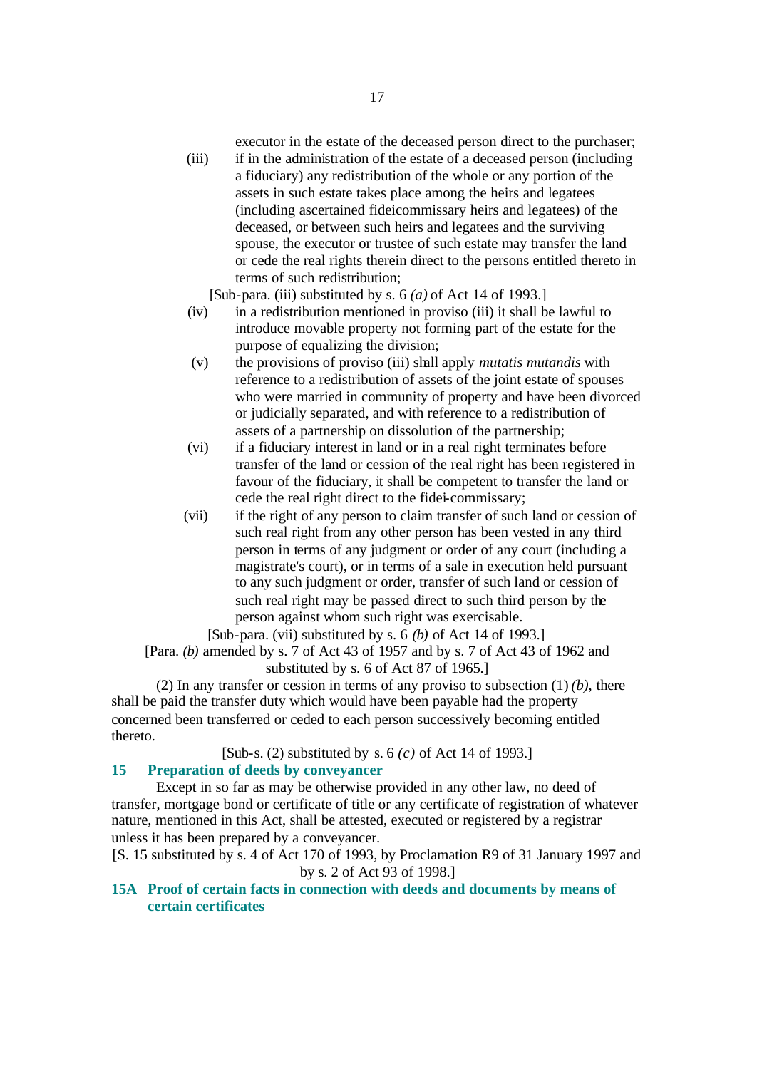executor in the estate of the deceased person direct to the purchaser;

(iii) if in the administration of the estate of a deceased person (including a fiduciary) any redistribution of the whole or any portion of the assets in such estate takes place among the heirs and legatees (including ascertained fideicommissary heirs and legatees) of the deceased, or between such heirs and legatees and the surviving spouse, the executor or trustee of such estate may transfer the land or cede the real rights therein direct to the persons entitled thereto in terms of such redistribution;

[Sub-para. (iii) substituted by s. 6 *(a)* of Act 14 of 1993.]

- (iv) in a redistribution mentioned in proviso (iii) it shall be lawful to introduce movable property not forming part of the estate for the purpose of equalizing the division;
- (v) the provisions of proviso (iii) shall apply *mutatis mutandis* with reference to a redistribution of assets of the joint estate of spouses who were married in community of property and have been divorced or judicially separated, and with reference to a redistribution of assets of a partnership on dissolution of the partnership;
- (vi) if a fiduciary interest in land or in a real right terminates before transfer of the land or cession of the real right has been registered in favour of the fiduciary, it shall be competent to transfer the land or cede the real right direct to the fidei-commissary;
- (vii) if the right of any person to claim transfer of such land or cession of such real right from any other person has been vested in any third person in terms of any judgment or order of any court (including a magistrate's court), or in terms of a sale in execution held pursuant to any such judgment or order, transfer of such land or cession of such real right may be passed direct to such third person by the person against whom such right was exercisable.

[Sub-para. (vii) substituted by s. 6 *(b)* of Act 14 of 1993.]

[Para. *(b)* amended by s. 7 of Act 43 of 1957 and by s. 7 of Act 43 of 1962 and substituted by s. 6 of Act 87 of 1965.]

(2) In any transfer or cession in terms of any proviso to subsection (1) *(b)*, there shall be paid the transfer duty which would have been payable had the property concerned been transferred or ceded to each person successively becoming entitled thereto.

[Sub-s. (2) substituted by s. 6 *(c)* of Act 14 of 1993.]

# **15 Preparation of deeds by conveyancer**

Except in so far as may be otherwise provided in any other law, no deed of transfer, mortgage bond or certificate of title or any certificate of registration of whatever nature, mentioned in this Act, shall be attested, executed or registered by a registrar unless it has been prepared by a conveyancer.

[S. 15 substituted by s. 4 of Act 170 of 1993, by Proclamation R9 of 31 January 1997 and by s. 2 of Act 93 of 1998.]

# **15A Proof of certain facts in connection with deeds and documents by means of certain certificates**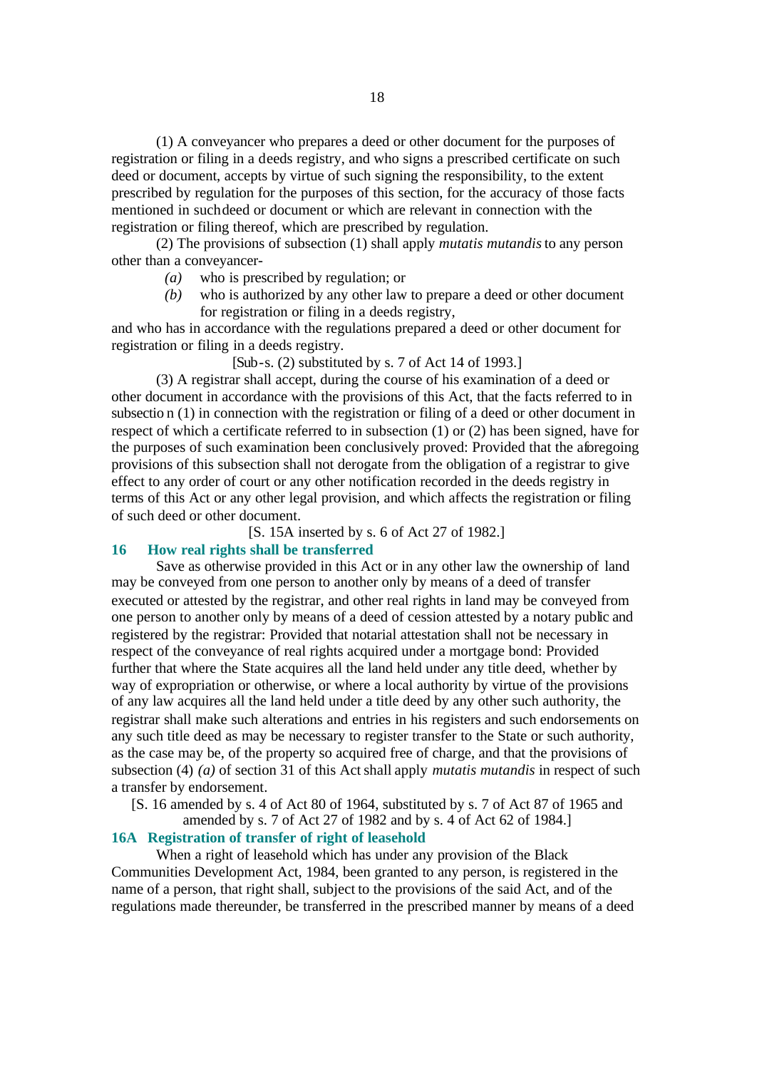(1) A conveyancer who prepares a deed or other document for the purposes of registration or filing in a deeds registry, and who signs a prescribed certificate on such deed or document, accepts by virtue of such signing the responsibility, to the extent prescribed by regulation for the purposes of this section, for the accuracy of those facts mentioned in such deed or document or which are relevant in connection with the registration or filing thereof, which are prescribed by regulation.

(2) The provisions of subsection (1) shall apply *mutatis mutandis* to any person other than a conveyancer-

- *(a)* who is prescribed by regulation; or
- *(b)* who is authorized by any other law to prepare a deed or other document for registration or filing in a deeds registry,

and who has in accordance with the regulations prepared a deed or other document for registration or filing in a deeds registry.

 $[Sub-s. (2)$  substituted by s. 7 of Act 14 of 1993.

(3) A registrar shall accept, during the course of his examination of a deed or other document in accordance with the provisions of this Act, that the facts referred to in subsectio n (1) in connection with the registration or filing of a deed or other document in respect of which a certificate referred to in subsection (1) or (2) has been signed, have for the purposes of such examination been conclusively proved: Provided that the aforegoing provisions of this subsection shall not derogate from the obligation of a registrar to give effect to any order of court or any other notification recorded in the deeds registry in terms of this Act or any other legal provision, and which affects the registration or filing of such deed or other document.

[S. 15A inserted by s. 6 of Act 27 of 1982.]

#### **16 How real rights shall be transferred**

Save as otherwise provided in this Act or in any other law the ownership of land may be conveyed from one person to another only by means of a deed of transfer executed or attested by the registrar, and other real rights in land may be conveyed from one person to another only by means of a deed of cession attested by a notary public and registered by the registrar: Provided that notarial attestation shall not be necessary in respect of the conveyance of real rights acquired under a mortgage bond: Provided further that where the State acquires all the land held under any title deed, whether by way of expropriation or otherwise, or where a local authority by virtue of the provisions of any law acquires all the land held under a title deed by any other such authority, the registrar shall make such alterations and entries in his registers and such endorsements on any such title deed as may be necessary to register transfer to the State or such authority, as the case may be, of the property so acquired free of charge, and that the provisions of subsection (4) *(a)* of section 31 of this Act shall apply *mutatis mutandis* in respect of such a transfer by endorsement.

[S. 16 amended by s. 4 of Act 80 of 1964, substituted by s. 7 of Act 87 of 1965 and

amended by s. 7 of Act 27 of 1982 and by s. 4 of Act 62 of 1984.]

# **16A Registration of transfer of right of leasehold**

When a right of leasehold which has under any provision of the Black Communities Development Act, 1984, been granted to any person, is registered in the name of a person, that right shall, subject to the provisions of the said Act, and of the regulations made thereunder, be transferred in the prescribed manner by means of a deed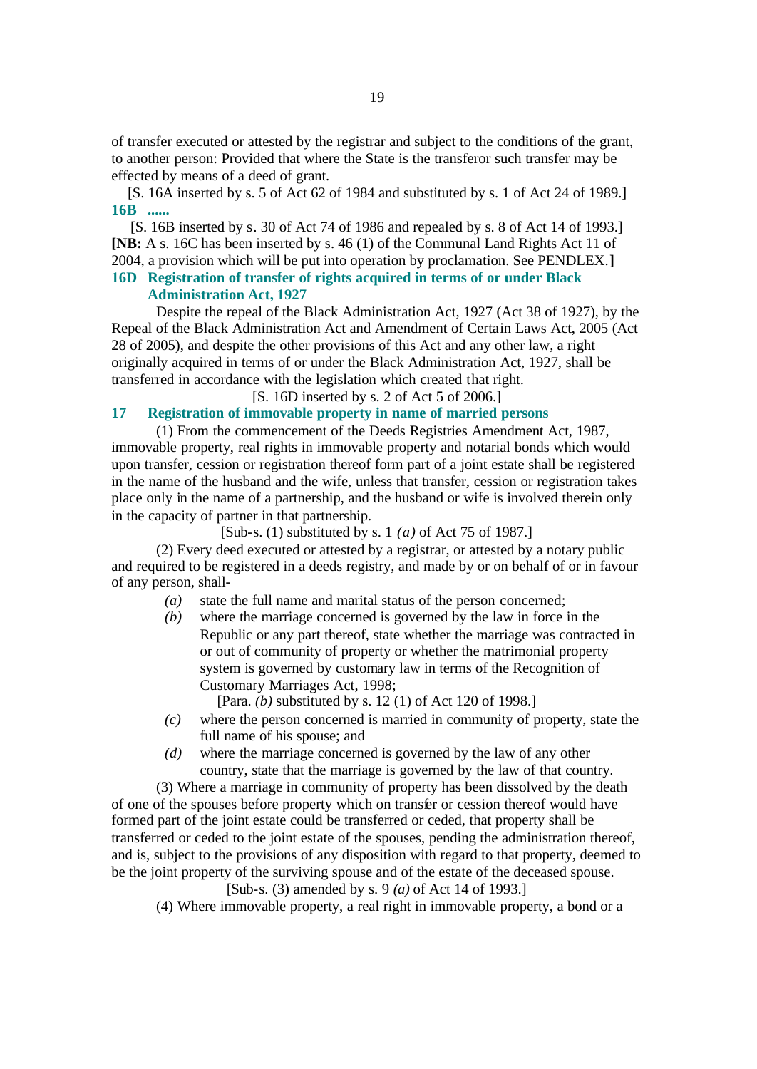of transfer executed or attested by the registrar and subject to the conditions of the grant, to another person: Provided that where the State is the transferor such transfer may be effected by means of a deed of grant.

[S. 16A inserted by s. 5 of Act 62 of 1984 and substituted by s. 1 of Act 24 of 1989.] **16B ......**

[S. 16B inserted by s. 30 of Act 74 of 1986 and repealed by s. 8 of Act 14 of 1993.] **[NB:** A s. 16C has been inserted by s. 46 (1) of the Communal Land Rights Act 11 of 2004, a provision which will be put into operation by proclamation. See PENDLEX.**]**

# **16D Registration of transfer of rights acquired in terms of or under Black Administration Act, 1927**

Despite the repeal of the Black Administration Act, 1927 (Act 38 of 1927), by the Repeal of the Black Administration Act and Amendment of Certain Laws Act, 2005 (Act 28 of 2005), and despite the other provisions of this Act and any other law, a right originally acquired in terms of or under the Black Administration Act, 1927, shall be transferred in accordance with the legislation which created that right.

[S. 16D inserted by s. 2 of Act 5 of 2006.]

# **17 Registration of immovable property in name of married persons**

(1) From the commencement of the Deeds Registries Amendment Act, 1987, immovable property, real rights in immovable property and notarial bonds which would upon transfer, cession or registration thereof form part of a joint estate shall be registered in the name of the husband and the wife, unless that transfer, cession or registration takes place only in the name of a partnership, and the husband or wife is involved therein only in the capacity of partner in that partnership.

[Sub-s. (1) substituted by s. 1 *(a)* of Act 75 of 1987.]

(2) Every deed executed or attested by a registrar, or attested by a notary public and required to be registered in a deeds registry, and made by or on behalf of or in favour of any person, shall-

- *(a)* state the full name and marital status of the person concerned;
- *(b)* where the marriage concerned is governed by the law in force in the Republic or any part thereof, state whether the marriage was contracted in or out of community of property or whether the matrimonial property system is governed by customary law in terms of the Recognition of Customary Marriages Act, 1998;

[Para. *(b)* substituted by s. 12 (1) of Act 120 of 1998.]

- *(c)* where the person concerned is married in community of property, state the full name of his spouse; and
- *(d)* where the marriage concerned is governed by the law of any other country, state that the marriage is governed by the law of that country.

(3) Where a marriage in community of property has been dissolved by the death of one of the spouses before property which on transfer or cession thereof would have formed part of the joint estate could be transferred or ceded, that property shall be transferred or ceded to the joint estate of the spouses, pending the administration thereof, and is, subject to the provisions of any disposition with regard to that property, deemed to be the joint property of the surviving spouse and of the estate of the deceased spouse.

[Sub-s. (3) amended by s. 9 *(a)* of Act 14 of 1993.]

(4) Where immovable property, a real right in immovable property, a bond or a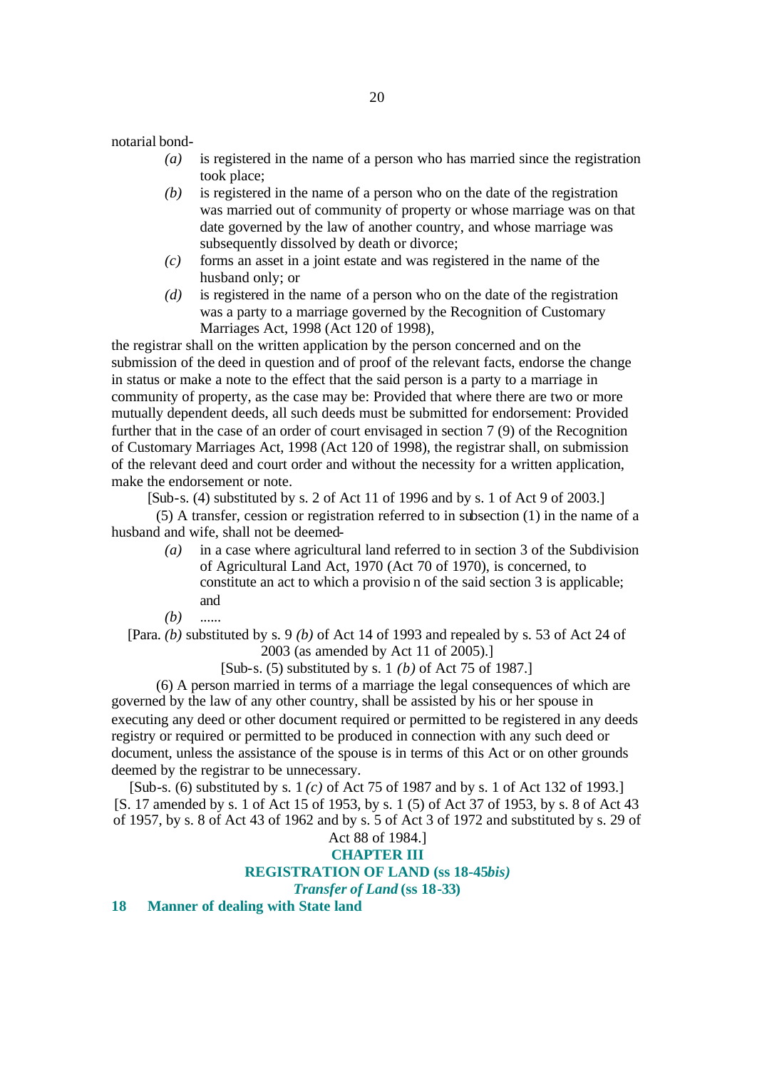notarial bond-

- *(a)* is registered in the name of a person who has married since the registration took place;
- *(b)* is registered in the name of a person who on the date of the registration was married out of community of property or whose marriage was on that date governed by the law of another country, and whose marriage was subsequently dissolved by death or divorce;
- *(c)* forms an asset in a joint estate and was registered in the name of the husband only; or
- *(d)* is registered in the name of a person who on the date of the registration was a party to a marriage governed by the Recognition of Customary Marriages Act, 1998 (Act 120 of 1998),

the registrar shall on the written application by the person concerned and on the submission of the deed in question and of proof of the relevant facts, endorse the change in status or make a note to the effect that the said person is a party to a marriage in community of property, as the case may be: Provided that where there are two or more mutually dependent deeds, all such deeds must be submitted for endorsement: Provided further that in the case of an order of court envisaged in section 7 (9) of the Recognition of Customary Marriages Act, 1998 (Act 120 of 1998), the registrar shall, on submission of the relevant deed and court order and without the necessity for a written application, make the endorsement or note.

[Sub-s. (4) substituted by s. 2 of Act 11 of 1996 and by s. 1 of Act 9 of 2003.]

(5) A transfer, cession or registration referred to in subsection (1) in the name of a husband and wife, shall not be deemed-

- *(a)* in a case where agricultural land referred to in section 3 of the Subdivision of Agricultural Land Act, 1970 (Act 70 of 1970), is concerned, to constitute an act to which a provisio n of the said section 3 is applicable; and
- *(b)* ......

[Para. *(b)* substituted by s. 9 *(b)* of Act 14 of 1993 and repealed by s. 53 of Act 24 of 2003 (as amended by Act 11 of 2005).]

[Sub-s. (5) substituted by s. 1 *(b)* of Act 75 of 1987.]

(6) A person married in terms of a marriage the legal consequences of which are governed by the law of any other country, shall be assisted by his or her spouse in executing any deed or other document required or permitted to be registered in any deeds registry or required or permitted to be produced in connection with any such deed or document, unless the assistance of the spouse is in terms of this Act or on other grounds deemed by the registrar to be unnecessary.

[Sub-s. (6) substituted by s. 1 *(c)* of Act 75 of 1987 and by s. 1 of Act 132 of 1993.] [S. 17 amended by s. 1 of Act 15 of 1953, by s. 1 (5) of Act 37 of 1953, by s. 8 of Act 43 of 1957, by s. 8 of Act 43 of 1962 and by s. 5 of Act 3 of 1972 and substituted by s. 29 of

# Act 88 of 1984.] **CHAPTER III REGISTRATION OF LAND (ss 18-45***bis)*

*Transfer of Land* **(ss 18-33)**

**18 Manner of dealing with State land**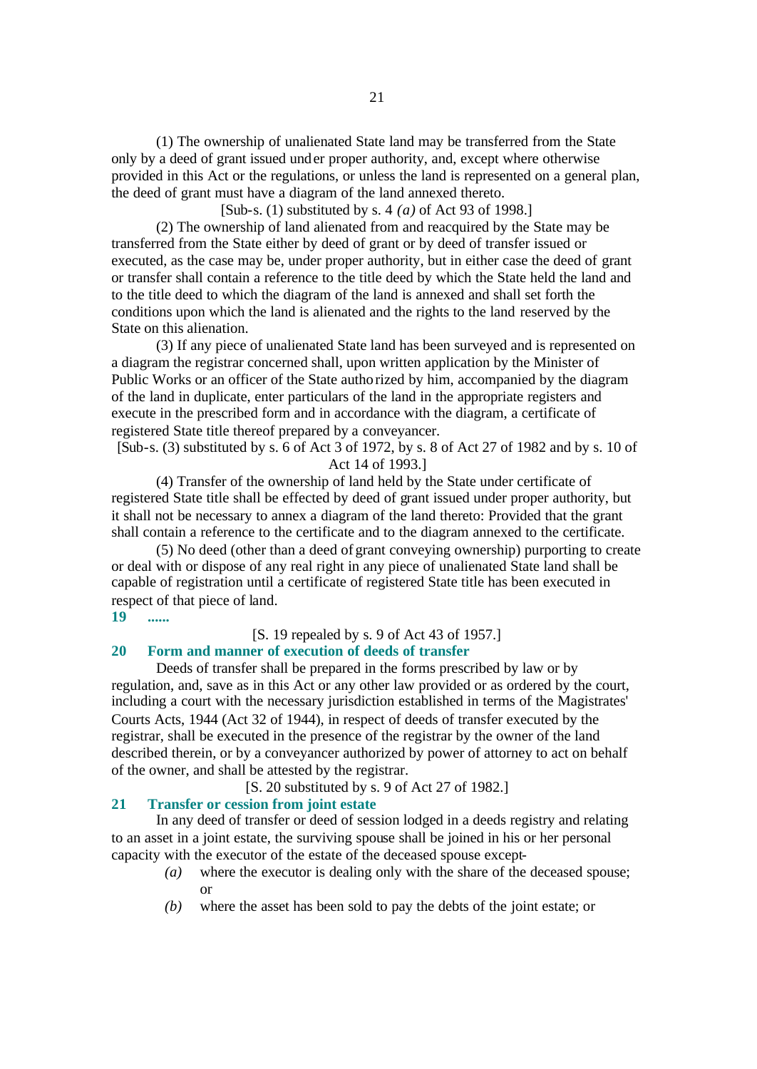(1) The ownership of unalienated State land may be transferred from the State only by a deed of grant issued under proper authority, and, except where otherwise provided in this Act or the regulations, or unless the land is represented on a general plan, the deed of grant must have a diagram of the land annexed thereto.

[Sub-s. (1) substituted by s. 4 *(a)* of Act 93 of 1998.]

(2) The ownership of land alienated from and reacquired by the State may be transferred from the State either by deed of grant or by deed of transfer issued or executed, as the case may be, under proper authority, but in either case the deed of grant or transfer shall contain a reference to the title deed by which the State held the land and to the title deed to which the diagram of the land is annexed and shall set forth the conditions upon which the land is alienated and the rights to the land reserved by the State on this alienation.

(3) If any piece of unalienated State land has been surveyed and is represented on a diagram the registrar concerned shall, upon written application by the Minister of Public Works or an officer of the State authorized by him, accompanied by the diagram of the land in duplicate, enter particulars of the land in the appropriate registers and execute in the prescribed form and in accordance with the diagram, a certificate of registered State title thereof prepared by a conveyancer.

[Sub-s. (3) substituted by s. 6 of Act 3 of 1972, by s. 8 of Act 27 of 1982 and by s. 10 of Act 14 of 1993.]

(4) Transfer of the ownership of land held by the State under certificate of registered State title shall be effected by deed of grant issued under proper authority, but it shall not be necessary to annex a diagram of the land thereto: Provided that the grant shall contain a reference to the certificate and to the diagram annexed to the certificate.

(5) No deed (other than a deed of grant conveying ownership) purporting to create or deal with or dispose of any real right in any piece of unalienated State land shall be capable of registration until a certificate of registered State title has been executed in respect of that piece of land.

**19 ......**

# [S. 19 repealed by s. 9 of Act 43 of 1957.]

# **20 Form and manner of execution of deeds of transfer**

Deeds of transfer shall be prepared in the forms prescribed by law or by regulation, and, save as in this Act or any other law provided or as ordered by the court, including a court with the necessary jurisdiction established in terms of the Magistrates' Courts Acts, 1944 (Act 32 of 1944), in respect of deeds of transfer executed by the registrar, shall be executed in the presence of the registrar by the owner of the land described therein, or by a conveyancer authorized by power of attorney to act on behalf of the owner, and shall be attested by the registrar.

[S. 20 substituted by s. 9 of Act 27 of 1982.]

## **21 Transfer or cession from joint estate**

In any deed of transfer or deed of session lodged in a deeds registry and relating to an asset in a joint estate, the surviving spouse shall be joined in his or her personal capacity with the executor of the estate of the deceased spouse except-

- *(a)* where the executor is dealing only with the share of the deceased spouse; or
- *(b)* where the asset has been sold to pay the debts of the joint estate; or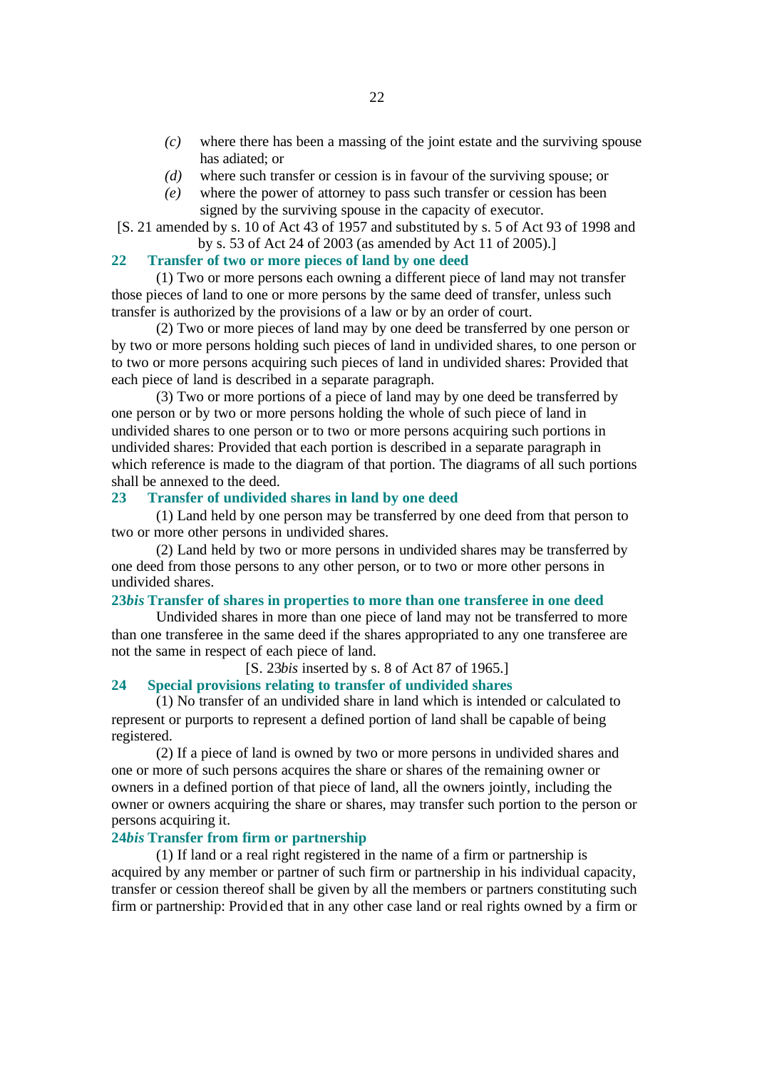- *(c)* where there has been a massing of the joint estate and the surviving spouse has adiated; or
- *(d)* where such transfer or cession is in favour of the surviving spouse; or
- *(e)* where the power of attorney to pass such transfer or cession has been signed by the surviving spouse in the capacity of executor.

[S. 21 amended by s. 10 of Act 43 of 1957 and substituted by s. 5 of Act 93 of 1998 and by s. 53 of Act 24 of 2003 (as amended by Act 11 of 2005).]

#### **22 Transfer of two or more pieces of land by one deed**

(1) Two or more persons each owning a different piece of land may not transfer those pieces of land to one or more persons by the same deed of transfer, unless such transfer is authorized by the provisions of a law or by an order of court.

(2) Two or more pieces of land may by one deed be transferred by one person or by two or more persons holding such pieces of land in undivided shares, to one person or to two or more persons acquiring such pieces of land in undivided shares: Provided that each piece of land is described in a separate paragraph.

(3) Two or more portions of a piece of land may by one deed be transferred by one person or by two or more persons holding the whole of such piece of land in undivided shares to one person or to two or more persons acquiring such portions in undivided shares: Provided that each portion is described in a separate paragraph in which reference is made to the diagram of that portion. The diagrams of all such portions shall be annexed to the deed.

## **23 Transfer of undivided shares in land by one deed**

(1) Land held by one person may be transferred by one deed from that person to two or more other persons in undivided shares.

(2) Land held by two or more persons in undivided shares may be transferred by one deed from those persons to any other person, or to two or more other persons in undivided shares.

#### **23***bis* **Transfer of shares in properties to more than one transferee in one deed**

Undivided shares in more than one piece of land may not be transferred to more than one transferee in the same deed if the shares appropriated to any one transferee are not the same in respect of each piece of land.

#### [S. 23*bis* inserted by s. 8 of Act 87 of 1965.]

#### **24 Special provisions relating to transfer of undivided shares**

(1) No transfer of an undivided share in land which is intended or calculated to represent or purports to represent a defined portion of land shall be capable of being registered.

(2) If a piece of land is owned by two or more persons in undivided shares and one or more of such persons acquires the share or shares of the remaining owner or owners in a defined portion of that piece of land, all the owners jointly, including the owner or owners acquiring the share or shares, may transfer such portion to the person or persons acquiring it.

#### **24***bis* **Transfer from firm or partnership**

(1) If land or a real right registered in the name of a firm or partnership is acquired by any member or partner of such firm or partnership in his individual capacity, transfer or cession thereof shall be given by all the members or partners constituting such firm or partnership: Provided that in any other case land or real rights owned by a firm or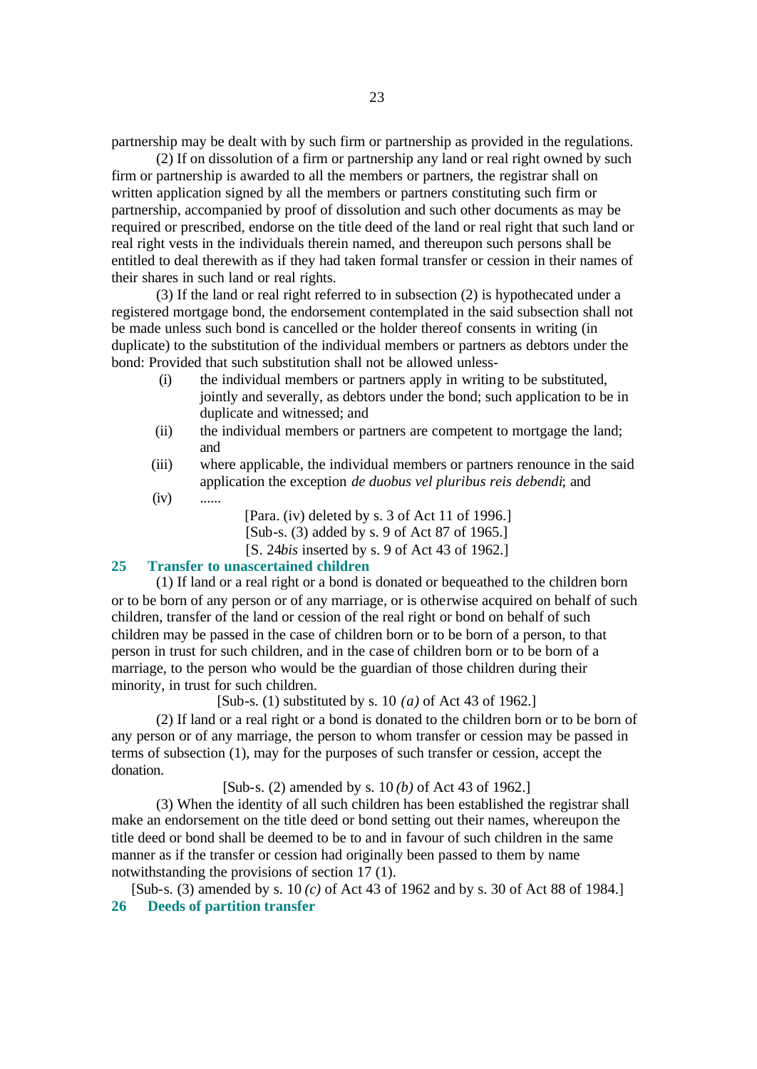partnership may be dealt with by such firm or partnership as provided in the regulations.

(2) If on dissolution of a firm or partnership any land or real right owned by such firm or partnership is awarded to all the members or partners, the registrar shall on written application signed by all the members or partners constituting such firm or partnership, accompanied by proof of dissolution and such other documents as may be required or prescribed, endorse on the title deed of the land or real right that such land or real right vests in the individuals therein named, and thereupon such persons shall be entitled to deal therewith as if they had taken formal transfer or cession in their names of their shares in such land or real rights.

(3) If the land or real right referred to in subsection (2) is hypothecated under a registered mortgage bond, the endorsement contemplated in the said subsection shall not be made unless such bond is cancelled or the holder thereof consents in writing (in duplicate) to the substitution of the individual members or partners as debtors under the bond: Provided that such substitution shall not be allowed unless-

- (i) the individual members or partners apply in writing to be substituted, jointly and severally, as debtors under the bond; such application to be in duplicate and witnessed; and
- (ii) the individual members or partners are competent to mortgage the land; and
- (iii) where applicable, the individual members or partners renounce in the said application the exception *de duobus vel pluribus reis debendi*; and
- $(iv)$  ......

[Para. (iv) deleted by s. 3 of Act 11 of 1996.] [Sub-s. (3) added by s. 9 of Act 87 of 1965.] [S. 24*bis* inserted by s. 9 of Act 43 of 1962.]

#### **25 Transfer to unascertained children**

(1) If land or a real right or a bond is donated or bequeathed to the children born or to be born of any person or of any marriage, or is otherwise acquired on behalf of such children, transfer of the land or cession of the real right or bond on behalf of such children may be passed in the case of children born or to be born of a person, to that person in trust for such children, and in the case of children born or to be born of a marriage, to the person who would be the guardian of those children during their minority, in trust for such children.

[Sub-s. (1) substituted by s. 10 *(a)* of Act 43 of 1962.]

(2) If land or a real right or a bond is donated to the children born or to be born of any person or of any marriage, the person to whom transfer or cession may be passed in terms of subsection (1), may for the purposes of such transfer or cession, accept the donation.

[Sub-s. (2) amended by s. 10 *(b)* of Act 43 of 1962.]

(3) When the identity of all such children has been established the registrar shall make an endorsement on the title deed or bond setting out their names, whereupon the title deed or bond shall be deemed to be to and in favour of such children in the same manner as if the transfer or cession had originally been passed to them by name notwithstanding the provisions of section 17 (1).

[Sub-s. (3) amended by s. 10 *(c)* of Act 43 of 1962 and by s. 30 of Act 88 of 1984.] **26 Deeds of partition transfer**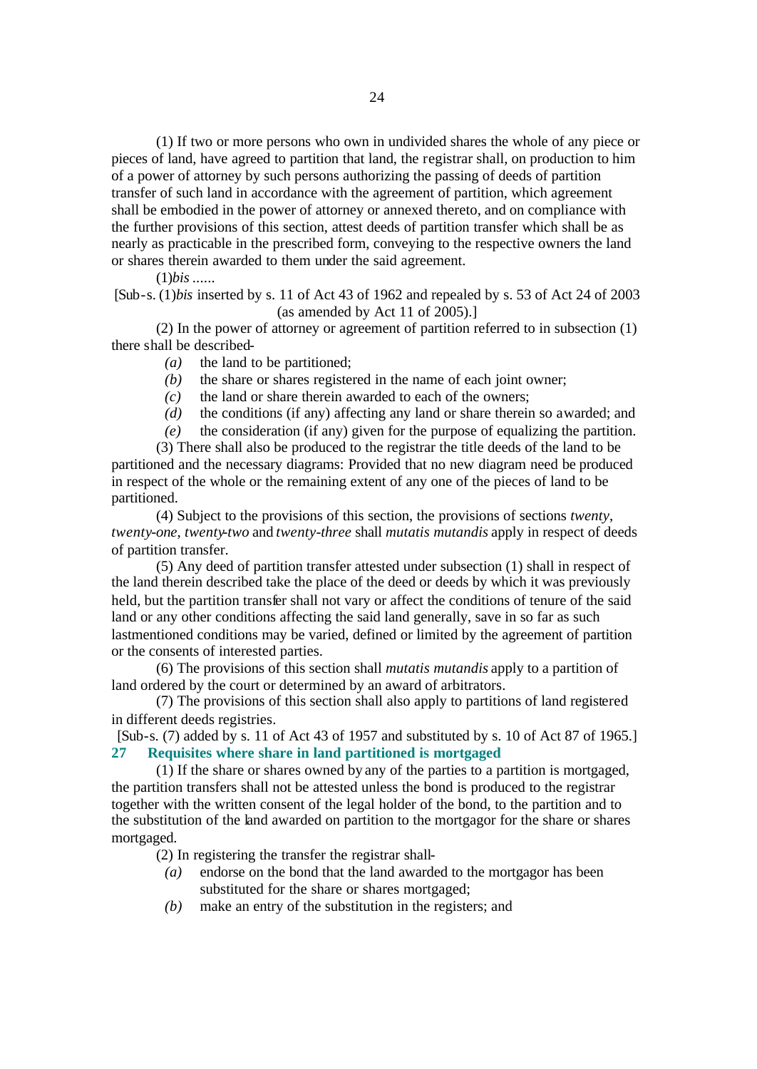(1) If two or more persons who own in undivided shares the whole of any piece or pieces of land, have agreed to partition that land, the registrar shall, on production to him of a power of attorney by such persons authorizing the passing of deeds of partition transfer of such land in accordance with the agreement of partition, which agreement shall be embodied in the power of attorney or annexed thereto, and on compliance with the further provisions of this section, attest deeds of partition transfer which shall be as nearly as practicable in the prescribed form, conveying to the respective owners the land or shares therein awarded to them under the said agreement.

(1)*bis* ......

[Sub-s. (1)*bis* inserted by s. 11 of Act 43 of 1962 and repealed by s. 53 of Act 24 of 2003 (as amended by Act 11 of 2005).]

(2) In the power of attorney or agreement of partition referred to in subsection (1) there shall be described-

- *(a)* the land to be partitioned;
- *(b)* the share or shares registered in the name of each joint owner;
- *(c)* the land or share therein awarded to each of the owners;
- *(d)* the conditions (if any) affecting any land or share therein so awarded; and
- *(e)* the consideration (if any) given for the purpose of equalizing the partition.

(3) There shall also be produced to the registrar the title deeds of the land to be partitioned and the necessary diagrams: Provided that no new diagram need be produced in respect of the whole or the remaining extent of any one of the pieces of land to be partitioned.

(4) Subject to the provisions of this section, the provisions of sections *twenty*, *twenty-one*, *twenty-two* and *twenty-three* shall *mutatis mutandis* apply in respect of deeds of partition transfer.

(5) Any deed of partition transfer attested under subsection (1) shall in respect of the land therein described take the place of the deed or deeds by which it was previously held, but the partition transfer shall not vary or affect the conditions of tenure of the said land or any other conditions affecting the said land generally, save in so far as such lastmentioned conditions may be varied, defined or limited by the agreement of partition or the consents of interested parties.

(6) The provisions of this section shall *mutatis mutandis* apply to a partition of land ordered by the court or determined by an award of arbitrators.

(7) The provisions of this section shall also apply to partitions of land registered in different deeds registries.

[Sub-s. (7) added by s. 11 of Act 43 of 1957 and substituted by s. 10 of Act 87 of 1965.] **27 Requisites where share in land partitioned is mortgaged**

(1) If the share or shares owned by any of the parties to a partition is mortgaged, the partition transfers shall not be attested unless the bond is produced to the registrar together with the written consent of the legal holder of the bond, to the partition and to the substitution of the land awarded on partition to the mortgagor for the share or shares mortgaged.

(2) In registering the transfer the registrar shall-

- *(a)* endorse on the bond that the land awarded to the mortgagor has been substituted for the share or shares mortgaged;
- *(b)* make an entry of the substitution in the registers; and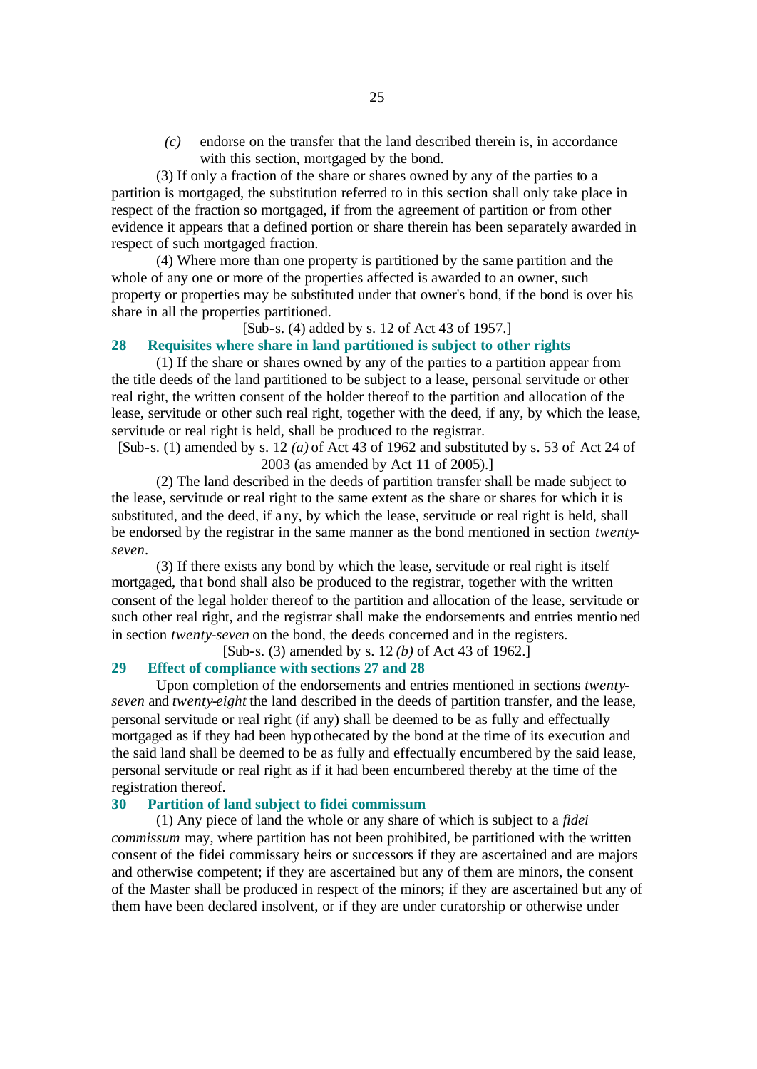*(c)* endorse on the transfer that the land described therein is, in accordance with this section, mortgaged by the bond.

(3) If only a fraction of the share or shares owned by any of the parties to a partition is mortgaged, the substitution referred to in this section shall only take place in respect of the fraction so mortgaged, if from the agreement of partition or from other evidence it appears that a defined portion or share therein has been separately awarded in respect of such mortgaged fraction.

(4) Where more than one property is partitioned by the same partition and the whole of any one or more of the properties affected is awarded to an owner, such property or properties may be substituted under that owner's bond, if the bond is over his share in all the properties partitioned.

#### [Sub-s. (4) added by s. 12 of Act 43 of 1957.]

#### **28 Requisites where share in land partitioned is subject to other rights**

(1) If the share or shares owned by any of the parties to a partition appear from the title deeds of the land partitioned to be subject to a lease, personal servitude or other real right, the written consent of the holder thereof to the partition and allocation of the lease, servitude or other such real right, together with the deed, if any, by which the lease, servitude or real right is held, shall be produced to the registrar.

[Sub-s. (1) amended by s. 12 *(a)* of Act 43 of 1962 and substituted by s. 53 of Act 24 of 2003 (as amended by Act 11 of 2005).]

(2) The land described in the deeds of partition transfer shall be made subject to the lease, servitude or real right to the same extent as the share or shares for which it is substituted, and the deed, if any, by which the lease, servitude or real right is held, shall be endorsed by the registrar in the same manner as the bond mentioned in section *twentyseven*.

(3) If there exists any bond by which the lease, servitude or real right is itself mortgaged, that bond shall also be produced to the registrar, together with the written consent of the legal holder thereof to the partition and allocation of the lease, servitude or such other real right, and the registrar shall make the endorsements and entries mentio ned in section *twenty-seven* on the bond, the deeds concerned and in the registers.

[Sub-s. (3) amended by s. 12 *(b)* of Act 43 of 1962.]

# **29 Effect of compliance with sections 27 and 28**

Upon completion of the endorsements and entries mentioned in sections *twentyseven* and *twenty-eight* the land described in the deeds of partition transfer, and the lease, personal servitude or real right (if any) shall be deemed to be as fully and effectually mortgaged as if they had been hypothecated by the bond at the time of its execution and the said land shall be deemed to be as fully and effectually encumbered by the said lease, personal servitude or real right as if it had been encumbered thereby at the time of the registration thereof.

#### **30 Partition of land subject to fidei commissum**

(1) Any piece of land the whole or any share of which is subject to a *fidei commissum* may, where partition has not been prohibited, be partitioned with the written consent of the fidei commissary heirs or successors if they are ascertained and are majors and otherwise competent; if they are ascertained but any of them are minors, the consent of the Master shall be produced in respect of the minors; if they are ascertained but any of them have been declared insolvent, or if they are under curatorship or otherwise under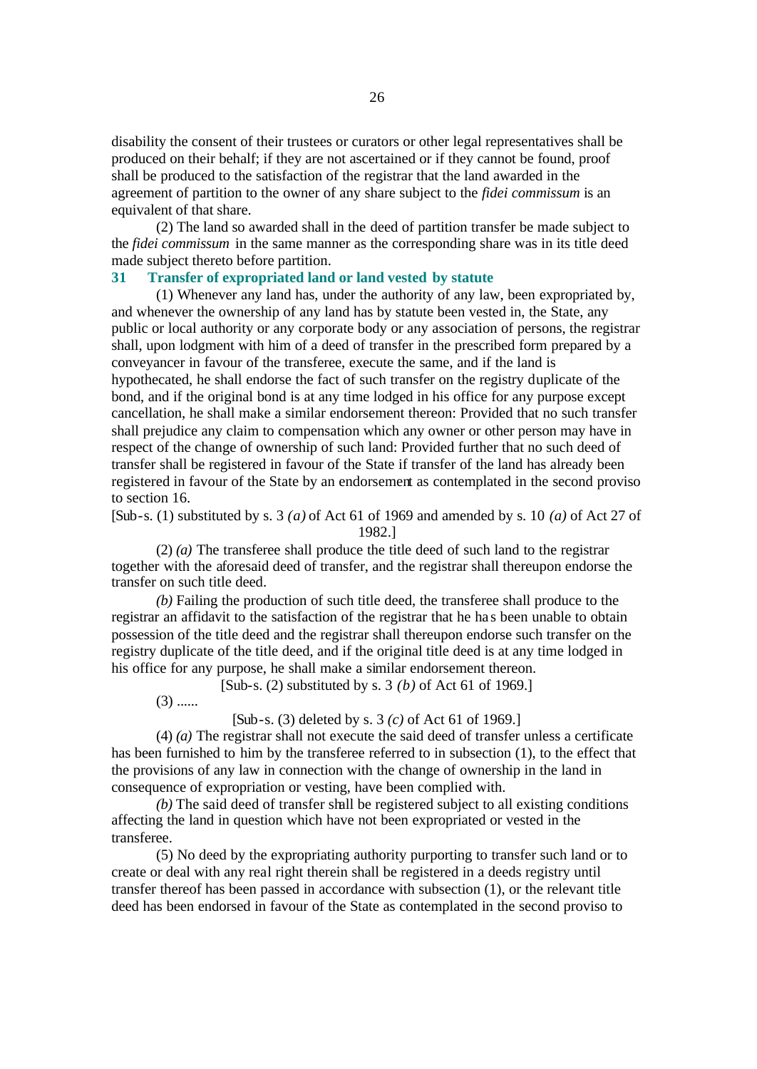disability the consent of their trustees or curators or other legal representatives shall be produced on their behalf; if they are not ascertained or if they cannot be found, proof shall be produced to the satisfaction of the registrar that the land awarded in the agreement of partition to the owner of any share subject to the *fidei commissum* is an equivalent of that share.

(2) The land so awarded shall in the deed of partition transfer be made subject to the *fidei commissum* in the same manner as the corresponding share was in its title deed made subject thereto before partition.

#### **31 Transfer of expropriated land or land vested by statute**

(1) Whenever any land has, under the authority of any law, been expropriated by, and whenever the ownership of any land has by statute been vested in, the State, any public or local authority or any corporate body or any association of persons, the registrar shall, upon lodgment with him of a deed of transfer in the prescribed form prepared by a conveyancer in favour of the transferee, execute the same, and if the land is hypothecated, he shall endorse the fact of such transfer on the registry duplicate of the bond, and if the original bond is at any time lodged in his office for any purpose except cancellation, he shall make a similar endorsement thereon: Provided that no such transfer shall prejudice any claim to compensation which any owner or other person may have in respect of the change of ownership of such land: Provided further that no such deed of transfer shall be registered in favour of the State if transfer of the land has already been registered in favour of the State by an endorsement as contemplated in the second proviso to section 16.

[Sub-s. (1) substituted by s. 3 *(a)* of Act 61 of 1969 and amended by s. 10 *(a)* of Act 27 of 1982.]

(2) *(a)* The transferee shall produce the title deed of such land to the registrar together with the aforesaid deed of transfer, and the registrar shall thereupon endorse the transfer on such title deed.

*(b)* Failing the production of such title deed, the transferee shall produce to the registrar an affidavit to the satisfaction of the registrar that he ha s been unable to obtain possession of the title deed and the registrar shall thereupon endorse such transfer on the registry duplicate of the title deed, and if the original title deed is at any time lodged in his office for any purpose, he shall make a similar endorsement thereon.

[Sub-s. (2) substituted by s. 3 *(b)* of Act 61 of 1969.]

 $(3)$  ......

[Sub-s. (3) deleted by s. 3 *(c)* of Act 61 of 1969.]

(4) *(a)* The registrar shall not execute the said deed of transfer unless a certificate has been furnished to him by the transferee referred to in subsection (1), to the effect that the provisions of any law in connection with the change of ownership in the land in consequence of expropriation or vesting, have been complied with.

*(b)* The said deed of transfer shall be registered subject to all existing conditions affecting the land in question which have not been expropriated or vested in the transferee.

(5) No deed by the expropriating authority purporting to transfer such land or to create or deal with any real right therein shall be registered in a deeds registry until transfer thereof has been passed in accordance with subsection (1), or the relevant title deed has been endorsed in favour of the State as contemplated in the second proviso to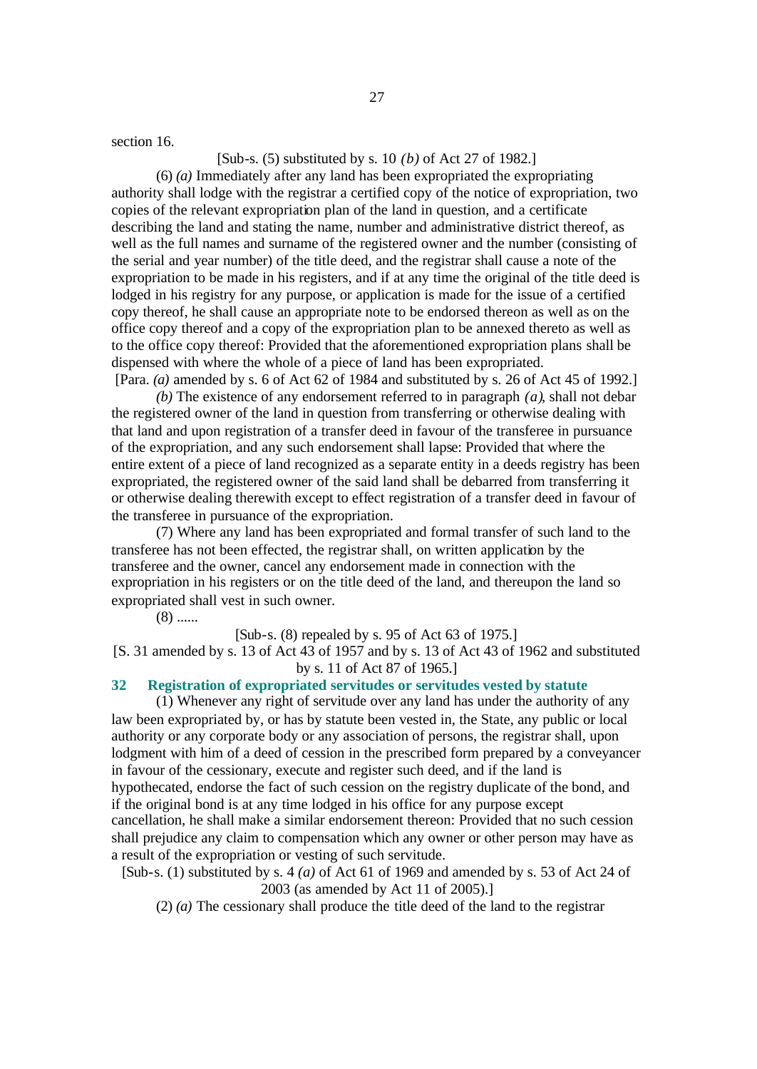section 16.

# [Sub-s. (5) substituted by s. 10 *(b)* of Act 27 of 1982.]

(6) *(a)* Immediately after any land has been expropriated the expropriating authority shall lodge with the registrar a certified copy of the notice of expropriation, two copies of the relevant expropriation plan of the land in question, and a certificate describing the land and stating the name, number and administrative district thereof, as well as the full names and surname of the registered owner and the number (consisting of the serial and year number) of the title deed, and the registrar shall cause a note of the expropriation to be made in his registers, and if at any time the original of the title deed is lodged in his registry for any purpose, or application is made for the issue of a certified copy thereof, he shall cause an appropriate note to be endorsed thereon as well as on the office copy thereof and a copy of the expropriation plan to be annexed thereto as well as to the office copy thereof: Provided that the aforementioned expropriation plans shall be dispensed with where the whole of a piece of land has been expropriated. [Para. *(a)* amended by s. 6 of Act 62 of 1984 and substituted by s. 26 of Act 45 of 1992.]

*(b)* The existence of any endorsement referred to in paragraph *(a)*, shall not debar the registered owner of the land in question from transferring or otherwise dealing with that land and upon registration of a transfer deed in favour of the transferee in pursuance of the expropriation, and any such endorsement shall lapse: Provided that where the entire extent of a piece of land recognized as a separate entity in a deeds registry has been expropriated, the registered owner of the said land shall be debarred from transferring it or otherwise dealing therewith except to effect registration of a transfer deed in favour of the transferee in pursuance of the expropriation.

(7) Where any land has been expropriated and formal transfer of such land to the transferee has not been effected, the registrar shall, on written application by the transferee and the owner, cancel any endorsement made in connection with the expropriation in his registers or on the title deed of the land, and thereupon the land so expropriated shall vest in such owner.

 $(8)$  ......

[Sub-s. (8) repealed by s. 95 of Act 63 of 1975.]

[S. 31 amended by s. 13 of Act 43 of 1957 and by s. 13 of Act 43 of 1962 and substituted by s. 11 of Act 87 of 1965.]

#### **32 Registration of expropriated servitudes or servitudes vested by statute**

(1) Whenever any right of servitude over any land has under the authority of any law been expropriated by, or has by statute been vested in, the State, any public or local authority or any corporate body or any association of persons, the registrar shall, upon lodgment with him of a deed of cession in the prescribed form prepared by a conveyancer in favour of the cessionary, execute and register such deed, and if the land is hypothecated, endorse the fact of such cession on the registry duplicate of the bond, and if the original bond is at any time lodged in his office for any purpose except cancellation, he shall make a similar endorsement thereon: Provided that no such cession shall prejudice any claim to compensation which any owner or other person may have as a result of the expropriation or vesting of such servitude.

[Sub-s. (1) substituted by s. 4 *(a)* of Act 61 of 1969 and amended by s. 53 of Act 24 of 2003 (as amended by Act 11 of 2005).]

(2) *(a)* The cessionary shall produce the title deed of the land to the registrar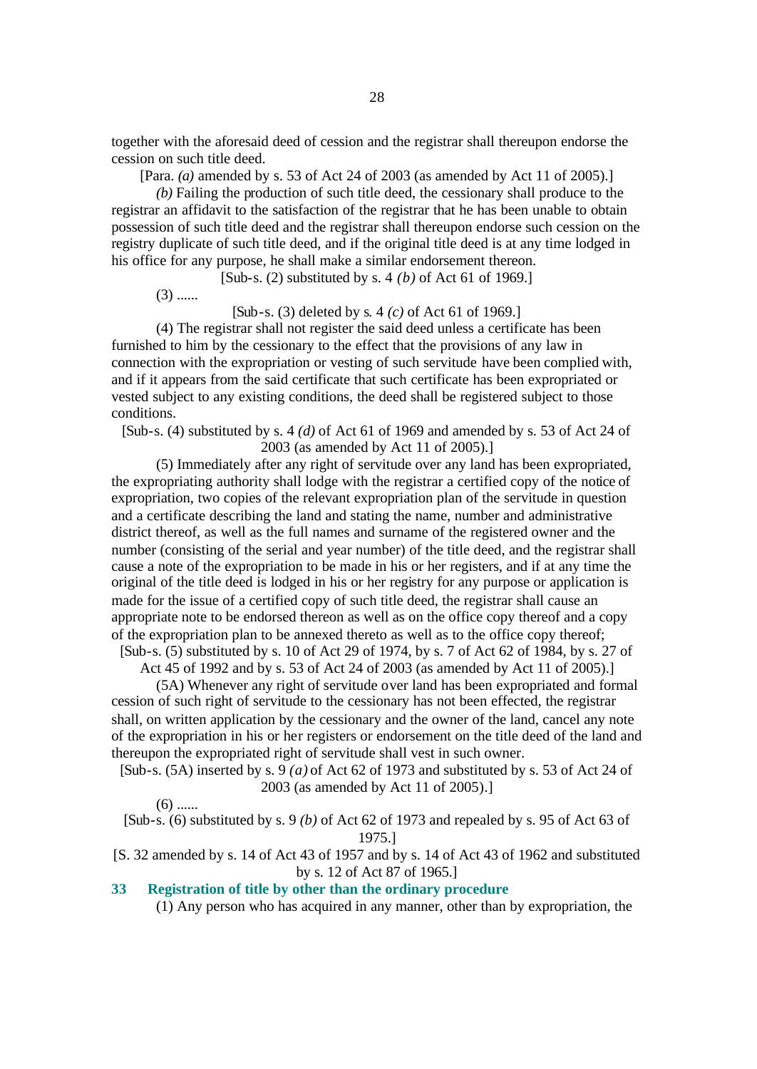together with the aforesaid deed of cession and the registrar shall thereupon endorse the cession on such title deed.

[Para. *(a)* amended by s. 53 of Act 24 of 2003 (as amended by Act 11 of 2005).]

*(b)* Failing the production of such title deed, the cessionary shall produce to the registrar an affidavit to the satisfaction of the registrar that he has been unable to obtain possession of such title deed and the registrar shall thereupon endorse such cession on the registry duplicate of such title deed, and if the original title deed is at any time lodged in his office for any purpose, he shall make a similar endorsement thereon.

[Sub-s. (2) substituted by s. 4 *(b)* of Act 61 of 1969.]

 $(3)$  ......

[Sub-s. (3) deleted by s. 4 *(c)* of Act 61 of 1969.]

(4) The registrar shall not register the said deed unless a certificate has been furnished to him by the cessionary to the effect that the provisions of any law in connection with the expropriation or vesting of such servitude have been complied with, and if it appears from the said certificate that such certificate has been expropriated or vested subject to any existing conditions, the deed shall be registered subject to those conditions.

[Sub-s. (4) substituted by s. 4 *(d)* of Act 61 of 1969 and amended by s. 53 of Act 24 of 2003 (as amended by Act 11 of 2005).]

(5) Immediately after any right of servitude over any land has been expropriated, the expropriating authority shall lodge with the registrar a certified copy of the notice of expropriation, two copies of the relevant expropriation plan of the servitude in question and a certificate describing the land and stating the name, number and administrative district thereof, as well as the full names and surname of the registered owner and the number (consisting of the serial and year number) of the title deed, and the registrar shall cause a note of the expropriation to be made in his or her registers, and if at any time the original of the title deed is lodged in his or her registry for any purpose or application is made for the issue of a certified copy of such title deed, the registrar shall cause an appropriate note to be endorsed thereon as well as on the office copy thereof and a copy of the expropriation plan to be annexed thereto as well as to the office copy thereof; [Sub-s. (5) substituted by s. 10 of Act 29 of 1974, by s. 7 of Act 62 of 1984, by s. 27 of

Act 45 of 1992 and by s. 53 of Act 24 of 2003 (as amended by Act 11 of 2005).]

(5A) Whenever any right of servitude over land has been expropriated and formal cession of such right of servitude to the cessionary has not been effected, the registrar shall, on written application by the cessionary and the owner of the land, cancel any note of the expropriation in his or her registers or endorsement on the title deed of the land and thereupon the expropriated right of servitude shall vest in such owner.

[Sub-s. (5A) inserted by s. 9 *(a)* of Act 62 of 1973 and substituted by s. 53 of Act 24 of 2003 (as amended by Act 11 of 2005).]

 $(6)$  ......

[Sub-s. (6) substituted by s. 9 *(b)* of Act 62 of 1973 and repealed by s. 95 of Act 63 of 1975.]

[S. 32 amended by s. 14 of Act 43 of 1957 and by s. 14 of Act 43 of 1962 and substituted by s. 12 of Act 87 of 1965.]

## **33 Registration of title by other than the ordinary procedure**

(1) Any person who has acquired in any manner, other than by expropriation, the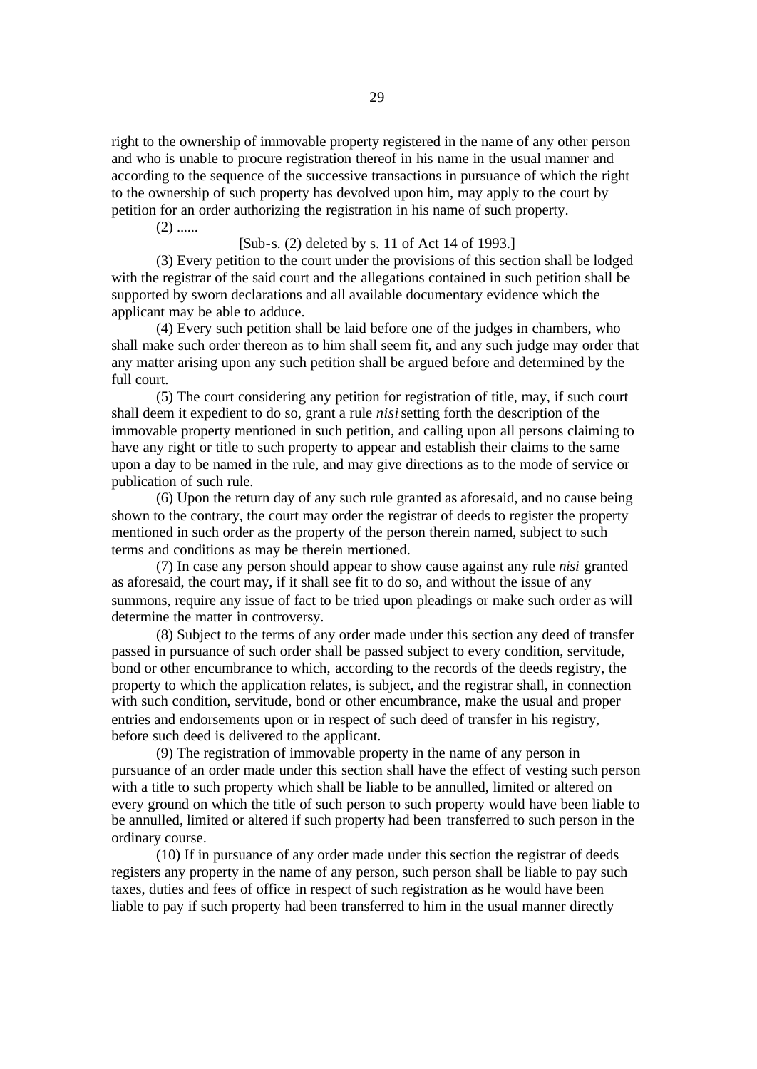right to the ownership of immovable property registered in the name of any other person and who is unable to procure registration thereof in his name in the usual manner and according to the sequence of the successive transactions in pursuance of which the right to the ownership of such property has devolved upon him, may apply to the court by petition for an order authorizing the registration in his name of such property.

 $(2)$  ......

#### [Sub-s. (2) deleted by s. 11 of Act 14 of 1993.]

(3) Every petition to the court under the provisions of this section shall be lodged with the registrar of the said court and the allegations contained in such petition shall be supported by sworn declarations and all available documentary evidence which the applicant may be able to adduce.

(4) Every such petition shall be laid before one of the judges in chambers, who shall make such order thereon as to him shall seem fit, and any such judge may order that any matter arising upon any such petition shall be argued before and determined by the full court.

(5) The court considering any petition for registration of title, may, if such court shall deem it expedient to do so, grant a rule *nisi* setting forth the description of the immovable property mentioned in such petition, and calling upon all persons claiming to have any right or title to such property to appear and establish their claims to the same upon a day to be named in the rule, and may give directions as to the mode of service or publication of such rule.

(6) Upon the return day of any such rule granted as aforesaid, and no cause being shown to the contrary, the court may order the registrar of deeds to register the property mentioned in such order as the property of the person therein named, subject to such terms and conditions as may be therein mentioned.

(7) In case any person should appear to show cause against any rule *nisi* granted as aforesaid, the court may, if it shall see fit to do so, and without the issue of any summons, require any issue of fact to be tried upon pleadings or make such order as will determine the matter in controversy.

(8) Subject to the terms of any order made under this section any deed of transfer passed in pursuance of such order shall be passed subject to every condition, servitude, bond or other encumbrance to which, according to the records of the deeds registry, the property to which the application relates, is subject, and the registrar shall, in connection with such condition, servitude, bond or other encumbrance, make the usual and proper entries and endorsements upon or in respect of such deed of transfer in his registry, before such deed is delivered to the applicant.

(9) The registration of immovable property in the name of any person in pursuance of an order made under this section shall have the effect of vesting such person with a title to such property which shall be liable to be annulled, limited or altered on every ground on which the title of such person to such property would have been liable to be annulled, limited or altered if such property had been transferred to such person in the ordinary course.

(10) If in pursuance of any order made under this section the registrar of deeds registers any property in the name of any person, such person shall be liable to pay such taxes, duties and fees of office in respect of such registration as he would have been liable to pay if such property had been transferred to him in the usual manner directly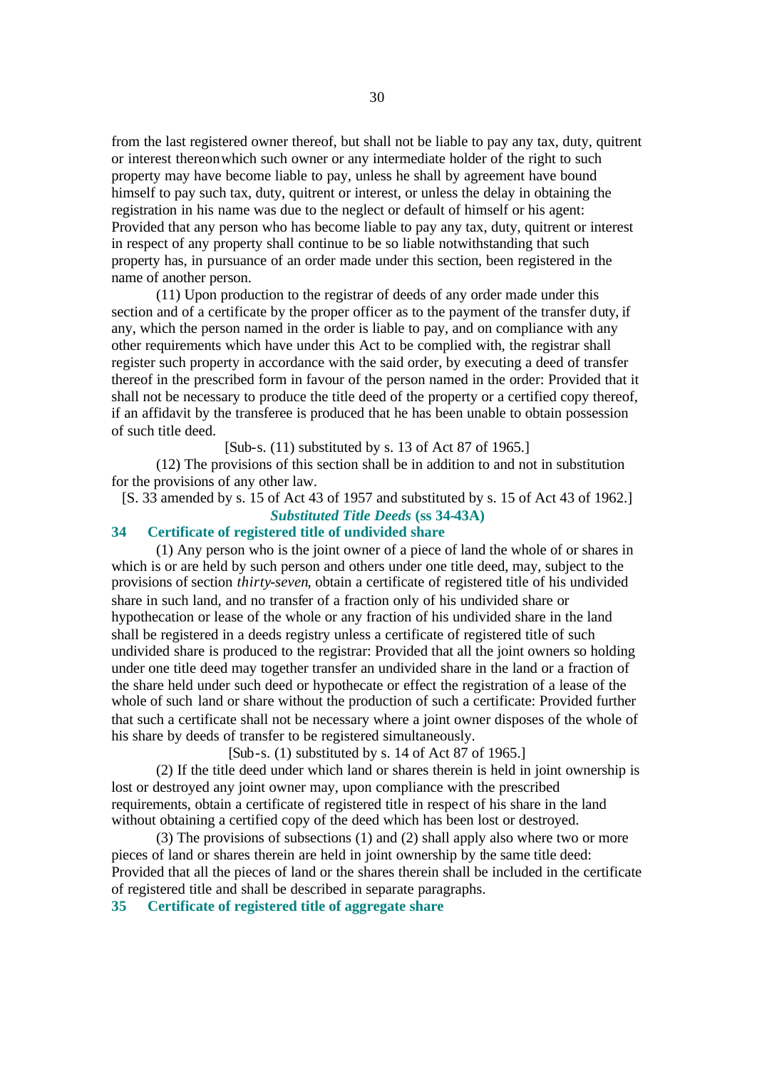from the last registered owner thereof, but shall not be liable to pay any tax, duty, quitrent or interest thereon which such owner or any intermediate holder of the right to such property may have become liable to pay, unless he shall by agreement have bound himself to pay such tax, duty, quitrent or interest, or unless the delay in obtaining the registration in his name was due to the neglect or default of himself or his agent: Provided that any person who has become liable to pay any tax, duty, quitrent or interest in respect of any property shall continue to be so liable notwithstanding that such property has, in pursuance of an order made under this section, been registered in the name of another person.

(11) Upon production to the registrar of deeds of any order made under this section and of a certificate by the proper officer as to the payment of the transfer duty, if any, which the person named in the order is liable to pay, and on compliance with any other requirements which have under this Act to be complied with, the registrar shall register such property in accordance with the said order, by executing a deed of transfer thereof in the prescribed form in favour of the person named in the order: Provided that it shall not be necessary to produce the title deed of the property or a certified copy thereof, if an affidavit by the transferee is produced that he has been unable to obtain possession of such title deed.

[Sub-s. (11) substituted by s. 13 of Act 87 of 1965.]

(12) The provisions of this section shall be in addition to and not in substitution for the provisions of any other law.

[S. 33 amended by s. 15 of Act 43 of 1957 and substituted by s. 15 of Act 43 of 1962.]

#### *Substituted Title Deeds* **(ss 34-43A)**

# **34 Certificate of registered title of undivided share**

(1) Any person who is the joint owner of a piece of land the whole of or shares in which is or are held by such person and others under one title deed, may, subject to the provisions of section *thirty-seven*, obtain a certificate of registered title of his undivided share in such land, and no transfer of a fraction only of his undivided share or hypothecation or lease of the whole or any fraction of his undivided share in the land shall be registered in a deeds registry unless a certificate of registered title of such undivided share is produced to the registrar: Provided that all the joint owners so holding under one title deed may together transfer an undivided share in the land or a fraction of the share held under such deed or hypothecate or effect the registration of a lease of the whole of such land or share without the production of such a certificate: Provided further that such a certificate shall not be necessary where a joint owner disposes of the whole of his share by deeds of transfer to be registered simultaneously.

[Sub-s. (1) substituted by s. 14 of Act 87 of 1965.]

(2) If the title deed under which land or shares therein is held in joint ownership is lost or destroyed any joint owner may, upon compliance with the prescribed requirements, obtain a certificate of registered title in respect of his share in the land without obtaining a certified copy of the deed which has been lost or destroyed.

(3) The provisions of subsections (1) and (2) shall apply also where two or more pieces of land or shares therein are held in joint ownership by the same title deed: Provided that all the pieces of land or the shares therein shall be included in the certificate of registered title and shall be described in separate paragraphs.

**35 Certificate of registered title of aggregate share**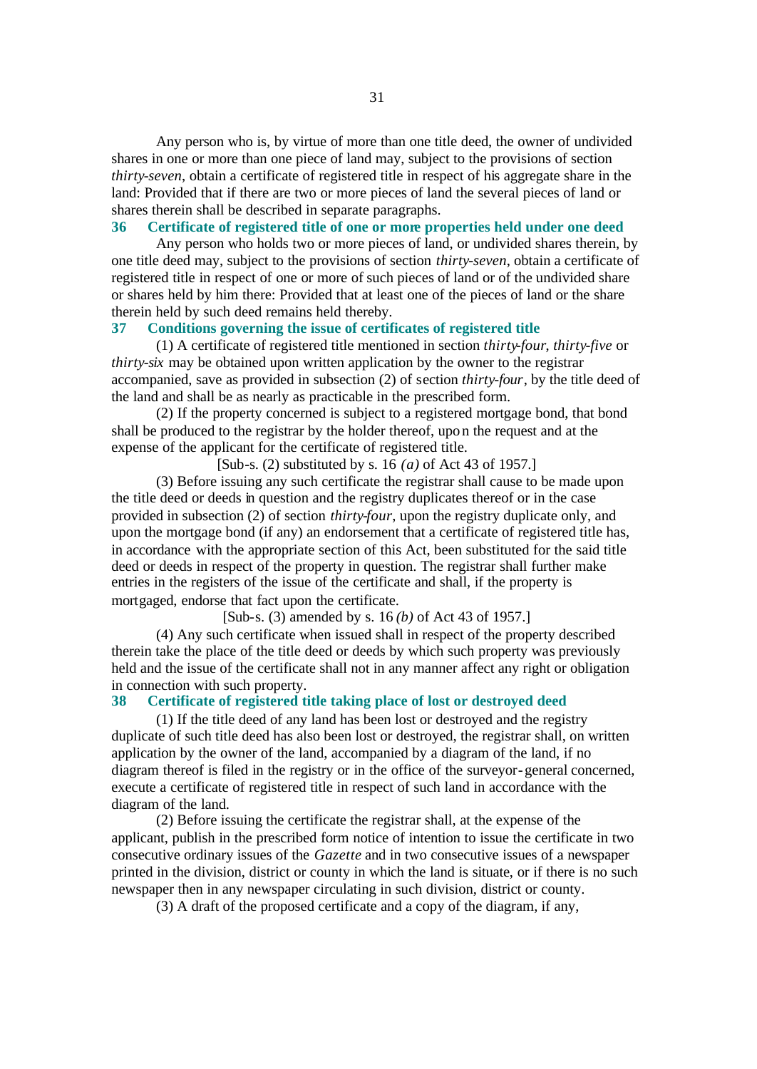Any person who is, by virtue of more than one title deed, the owner of undivided shares in one or more than one piece of land may, subject to the provisions of section *thirty-seven*, obtain a certificate of registered title in respect of his aggregate share in the land: Provided that if there are two or more pieces of land the several pieces of land or shares therein shall be described in separate paragraphs.

#### **36 Certificate of registered title of one or more properties held under one deed**

Any person who holds two or more pieces of land, or undivided shares therein, by one title deed may, subject to the provisions of section *thirty-seven*, obtain a certificate of registered title in respect of one or more of such pieces of land or of the undivided share or shares held by him there: Provided that at least one of the pieces of land or the share therein held by such deed remains held thereby.

# **37 Conditions governing the issue of certificates of registered title**

(1) A certificate of registered title mentioned in section *thirty-four*, *thirty-five* or *thirty-six* may be obtained upon written application by the owner to the registrar accompanied, save as provided in subsection (2) of section *thirty-four*, by the title deed of the land and shall be as nearly as practicable in the prescribed form.

(2) If the property concerned is subject to a registered mortgage bond, that bond shall be produced to the registrar by the holder thereof, upon the request and at the expense of the applicant for the certificate of registered title.

[Sub-s. (2) substituted by s. 16 *(a)* of Act 43 of 1957.]

(3) Before issuing any such certificate the registrar shall cause to be made upon the title deed or deeds in question and the registry duplicates thereof or in the case provided in subsection (2) of section *thirty-four*, upon the registry duplicate only, and upon the mortgage bond (if any) an endorsement that a certificate of registered title has, in accordance with the appropriate section of this Act, been substituted for the said title deed or deeds in respect of the property in question. The registrar shall further make entries in the registers of the issue of the certificate and shall, if the property is mortgaged, endorse that fact upon the certificate.

[Sub-s. (3) amended by s. 16 *(b)* of Act 43 of 1957.]

(4) Any such certificate when issued shall in respect of the property described therein take the place of the title deed or deeds by which such property was previously held and the issue of the certificate shall not in any manner affect any right or obligation in connection with such property.

#### **38 Certificate of registered title taking place of lost or destroyed deed**

(1) If the title deed of any land has been lost or destroyed and the registry duplicate of such title deed has also been lost or destroyed, the registrar shall, on written application by the owner of the land, accompanied by a diagram of the land, if no diagram thereof is filed in the registry or in the office of the surveyor-general concerned, execute a certificate of registered title in respect of such land in accordance with the diagram of the land.

(2) Before issuing the certificate the registrar shall, at the expense of the applicant, publish in the prescribed form notice of intention to issue the certificate in two consecutive ordinary issues of the *Gazette* and in two consecutive issues of a newspaper printed in the division, district or county in which the land is situate, or if there is no such newspaper then in any newspaper circulating in such division, district or county.

(3) A draft of the proposed certificate and a copy of the diagram, if any,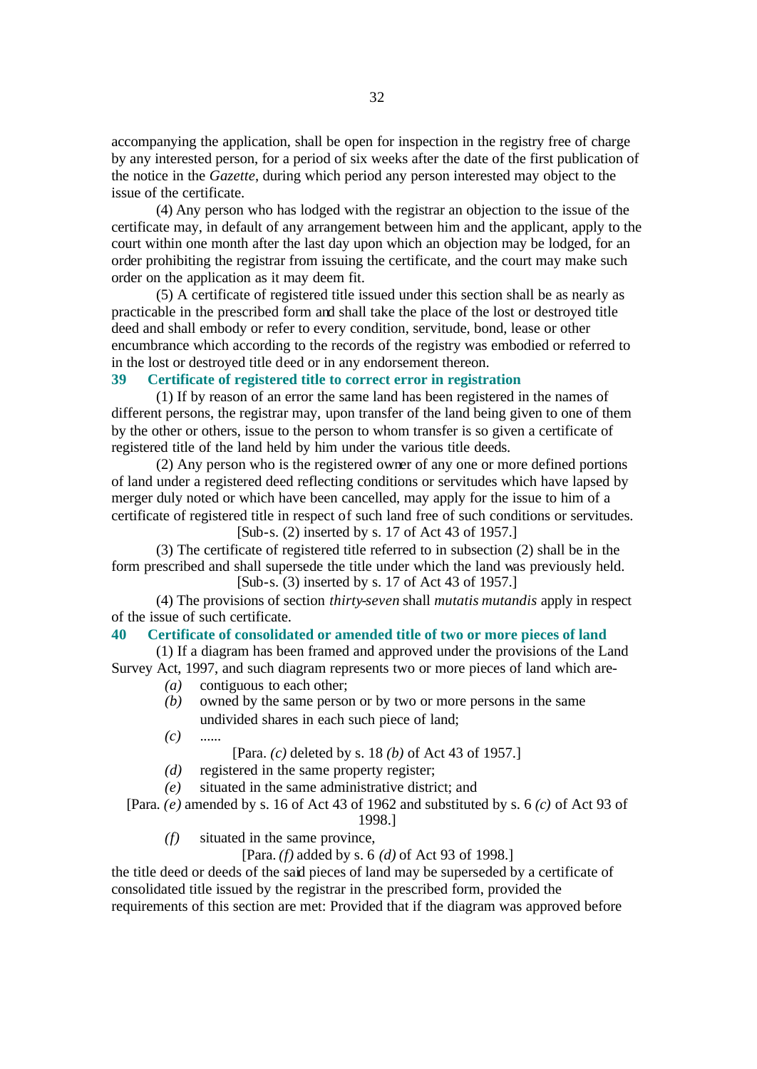accompanying the application, shall be open for inspection in the registry free of charge by any interested person, for a period of six weeks after the date of the first publication of the notice in the *Gazette*, during which period any person interested may object to the issue of the certificate.

(4) Any person who has lodged with the registrar an objection to the issue of the certificate may, in default of any arrangement between him and the applicant, apply to the court within one month after the last day upon which an objection may be lodged, for an order prohibiting the registrar from issuing the certificate, and the court may make such order on the application as it may deem fit.

(5) A certificate of registered title issued under this section shall be as nearly as practicable in the prescribed form and shall take the place of the lost or destroyed title deed and shall embody or refer to every condition, servitude, bond, lease or other encumbrance which according to the records of the registry was embodied or referred to in the lost or destroyed title deed or in any endorsement thereon.

#### **39 Certificate of registered title to correct error in registration**

(1) If by reason of an error the same land has been registered in the names of different persons, the registrar may, upon transfer of the land being given to one of them by the other or others, issue to the person to whom transfer is so given a certificate of registered title of the land held by him under the various title deeds.

(2) Any person who is the registered owner of any one or more defined portions of land under a registered deed reflecting conditions or servitudes which have lapsed by merger duly noted or which have been cancelled, may apply for the issue to him of a certificate of registered title in respect of such land free of such conditions or servitudes. [Sub-s. (2) inserted by s. 17 of Act 43 of 1957.]

(3) The certificate of registered title referred to in subsection (2) shall be in the form prescribed and shall supersede the title under which the land was previously held. [Sub-s. (3) inserted by s. 17 of Act 43 of 1957.]

(4) The provisions of section *thirty-seven* shall *mutatis mutandis* apply in respect of the issue of such certificate.

#### **40 Certificate of consolidated or amended title of two or more pieces of land**

(1) If a diagram has been framed and approved under the provisions of the Land Survey Act, 1997, and such diagram represents two or more pieces of land which are-

- *(a)* contiguous to each other;
- *(b)* owned by the same person or by two or more persons in the same undivided shares in each such piece of land;
- *(c)* ......

[Para. *(c)* deleted by s. 18 *(b)* of Act 43 of 1957.]

- *(d)* registered in the same property register;
- *(e)* situated in the same administrative district; and

[Para. *(e)* amended by s. 16 of Act 43 of 1962 and substituted by s. 6 *(c)* of Act 93 of 1998.]

*(f)* situated in the same province,

[Para. *(f)* added by s. 6 *(d)* of Act 93 of 1998.]

the title deed or deeds of the said pieces of land may be superseded by a certificate of consolidated title issued by the registrar in the prescribed form, provided the requirements of this section are met: Provided that if the diagram was approved before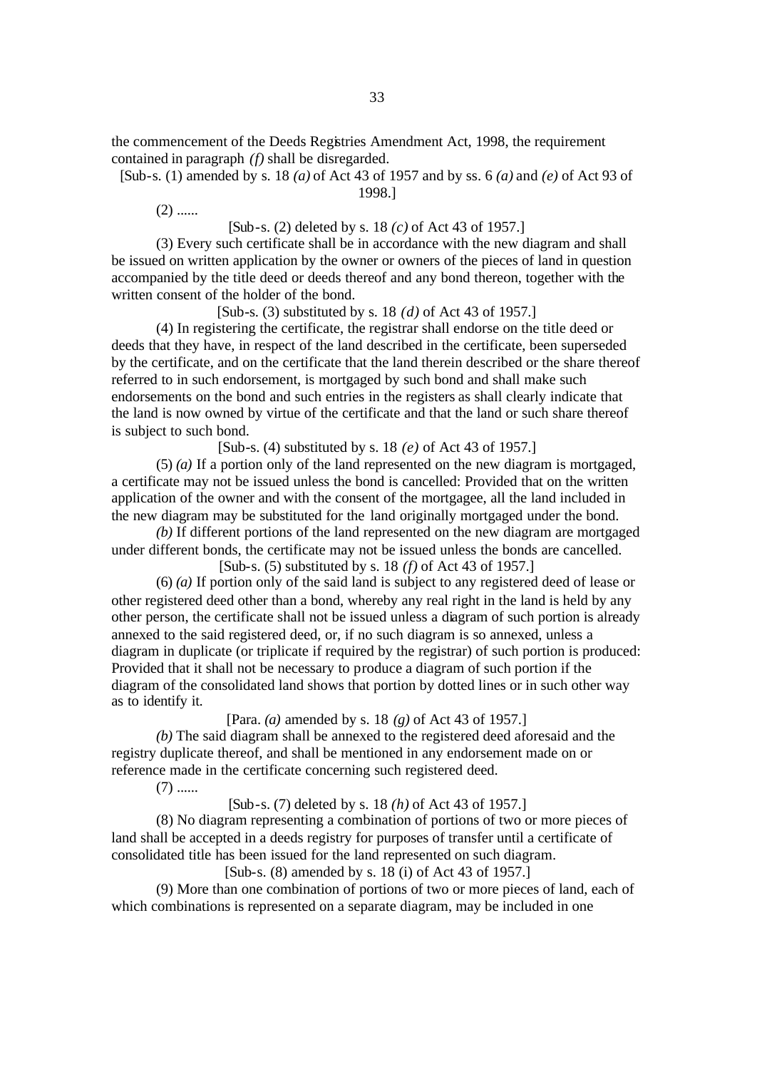the commencement of the Deeds Registries Amendment Act, 1998, the requirement contained in paragraph *(f)* shall be disregarded.

[Sub-s. (1) amended by s. 18 *(a)* of Act 43 of 1957 and by ss. 6 *(a)* and *(e)* of Act 93 of 1998.]

 $(2)$  ......

[Sub-s. (2) deleted by s. 18 *(c)* of Act 43 of 1957.]

(3) Every such certificate shall be in accordance with the new diagram and shall be issued on written application by the owner or owners of the pieces of land in question accompanied by the title deed or deeds thereof and any bond thereon, together with the written consent of the holder of the bond.

[Sub-s. (3) substituted by s. 18 *(d)* of Act 43 of 1957.]

(4) In registering the certificate, the registrar shall endorse on the title deed or deeds that they have, in respect of the land described in the certificate, been superseded by the certificate, and on the certificate that the land therein described or the share thereof referred to in such endorsement, is mortgaged by such bond and shall make such endorsements on the bond and such entries in the registers as shall clearly indicate that the land is now owned by virtue of the certificate and that the land or such share thereof is subject to such bond.

[Sub-s. (4) substituted by s. 18 *(e)* of Act 43 of 1957.]

(5) *(a)* If a portion only of the land represented on the new diagram is mortgaged, a certificate may not be issued unless the bond is cancelled: Provided that on the written application of the owner and with the consent of the mortgagee, all the land included in the new diagram may be substituted for the land originally mortgaged under the bond.

*(b)* If different portions of the land represented on the new diagram are mortgaged under different bonds, the certificate may not be issued unless the bonds are cancelled. [Sub-s. (5) substituted by s. 18 *(f)* of Act 43 of 1957.]

(6) *(a)* If portion only of the said land is subject to any registered deed of lease or other registered deed other than a bond, whereby any real right in the land is held by any other person, the certificate shall not be issued unless a diagram of such portion is already annexed to the said registered deed, or, if no such diagram is so annexed, unless a diagram in duplicate (or triplicate if required by the registrar) of such portion is produced: Provided that it shall not be necessary to produce a diagram of such portion if the diagram of the consolidated land shows that portion by dotted lines or in such other way as to identify it.

[Para. *(a)* amended by s. 18 *(g)* of Act 43 of 1957.]

*(b)* The said diagram shall be annexed to the registered deed aforesaid and the registry duplicate thereof, and shall be mentioned in any endorsement made on or reference made in the certificate concerning such registered deed.

 $(7)$  ......

[Sub-s. (7) deleted by s. 18 *(h)* of Act 43 of 1957.]

(8) No diagram representing a combination of portions of two or more pieces of land shall be accepted in a deeds registry for purposes of transfer until a certificate of consolidated title has been issued for the land represented on such diagram.

[Sub-s. (8) amended by s. 18 (i) of Act 43 of 1957.]

(9) More than one combination of portions of two or more pieces of land, each of which combinations is represented on a separate diagram, may be included in one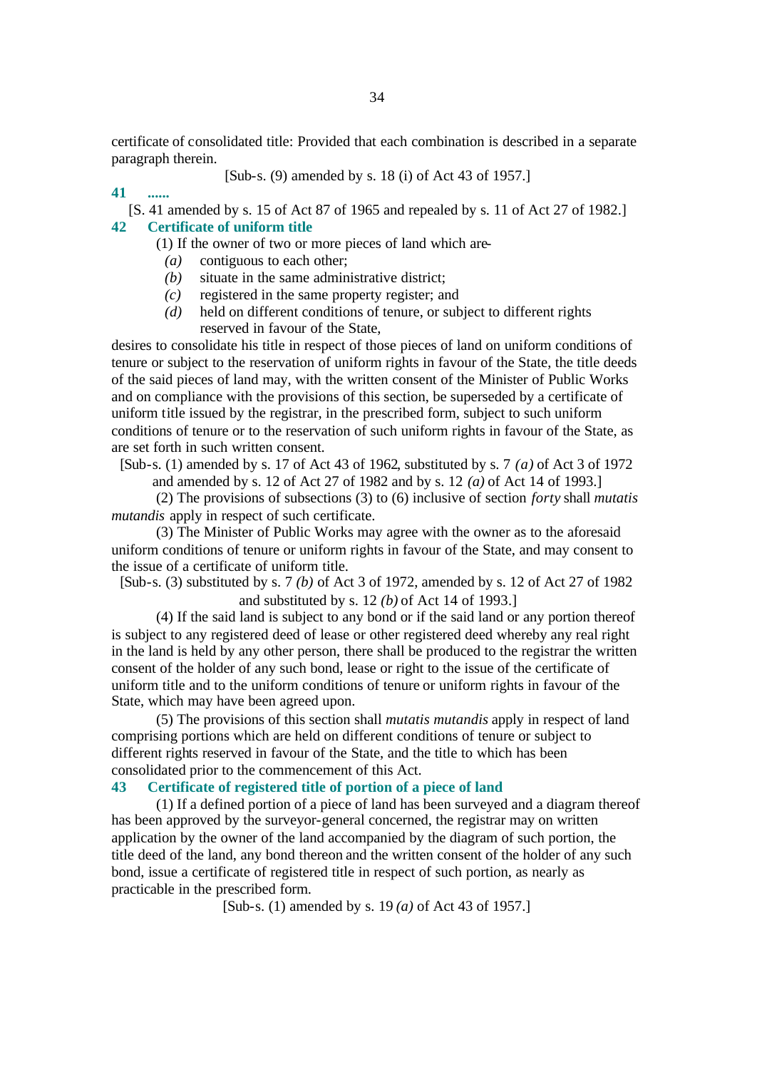certificate of consolidated title: Provided that each combination is described in a separate paragraph therein.

[Sub-s. (9) amended by s. 18 (i) of Act 43 of 1957.]

**41 ......**

[S. 41 amended by s. 15 of Act 87 of 1965 and repealed by s. 11 of Act 27 of 1982.]

# **42 Certificate of uniform title**

(1) If the owner of two or more pieces of land which are-

- *(a)* contiguous to each other;
- *(b)* situate in the same administrative district;
- *(c)* registered in the same property register; and
- *(d)* held on different conditions of tenure, or subject to different rights reserved in favour of the State,

desires to consolidate his title in respect of those pieces of land on uniform conditions of tenure or subject to the reservation of uniform rights in favour of the State, the title deeds of the said pieces of land may, with the written consent of the Minister of Public Works and on compliance with the provisions of this section, be superseded by a certificate of uniform title issued by the registrar, in the prescribed form, subject to such uniform conditions of tenure or to the reservation of such uniform rights in favour of the State, as are set forth in such written consent.

[Sub-s. (1) amended by s. 17 of Act 43 of 1962, substituted by s. 7 *(a)* of Act 3 of 1972

and amended by s. 12 of Act 27 of 1982 and by s. 12 *(a)* of Act 14 of 1993.]

(2) The provisions of subsections (3) to (6) inclusive of section *forty* shall *mutatis mutandis* apply in respect of such certificate.

(3) The Minister of Public Works may agree with the owner as to the aforesaid uniform conditions of tenure or uniform rights in favour of the State, and may consent to the issue of a certificate of uniform title.

[Sub-s. (3) substituted by s. 7 *(b)* of Act 3 of 1972, amended by s. 12 of Act 27 of 1982 and substituted by s. 12 *(b)* of Act 14 of 1993.]

(4) If the said land is subject to any bond or if the said land or any portion thereof is subject to any registered deed of lease or other registered deed whereby any real right in the land is held by any other person, there shall be produced to the registrar the written consent of the holder of any such bond, lease or right to the issue of the certificate of uniform title and to the uniform conditions of tenure or uniform rights in favour of the State, which may have been agreed upon.

(5) The provisions of this section shall *mutatis mutandis* apply in respect of land comprising portions which are held on different conditions of tenure or subject to different rights reserved in favour of the State, and the title to which has been consolidated prior to the commencement of this Act.

#### **43 Certificate of registered title of portion of a piece of land**

(1) If a defined portion of a piece of land has been surveyed and a diagram thereof has been approved by the surveyor-general concerned, the registrar may on written application by the owner of the land accompanied by the diagram of such portion, the title deed of the land, any bond thereon and the written consent of the holder of any such bond, issue a certificate of registered title in respect of such portion, as nearly as practicable in the prescribed form.

[Sub-s. (1) amended by s. 19 *(a)* of Act 43 of 1957.]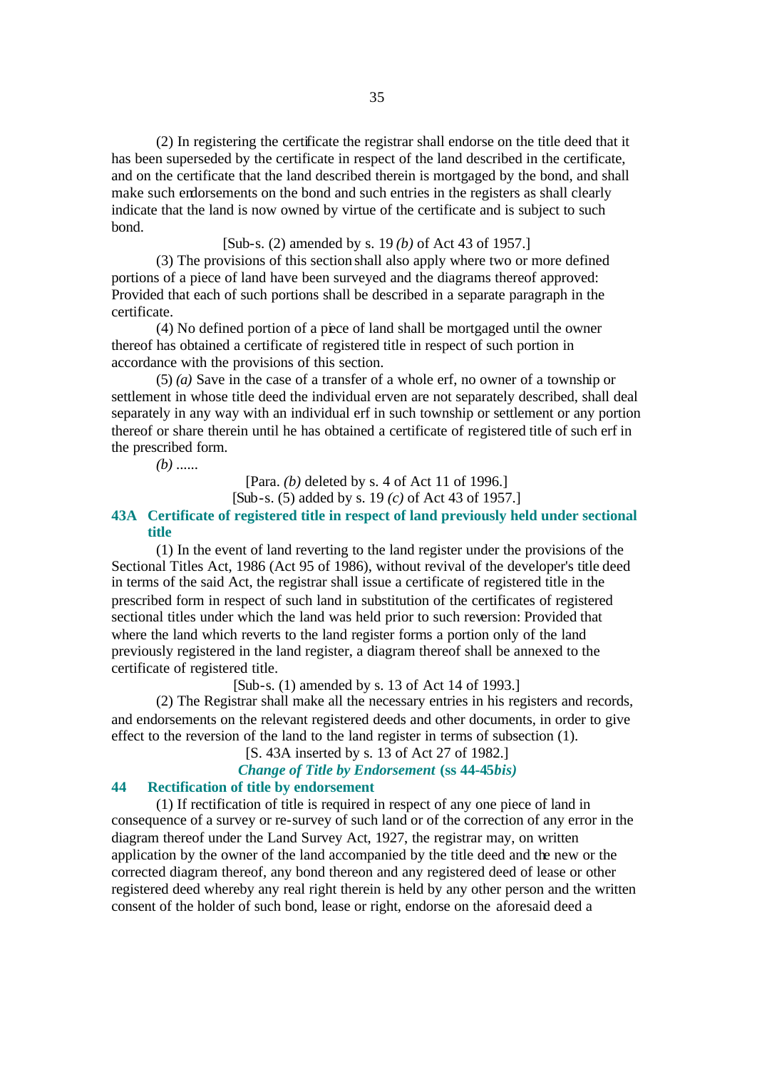(2) In registering the certificate the registrar shall endorse on the title deed that it has been superseded by the certificate in respect of the land described in the certificate, and on the certificate that the land described therein is mortgaged by the bond, and shall make such endorsements on the bond and such entries in the registers as shall clearly indicate that the land is now owned by virtue of the certificate and is subject to such bond.

## [Sub-s. (2) amended by s. 19 *(b)* of Act 43 of 1957.]

(3) The provisions of this section shall also apply where two or more defined portions of a piece of land have been surveyed and the diagrams thereof approved: Provided that each of such portions shall be described in a separate paragraph in the certificate.

(4) No defined portion of a piece of land shall be mortgaged until the owner thereof has obtained a certificate of registered title in respect of such portion in accordance with the provisions of this section.

(5) *(a)* Save in the case of a transfer of a whole erf, no owner of a township or settlement in whose title deed the individual erven are not separately described, shall deal separately in any way with an individual erf in such township or settlement or any portion thereof or share therein until he has obtained a certificate of registered title of such erf in the prescribed form.

*(b)* ......

[Para. *(b)* deleted by s. 4 of Act 11 of 1996.] [Sub-s. (5) added by s. 19 *(c)* of Act 43 of 1957.]

# **43A Certificate of registered title in respect of land previously held under sectional title**

(1) In the event of land reverting to the land register under the provisions of the Sectional Titles Act, 1986 (Act 95 of 1986), without revival of the developer's title deed in terms of the said Act, the registrar shall issue a certificate of registered title in the prescribed form in respect of such land in substitution of the certificates of registered sectional titles under which the land was held prior to such reversion: Provided that where the land which reverts to the land register forms a portion only of the land previously registered in the land register, a diagram thereof shall be annexed to the certificate of registered title.

[Sub-s. (1) amended by s. 13 of Act 14 of 1993.]

(2) The Registrar shall make all the necessary entries in his registers and records, and endorsements on the relevant registered deeds and other documents, in order to give effect to the reversion of the land to the land register in terms of subsection (1).

[S. 43A inserted by s. 13 of Act 27 of 1982.]

# *Change of Title by Endorsement* **(ss 44-45***bis)*

# **44 Rectification of title by endorsement**

(1) If rectification of title is required in respect of any one piece of land in consequence of a survey or re-survey of such land or of the correction of any error in the diagram thereof under the Land Survey Act, 1927, the registrar may, on written application by the owner of the land accompanied by the title deed and the new or the corrected diagram thereof, any bond thereon and any registered deed of lease or other registered deed whereby any real right therein is held by any other person and the written consent of the holder of such bond, lease or right, endorse on the aforesaid deed a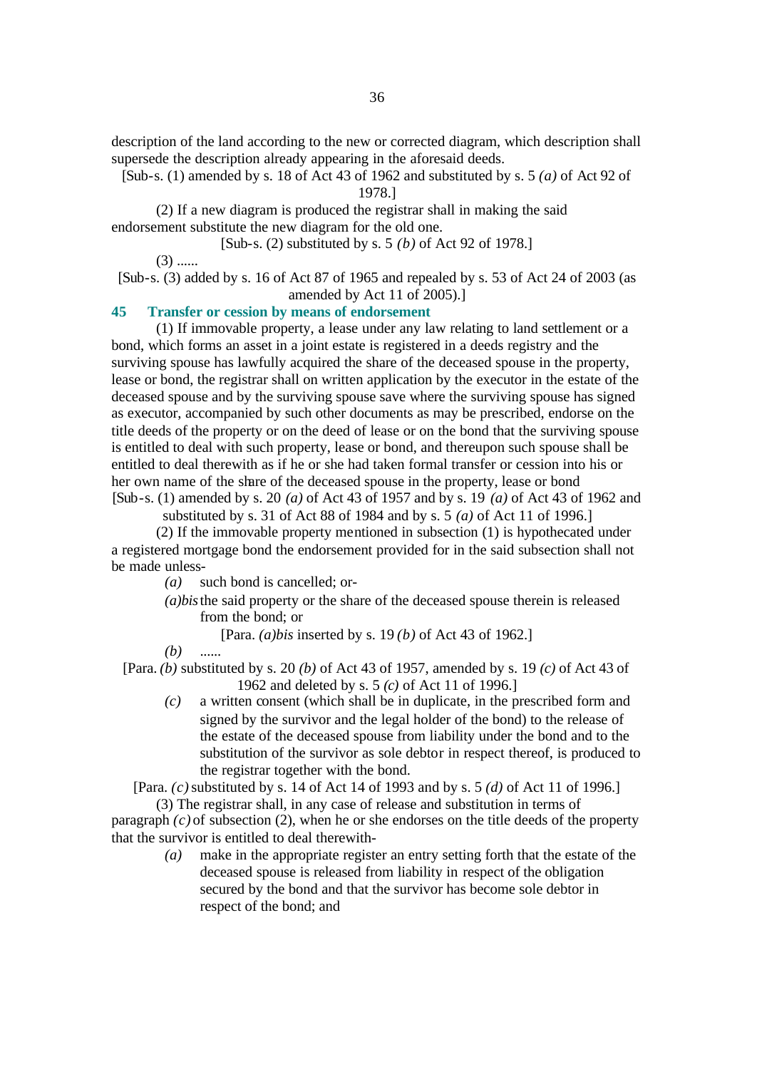description of the land according to the new or corrected diagram, which description shall supersede the description already appearing in the aforesaid deeds.

[Sub-s. (1) amended by s. 18 of Act 43 of 1962 and substituted by s. 5 *(a)* of Act 92 of

1978.]

(2) If a new diagram is produced the registrar shall in making the said endorsement substitute the new diagram for the old one.

[Sub-s. (2) substituted by s. 5 *(b)* of Act 92 of 1978.]

 $(3)$  ......

[Sub-s. (3) added by s. 16 of Act 87 of 1965 and repealed by s. 53 of Act 24 of 2003 (as amended by Act 11 of 2005).]

# **45 Transfer or cession by means of endorsement**

(1) If immovable property, a lease under any law relating to land settlement or a bond, which forms an asset in a joint estate is registered in a deeds registry and the surviving spouse has lawfully acquired the share of the deceased spouse in the property, lease or bond, the registrar shall on written application by the executor in the estate of the deceased spouse and by the surviving spouse save where the surviving spouse has signed as executor, accompanied by such other documents as may be prescribed, endorse on the title deeds of the property or on the deed of lease or on the bond that the surviving spouse is entitled to deal with such property, lease or bond, and thereupon such spouse shall be entitled to deal therewith as if he or she had taken formal transfer or cession into his or her own name of the share of the deceased spouse in the property, lease or bond [Sub-s. (1) amended by s. 20 *(a)* of Act 43 of 1957 and by s. 19 *(a)* of Act 43 of 1962 and

substituted by s. 31 of Act 88 of 1984 and by s. 5 *(a)* of Act 11 of 1996.]

(2) If the immovable property mentioned in subsection (1) is hypothecated under a registered mortgage bond the endorsement provided for in the said subsection shall not be made unless-

*(a)* such bond is cancelled; or-

- *(a)bis*the said property or the share of the deceased spouse therein is released from the bond; or
	- [Para. *(a)bis* inserted by s. 19 *(b)* of Act 43 of 1962.]
- *(b)* ......

[Para. *(b)* substituted by s. 20 *(b)* of Act 43 of 1957, amended by s. 19 *(c)* of Act 43 of 1962 and deleted by s. 5 *(c)* of Act 11 of 1996.]

*(c)* a written consent (which shall be in duplicate, in the prescribed form and signed by the survivor and the legal holder of the bond) to the release of the estate of the deceased spouse from liability under the bond and to the substitution of the survivor as sole debtor in respect thereof, is produced to the registrar together with the bond.

[Para. *(c)* substituted by s. 14 of Act 14 of 1993 and by s. 5 *(d)* of Act 11 of 1996.]

(3) The registrar shall, in any case of release and substitution in terms of paragraph  $(c)$  of subsection  $(2)$ , when he or she endorses on the title deeds of the property that the survivor is entitled to deal therewith-

> *(a)* make in the appropriate register an entry setting forth that the estate of the deceased spouse is released from liability in respect of the obligation secured by the bond and that the survivor has become sole debtor in respect of the bond; and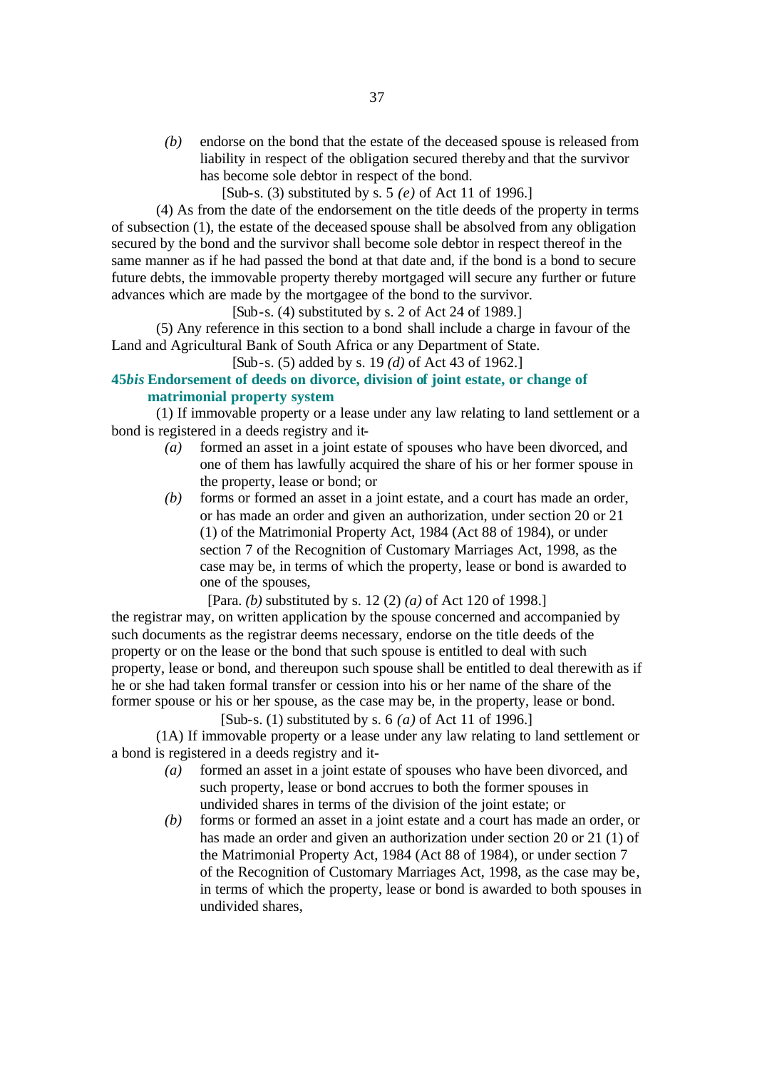*(b)* endorse on the bond that the estate of the deceased spouse is released from liability in respect of the obligation secured thereby and that the survivor has become sole debtor in respect of the bond.

[Sub-s. (3) substituted by s. 5 *(e)* of Act 11 of 1996.]

(4) As from the date of the endorsement on the title deeds of the property in terms of subsection (1), the estate of the deceased spouse shall be absolved from any obligation secured by the bond and the survivor shall become sole debtor in respect thereof in the same manner as if he had passed the bond at that date and, if the bond is a bond to secure future debts, the immovable property thereby mortgaged will secure any further or future advances which are made by the mortgagee of the bond to the survivor.

 $[Sub-s. (4)$  substituted by s. 2 of Act 24 of 1989.]

(5) Any reference in this section to a bond shall include a charge in favour of the Land and Agricultural Bank of South Africa or any Department of State.

[Sub-s. (5) added by s. 19 *(d)* of Act 43 of 1962.]

# **45***bis* **Endorsement of deeds on divorce, division of joint estate, or change of matrimonial property system**

(1) If immovable property or a lease under any law relating to land settlement or a bond is registered in a deeds registry and it-

- *(a)* formed an asset in a joint estate of spouses who have been divorced, and one of them has lawfully acquired the share of his or her former spouse in the property, lease or bond; or
- *(b)* forms or formed an asset in a joint estate, and a court has made an order, or has made an order and given an authorization, under section 20 or 21 (1) of the Matrimonial Property Act, 1984 (Act 88 of 1984), or under section 7 of the Recognition of Customary Marriages Act, 1998, as the case may be, in terms of which the property, lease or bond is awarded to one of the spouses,

[Para. *(b)* substituted by s. 12 (2) *(a)* of Act 120 of 1998.] the registrar may, on written application by the spouse concerned and accompanied by such documents as the registrar deems necessary, endorse on the title deeds of the property or on the lease or the bond that such spouse is entitled to deal with such property, lease or bond, and thereupon such spouse shall be entitled to deal therewith as if he or she had taken formal transfer or cession into his or her name of the share of the former spouse or his or her spouse, as the case may be, in the property, lease or bond.

[Sub-s. (1) substituted by s. 6 *(a)* of Act 11 of 1996.]

(1A) If immovable property or a lease under any law relating to land settlement or a bond is registered in a deeds registry and it-

- *(a)* formed an asset in a joint estate of spouses who have been divorced, and such property, lease or bond accrues to both the former spouses in undivided shares in terms of the division of the joint estate; or
- *(b)* forms or formed an asset in a joint estate and a court has made an order, or has made an order and given an authorization under section 20 or 21 (1) of the Matrimonial Property Act, 1984 (Act 88 of 1984), or under section 7 of the Recognition of Customary Marriages Act, 1998, as the case may be, in terms of which the property, lease or bond is awarded to both spouses in undivided shares,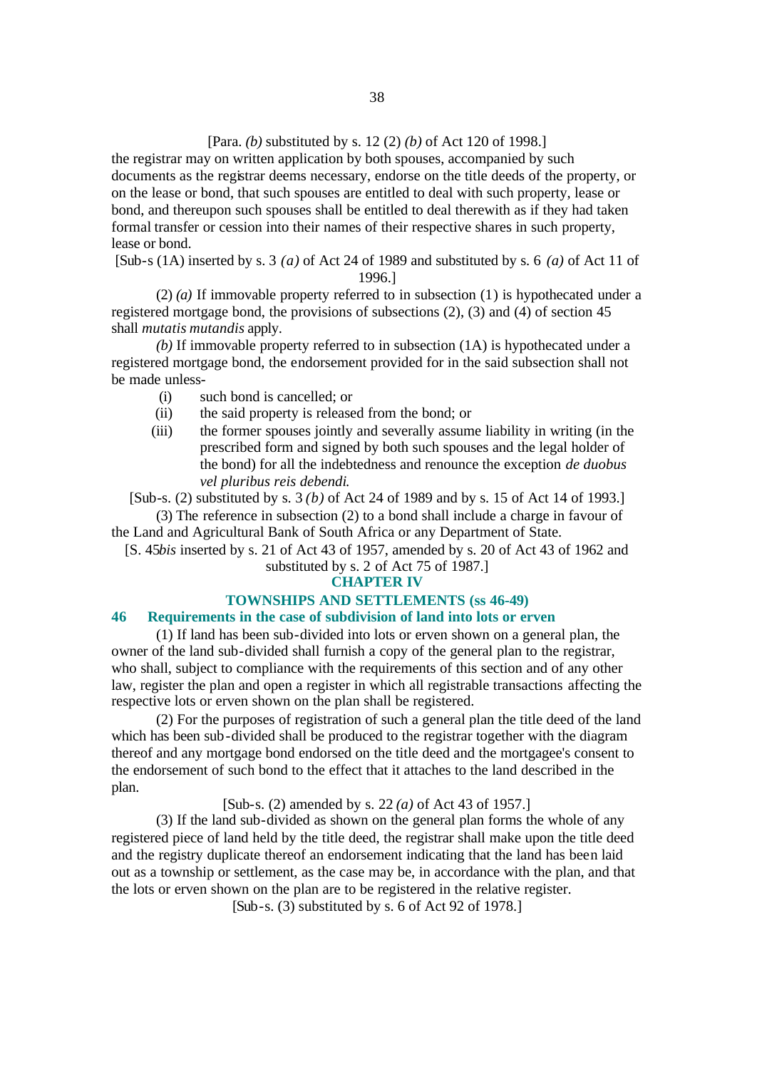# [Para. *(b)* substituted by s. 12 (2) *(b)* of Act 120 of 1998.]

the registrar may on written application by both spouses, accompanied by such documents as the registrar deems necessary, endorse on the title deeds of the property, or on the lease or bond, that such spouses are entitled to deal with such property, lease or bond, and thereupon such spouses shall be entitled to deal therewith as if they had taken formal transfer or cession into their names of their respective shares in such property, lease or bond.

[Sub-s (1A) inserted by s. 3 *(a)* of Act 24 of 1989 and substituted by s. 6 *(a)* of Act 11 of 1996.]

(2) *(a)* If immovable property referred to in subsection (1) is hypothecated under a registered mortgage bond, the provisions of subsections (2), (3) and (4) of section 45 shall *mutatis mutandis* apply.

*(b)* If immovable property referred to in subsection (1A) is hypothecated under a registered mortgage bond, the endorsement provided for in the said subsection shall not be made unless-

- (i) such bond is cancelled; or
- (ii) the said property is released from the bond; or
- (iii) the former spouses jointly and severally assume liability in writing (in the prescribed form and signed by both such spouses and the legal holder of the bond) for all the indebtedness and renounce the exception *de duobus vel pluribus reis debendi*.

[Sub-s. (2) substituted by s. 3 *(b)* of Act 24 of 1989 and by s. 15 of Act 14 of 1993.]

(3) The reference in subsection (2) to a bond shall include a charge in favour of the Land and Agricultural Bank of South Africa or any Department of State.

[S. 45*bis* inserted by s. 21 of Act 43 of 1957, amended by s. 20 of Act 43 of 1962 and substituted by s. 2 of Act 75 of 1987.]

#### **CHAPTER IV**

#### **TOWNSHIPS AND SETTLEMENTS (ss 46-49)**

#### **46 Requirements in the case of subdivision of land into lots or erven**

(1) If land has been sub-divided into lots or erven shown on a general plan, the owner of the land sub-divided shall furnish a copy of the general plan to the registrar, who shall, subject to compliance with the requirements of this section and of any other law, register the plan and open a register in which all registrable transactions affecting the respective lots or erven shown on the plan shall be registered.

(2) For the purposes of registration of such a general plan the title deed of the land which has been sub-divided shall be produced to the registrar together with the diagram thereof and any mortgage bond endorsed on the title deed and the mortgagee's consent to the endorsement of such bond to the effect that it attaches to the land described in the plan.

[Sub-s. (2) amended by s. 22 *(a)* of Act 43 of 1957.]

(3) If the land sub-divided as shown on the general plan forms the whole of any registered piece of land held by the title deed, the registrar shall make upon the title deed and the registry duplicate thereof an endorsement indicating that the land has been laid out as a township or settlement, as the case may be, in accordance with the plan, and that the lots or erven shown on the plan are to be registered in the relative register.

[Sub-s. (3) substituted by s. 6 of Act 92 of 1978.]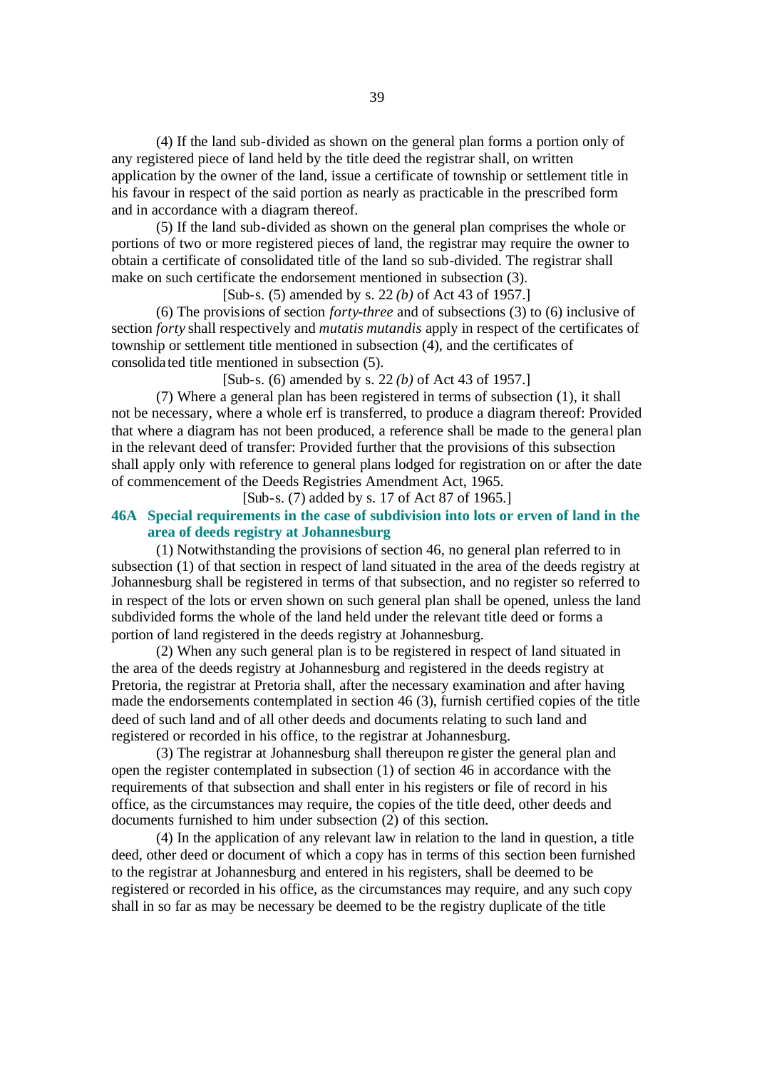(4) If the land sub-divided as shown on the general plan forms a portion only of any registered piece of land held by the title deed the registrar shall, on written application by the owner of the land, issue a certificate of township or settlement title in his favour in respect of the said portion as nearly as practicable in the prescribed form and in accordance with a diagram thereof.

(5) If the land sub-divided as shown on the general plan comprises the whole or portions of two or more registered pieces of land, the registrar may require the owner to obtain a certificate of consolidated title of the land so sub-divided. The registrar shall make on such certificate the endorsement mentioned in subsection (3).

[Sub-s. (5) amended by s. 22 *(b)* of Act 43 of 1957.]

(6) The provisions of section *forty-three* and of subsections (3) to (6) inclusive of section *forty* shall respectively and *mutatis mutandis* apply in respect of the certificates of township or settlement title mentioned in subsection (4), and the certificates of consolida ted title mentioned in subsection (5).

[Sub-s. (6) amended by s. 22 *(b)* of Act 43 of 1957.]

(7) Where a general plan has been registered in terms of subsection (1), it shall not be necessary, where a whole erf is transferred, to produce a diagram thereof: Provided that where a diagram has not been produced, a reference shall be made to the general plan in the relevant deed of transfer: Provided further that the provisions of this subsection shall apply only with reference to general plans lodged for registration on or after the date of commencement of the Deeds Registries Amendment Act, 1965.

[Sub-s. (7) added by s. 17 of Act 87 of 1965.]

# **46A Special requirements in the case of subdivision into lots or erven of land in the area of deeds registry at Johannesburg**

(1) Notwithstanding the provisions of section 46, no general plan referred to in subsection (1) of that section in respect of land situated in the area of the deeds registry at Johannesburg shall be registered in terms of that subsection, and no register so referred to in respect of the lots or erven shown on such general plan shall be opened, unless the land subdivided forms the whole of the land held under the relevant title deed or forms a portion of land registered in the deeds registry at Johannesburg.

(2) When any such general plan is to be registered in respect of land situated in the area of the deeds registry at Johannesburg and registered in the deeds registry at Pretoria, the registrar at Pretoria shall, after the necessary examination and after having made the endorsements contemplated in section 46 (3), furnish certified copies of the title deed of such land and of all other deeds and documents relating to such land and registered or recorded in his office, to the registrar at Johannesburg.

(3) The registrar at Johannesburg shall thereupon register the general plan and open the register contemplated in subsection (1) of section 46 in accordance with the requirements of that subsection and shall enter in his registers or file of record in his office, as the circumstances may require, the copies of the title deed, other deeds and documents furnished to him under subsection (2) of this section.

(4) In the application of any relevant law in relation to the land in question, a title deed, other deed or document of which a copy has in terms of this section been furnished to the registrar at Johannesburg and entered in his registers, shall be deemed to be registered or recorded in his office, as the circumstances may require, and any such copy shall in so far as may be necessary be deemed to be the registry duplicate of the title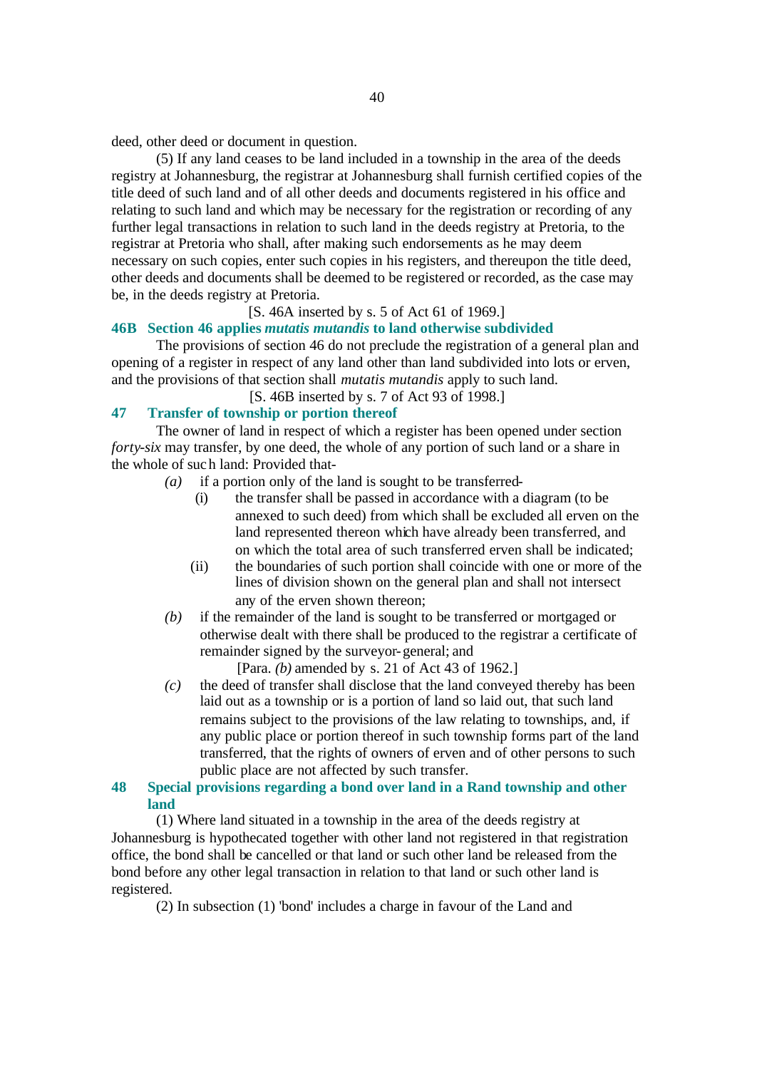deed, other deed or document in question.

(5) If any land ceases to be land included in a township in the area of the deeds registry at Johannesburg, the registrar at Johannesburg shall furnish certified copies of the title deed of such land and of all other deeds and documents registered in his office and relating to such land and which may be necessary for the registration or recording of any further legal transactions in relation to such land in the deeds registry at Pretoria, to the registrar at Pretoria who shall, after making such endorsements as he may deem necessary on such copies, enter such copies in his registers, and thereupon the title deed, other deeds and documents shall be deemed to be registered or recorded, as the case may be, in the deeds registry at Pretoria.

# [S. 46A inserted by s. 5 of Act 61 of 1969.]

#### **46B Section 46 applies** *mutatis mutandis* **to land otherwise subdivided**

The provisions of section 46 do not preclude the registration of a general plan and opening of a register in respect of any land other than land subdivided into lots or erven, and the provisions of that section shall *mutatis mutandis* apply to such land.

[S. 46B inserted by s. 7 of Act 93 of 1998.]

# **47 Transfer of township or portion thereof**

The owner of land in respect of which a register has been opened under section *forty-six* may transfer, by one deed, the whole of any portion of such land or a share in the whole of such land: Provided that-

- *(a)* if a portion only of the land is sought to be transferred-
	- (i) the transfer shall be passed in accordance with a diagram (to be annexed to such deed) from which shall be excluded all erven on the land represented thereon which have already been transferred, and on which the total area of such transferred erven shall be indicated;
	- (ii) the boundaries of such portion shall coincide with one or more of the lines of division shown on the general plan and shall not intersect any of the erven shown thereon;
- *(b)* if the remainder of the land is sought to be transferred or mortgaged or otherwise dealt with there shall be produced to the registrar a certificate of remainder signed by the surveyor-general; and

[Para. *(b)* amended by s. 21 of Act 43 of 1962.]

*(c)* the deed of transfer shall disclose that the land conveyed thereby has been laid out as a township or is a portion of land so laid out, that such land remains subject to the provisions of the law relating to townships, and, if any public place or portion thereof in such township forms part of the land transferred, that the rights of owners of erven and of other persons to such public place are not affected by such transfer.

# **48 Special provisions regarding a bond over land in a Rand township and other land**

(1) Where land situated in a township in the area of the deeds registry at Johannesburg is hypothecated together with other land not registered in that registration office, the bond shall be cancelled or that land or such other land be released from the bond before any other legal transaction in relation to that land or such other land is registered.

(2) In subsection (1) 'bond' includes a charge in favour of the Land and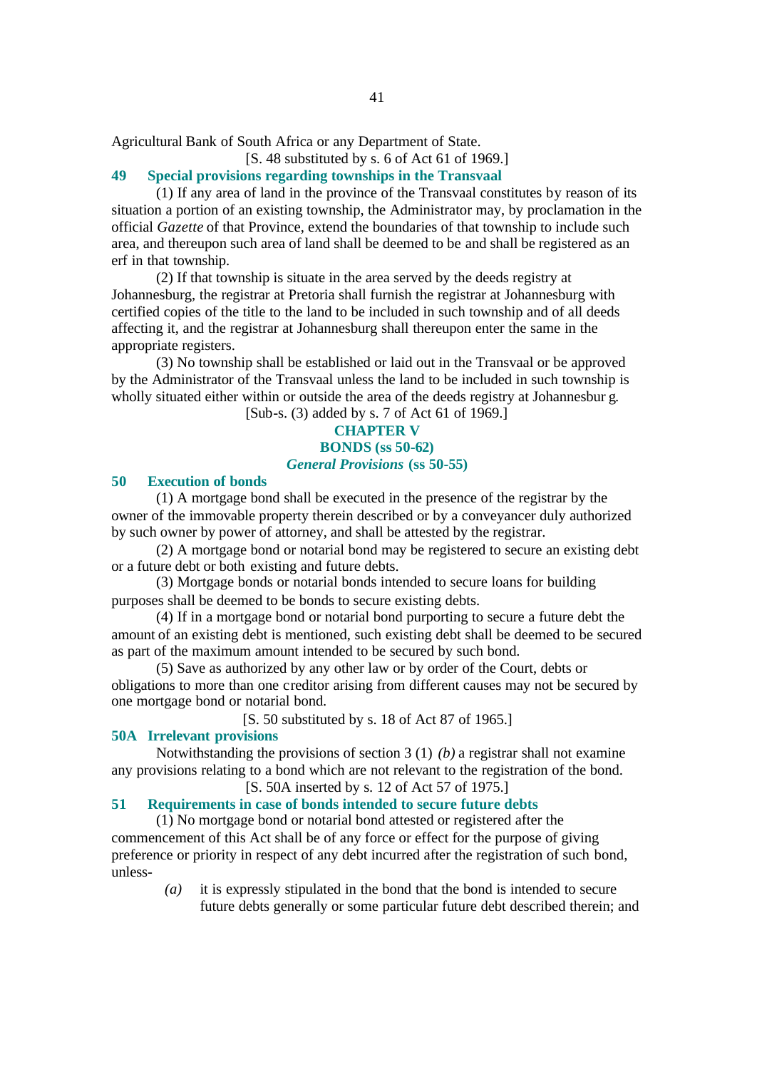Agricultural Bank of South Africa or any Department of State.

[S. 48 substituted by s. 6 of Act 61 of 1969.]

# **49 Special provisions regarding townships in the Transvaal**

(1) If any area of land in the province of the Transvaal constitutes by reason of its situation a portion of an existing township, the Administrator may, by proclamation in the official *Gazette* of that Province, extend the boundaries of that township to include such area, and thereupon such area of land shall be deemed to be and shall be registered as an erf in that township.

(2) If that township is situate in the area served by the deeds registry at Johannesburg, the registrar at Pretoria shall furnish the registrar at Johannesburg with certified copies of the title to the land to be included in such township and of all deeds affecting it, and the registrar at Johannesburg shall thereupon enter the same in the appropriate registers.

(3) No township shall be established or laid out in the Transvaal or be approved by the Administrator of the Transvaal unless the land to be included in such township is wholly situated either within or outside the area of the deeds registry at Johannesbur g. [Sub-s. (3) added by s. 7 of Act 61 of 1969.]

# **CHAPTER V BONDS (ss 50-62)** *General Provisions* **(ss 50-55)**

#### **50 Execution of bonds**

(1) A mortgage bond shall be executed in the presence of the registrar by the owner of the immovable property therein described or by a conveyancer duly authorized by such owner by power of attorney, and shall be attested by the registrar.

(2) A mortgage bond or notarial bond may be registered to secure an existing debt or a future debt or both existing and future debts.

(3) Mortgage bonds or notarial bonds intended to secure loans for building purposes shall be deemed to be bonds to secure existing debts.

(4) If in a mortgage bond or notarial bond purporting to secure a future debt the amount of an existing debt is mentioned, such existing debt shall be deemed to be secured as part of the maximum amount intended to be secured by such bond.

(5) Save as authorized by any other law or by order of the Court, debts or obligations to more than one creditor arising from different causes may not be secured by one mortgage bond or notarial bond.

[S. 50 substituted by s. 18 of Act 87 of 1965.]

#### **50A Irrelevant provisions**

Notwithstanding the provisions of section 3 (1) *(b)* a registrar shall not examine any provisions relating to a bond which are not relevant to the registration of the bond.

[S. 50A inserted by s. 12 of Act 57 of 1975.]

# **51 Requirements in case of bonds intended to secure future debts**

(1) No mortgage bond or notarial bond attested or registered after the commencement of this Act shall be of any force or effect for the purpose of giving preference or priority in respect of any debt incurred after the registration of such bond, unless-

> *(a)* it is expressly stipulated in the bond that the bond is intended to secure future debts generally or some particular future debt described therein; and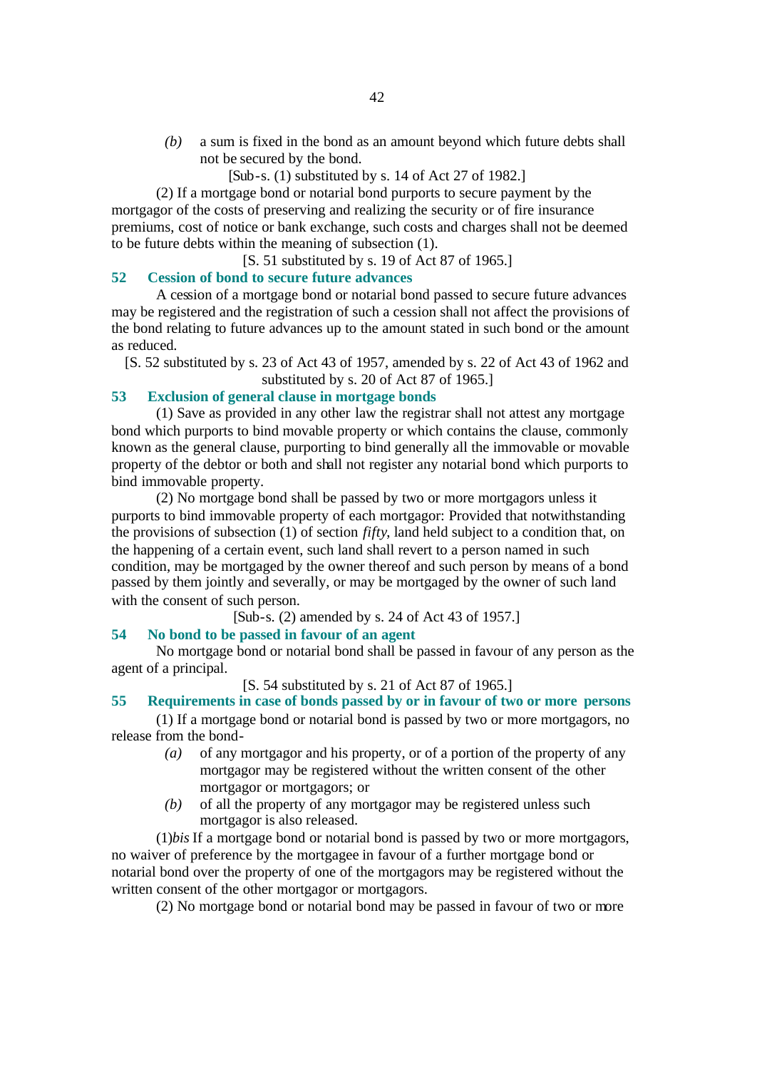- *(b)* a sum is fixed in the bond as an amount beyond which future debts shall not be secured by the bond.
	- [Sub-s. (1) substituted by s. 14 of Act 27 of 1982.]

(2) If a mortgage bond or notarial bond purports to secure payment by the mortgagor of the costs of preserving and realizing the security or of fire insurance premiums, cost of notice or bank exchange, such costs and charges shall not be deemed to be future debts within the meaning of subsection (1).

[S. 51 substituted by s. 19 of Act 87 of 1965.]

#### **52 Cession of bond to secure future advances**

A cession of a mortgage bond or notarial bond passed to secure future advances may be registered and the registration of such a cession shall not affect the provisions of the bond relating to future advances up to the amount stated in such bond or the amount as reduced.

[S. 52 substituted by s. 23 of Act 43 of 1957, amended by s. 22 of Act 43 of 1962 and substituted by s. 20 of Act 87 of 1965.]

# **53 Exclusion of general clause in mortgage bonds**

(1) Save as provided in any other law the registrar shall not attest any mortgage bond which purports to bind movable property or which contains the clause, commonly known as the general clause, purporting to bind generally all the immovable or movable property of the debtor or both and shall not register any notarial bond which purports to bind immovable property.

(2) No mortgage bond shall be passed by two or more mortgagors unless it purports to bind immovable property of each mortgagor: Provided that notwithstanding the provisions of subsection (1) of section *fifty*, land held subject to a condition that, on the happening of a certain event, such land shall revert to a person named in such condition, may be mortgaged by the owner thereof and such person by means of a bond passed by them jointly and severally, or may be mortgaged by the owner of such land with the consent of such person.

[Sub-s. (2) amended by s. 24 of Act 43 of 1957.]

# **54 No bond to be passed in favour of an agent**

No mortgage bond or notarial bond shall be passed in favour of any person as the agent of a principal.

#### [S. 54 substituted by s. 21 of Act 87 of 1965.]

## **55 Requirements in case of bonds passed by or in favour of two or more persons**

(1) If a mortgage bond or notarial bond is passed by two or more mortgagors, no release from the bond-

- *(a)* of any mortgagor and his property, or of a portion of the property of any mortgagor may be registered without the written consent of the other mortgagor or mortgagors; or
- *(b)* of all the property of any mortgagor may be registered unless such mortgagor is also released.

(1)*bis* If a mortgage bond or notarial bond is passed by two or more mortgagors, no waiver of preference by the mortgagee in favour of a further mortgage bond or notarial bond over the property of one of the mortgagors may be registered without the written consent of the other mortgagor or mortgagors.

(2) No mortgage bond or notarial bond may be passed in favour of two or more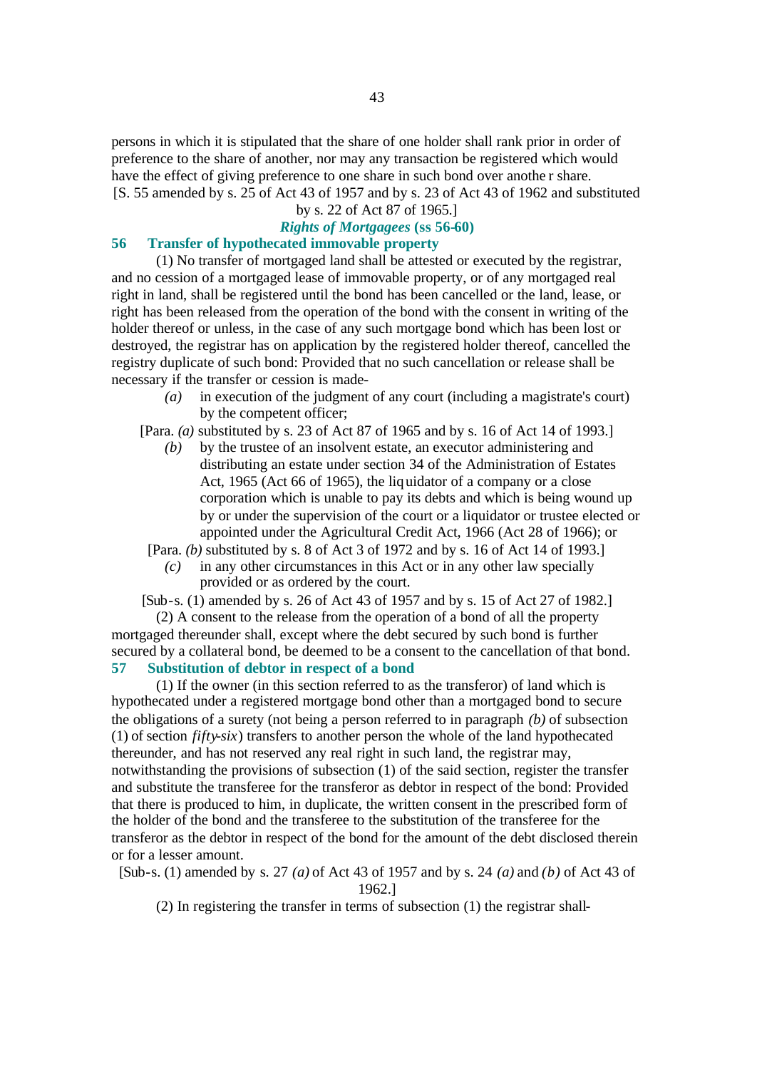persons in which it is stipulated that the share of one holder shall rank prior in order of preference to the share of another, nor may any transaction be registered which would have the effect of giving preference to one share in such bond over anothe r share. [S. 55 amended by s. 25 of Act 43 of 1957 and by s. 23 of Act 43 of 1962 and substituted

# by s. 22 of Act 87 of 1965.]

# *Rights of Mortgagees* **(ss 56-60)**

# **56 Transfer of hypothecated immovable property**

(1) No transfer of mortgaged land shall be attested or executed by the registrar, and no cession of a mortgaged lease of immovable property, or of any mortgaged real right in land, shall be registered until the bond has been cancelled or the land, lease, or right has been released from the operation of the bond with the consent in writing of the holder thereof or unless, in the case of any such mortgage bond which has been lost or destroyed, the registrar has on application by the registered holder thereof, cancelled the registry duplicate of such bond: Provided that no such cancellation or release shall be necessary if the transfer or cession is made-

*(a)* in execution of the judgment of any court (including a magistrate's court) by the competent officer;

[Para. *(a)* substituted by s. 23 of Act 87 of 1965 and by s. 16 of Act 14 of 1993.]

*(b)* by the trustee of an insolvent estate, an executor administering and distributing an estate under section 34 of the Administration of Estates Act, 1965 (Act 66 of 1965), the liquidator of a company or a close corporation which is unable to pay its debts and which is being wound up by or under the supervision of the court or a liquidator or trustee elected or appointed under the Agricultural Credit Act, 1966 (Act 28 of 1966); or

[Para. *(b)* substituted by s. 8 of Act 3 of 1972 and by s. 16 of Act 14 of 1993.]

*(c)* in any other circumstances in this Act or in any other law specially provided or as ordered by the court.

[Sub-s. (1) amended by s. 26 of Act 43 of 1957 and by s. 15 of Act 27 of 1982.]

(2) A consent to the release from the operation of a bond of all the property mortgaged thereunder shall, except where the debt secured by such bond is further secured by a collateral bond, be deemed to be a consent to the cancellation of that bond.

#### **57 Substitution of debtor in respect of a bond**

(1) If the owner (in this section referred to as the transferor) of land which is hypothecated under a registered mortgage bond other than a mortgaged bond to secure the obligations of a surety (not being a person referred to in paragraph *(b)* of subsection (1) of section *fifty-six*) transfers to another person the whole of the land hypothecated thereunder, and has not reserved any real right in such land, the registrar may, notwithstanding the provisions of subsection (1) of the said section, register the transfer and substitute the transferee for the transferor as debtor in respect of the bond: Provided that there is produced to him, in duplicate, the written consent in the prescribed form of the holder of the bond and the transferee to the substitution of the transferee for the transferor as the debtor in respect of the bond for the amount of the debt disclosed therein or for a lesser amount.

[Sub-s. (1) amended by s. 27 *(a)* of Act 43 of 1957 and by s. 24 *(a)* and *(b)* of Act 43 of 1962.]

(2) In registering the transfer in terms of subsection (1) the registrar shall-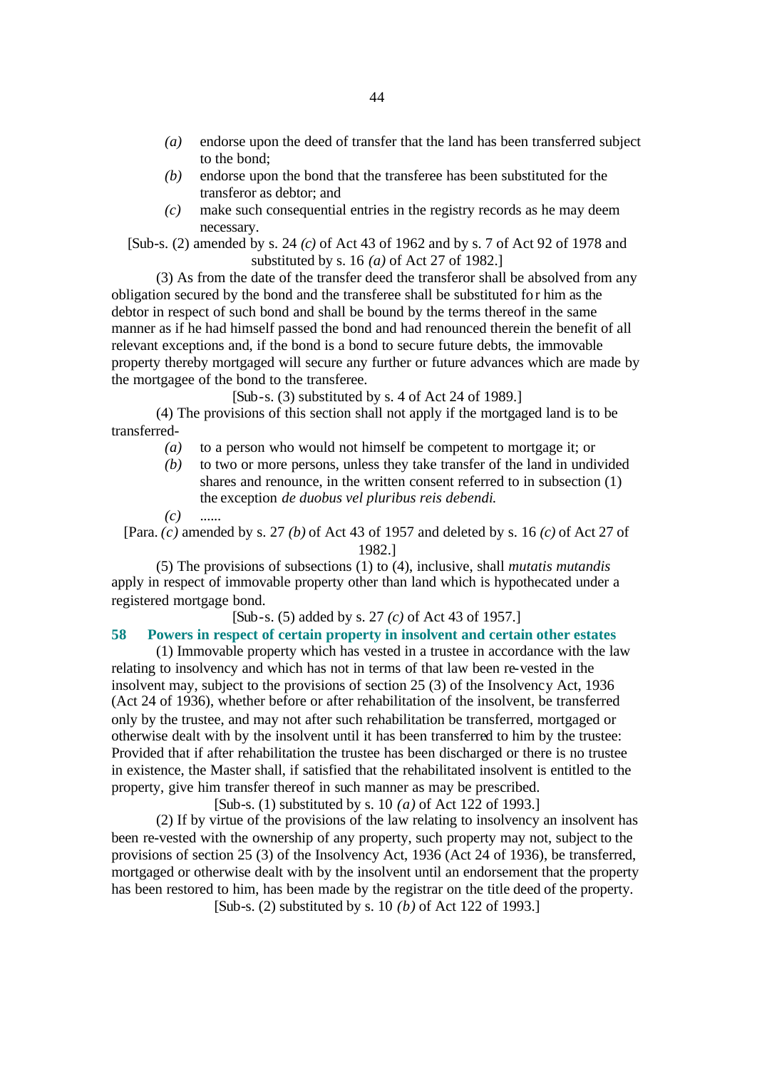- *(a)* endorse upon the deed of transfer that the land has been transferred subject to the bond;
- *(b)* endorse upon the bond that the transferee has been substituted for the transferor as debtor; and
- *(c)* make such consequential entries in the registry records as he may deem necessary.

[Sub-s. (2) amended by s. 24 *(c)* of Act 43 of 1962 and by s. 7 of Act 92 of 1978 and substituted by s. 16 *(a)* of Act 27 of 1982.]

(3) As from the date of the transfer deed the transferor shall be absolved from any obligation secured by the bond and the transferee shall be substituted for him as the debtor in respect of such bond and shall be bound by the terms thereof in the same manner as if he had himself passed the bond and had renounced therein the benefit of all relevant exceptions and, if the bond is a bond to secure future debts, the immovable property thereby mortgaged will secure any further or future advances which are made by the mortgagee of the bond to the transferee.

 $[Sub-s, (3)$  substituted by s. 4 of Act 24 of 1989.

(4) The provisions of this section shall not apply if the mortgaged land is to be transferred-

- *(a)* to a person who would not himself be competent to mortgage it; or
- *(b)* to two or more persons, unless they take transfer of the land in undivided shares and renounce, in the written consent referred to in subsection (1) the exception *de duobus vel pluribus reis debendi*.

*(c)* ......

[Para. *(c)* amended by s. 27 *(b)* of Act 43 of 1957 and deleted by s. 16 *(c)* of Act 27 of 1982.]

(5) The provisions of subsections (1) to (4), inclusive, shall *mutatis mutandis* apply in respect of immovable property other than land which is hypothecated under a registered mortgage bond.

[Sub-s. (5) added by s. 27 *(c)* of Act 43 of 1957.]

#### **58 Powers in respect of certain property in insolvent and certain other estates**

(1) Immovable property which has vested in a trustee in accordance with the law relating to insolvency and which has not in terms of that law been re-vested in the insolvent may, subject to the provisions of section 25 (3) of the Insolvency Act, 1936 (Act 24 of 1936), whether before or after rehabilitation of the insolvent, be transferred only by the trustee, and may not after such rehabilitation be transferred, mortgaged or otherwise dealt with by the insolvent until it has been transferred to him by the trustee: Provided that if after rehabilitation the trustee has been discharged or there is no trustee in existence, the Master shall, if satisfied that the rehabilitated insolvent is entitled to the property, give him transfer thereof in such manner as may be prescribed.

[Sub-s. (1) substituted by s. 10 *(a)* of Act 122 of 1993.]

(2) If by virtue of the provisions of the law relating to insolvency an insolvent has been re-vested with the ownership of any property, such property may not, subject to the provisions of section 25 (3) of the Insolvency Act, 1936 (Act 24 of 1936), be transferred, mortgaged or otherwise dealt with by the insolvent until an endorsement that the property has been restored to him, has been made by the registrar on the title deed of the property. [Sub-s. (2) substituted by s. 10 *(b)* of Act 122 of 1993.]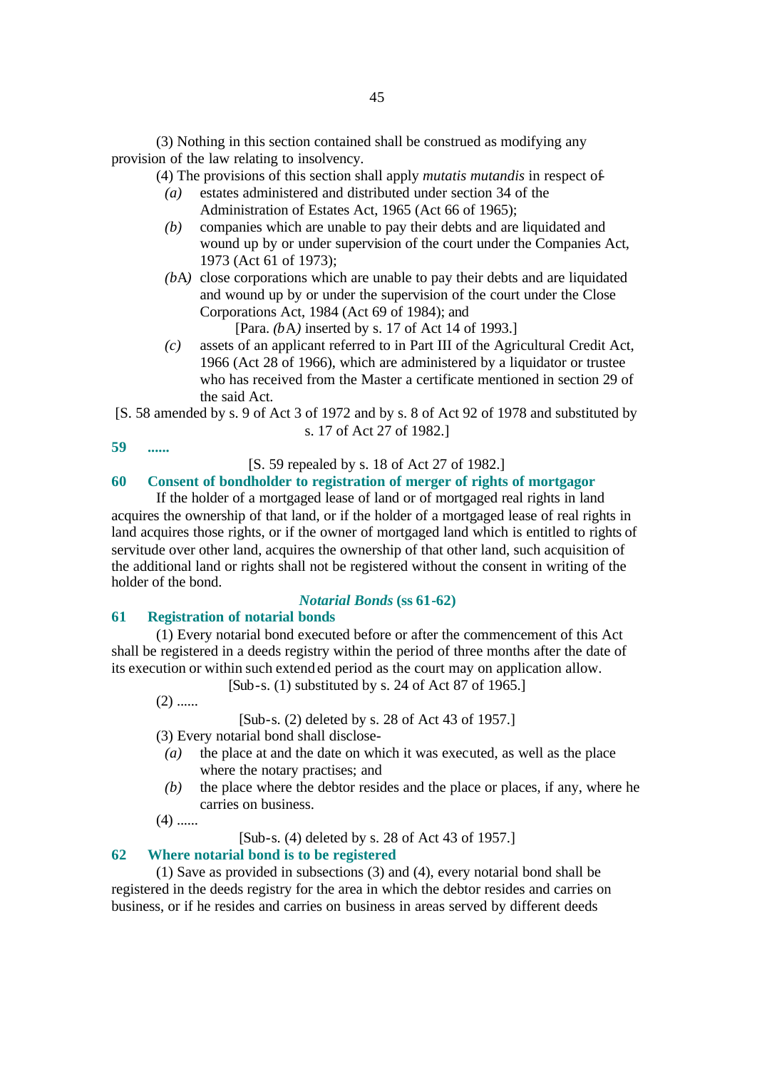(3) Nothing in this section contained shall be construed as modifying any provision of the law relating to insolvency.

(4) The provisions of this section shall apply *mutatis mutandis* in respect of-

- *(a)* estates administered and distributed under section 34 of the Administration of Estates Act, 1965 (Act 66 of 1965);
- *(b)* companies which are unable to pay their debts and are liquidated and wound up by or under supervision of the court under the Companies Act, 1973 (Act 61 of 1973);
- *(b*A*)* close corporations which are unable to pay their debts and are liquidated and wound up by or under the supervision of the court under the Close Corporations Act, 1984 (Act 69 of 1984); and

[Para. *(b*A*)* inserted by s. 17 of Act 14 of 1993.]

- *(c)* assets of an applicant referred to in Part III of the Agricultural Credit Act, 1966 (Act 28 of 1966), which are administered by a liquidator or trustee who has received from the Master a certificate mentioned in section 29 of the said Act.
- [S. 58 amended by s. 9 of Act 3 of 1972 and by s. 8 of Act 92 of 1978 and substituted by s. 17 of Act 27 of 1982.]
- **59 ......**

#### [S. 59 repealed by s. 18 of Act 27 of 1982.]

# **60 Consent of bondholder to registration of merger of rights of mortgagor**

If the holder of a mortgaged lease of land or of mortgaged real rights in land acquires the ownership of that land, or if the holder of a mortgaged lease of real rights in land acquires those rights, or if the owner of mortgaged land which is entitled to rights of servitude over other land, acquires the ownership of that other land, such acquisition of the additional land or rights shall not be registered without the consent in writing of the holder of the bond.

# *Notarial Bonds* **(ss 61-62)**

#### **61 Registration of notarial bonds**

(1) Every notarial bond executed before or after the commencement of this Act shall be registered in a deeds registry within the period of three months after the date of its execution or within such extend ed period as the court may on application allow.

[Sub-s. (1) substituted by s. 24 of Act 87 of 1965.]

 $(2)$  ......

[Sub-s. (2) deleted by s. 28 of Act 43 of 1957.]

(3) Every notarial bond shall disclose-

- *(a)* the place at and the date on which it was executed, as well as the place where the notary practises; and
- *(b)* the place where the debtor resides and the place or places, if any, where he carries on business.

 $(4)$  ......

[Sub-s. (4) deleted by s. 28 of Act 43 of 1957.]

# **62 Where notarial bond is to be registered**

(1) Save as provided in subsections (3) and (4), every notarial bond shall be registered in the deeds registry for the area in which the debtor resides and carries on business, or if he resides and carries on business in areas served by different deeds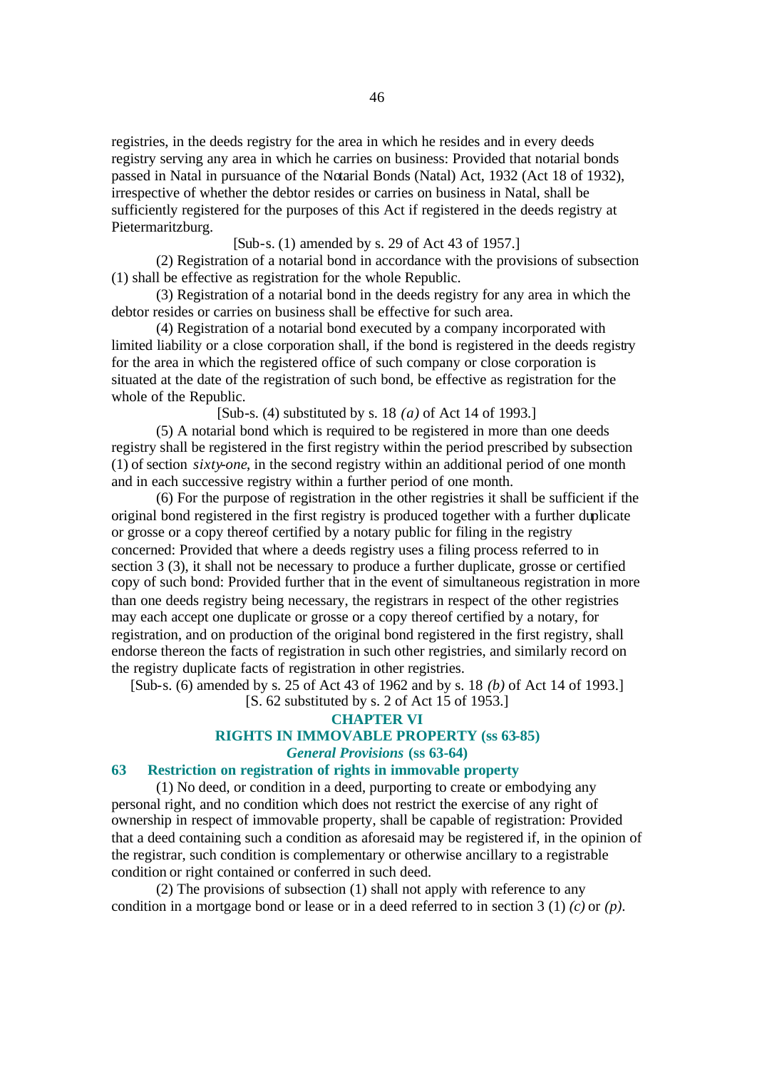registries, in the deeds registry for the area in which he resides and in every deeds registry serving any area in which he carries on business: Provided that notarial bonds passed in Natal in pursuance of the Notarial Bonds (Natal) Act, 1932 (Act 18 of 1932), irrespective of whether the debtor resides or carries on business in Natal, shall be sufficiently registered for the purposes of this Act if registered in the deeds registry at Pietermaritzburg.

[Sub-s. (1) amended by s. 29 of Act 43 of 1957.]

(2) Registration of a notarial bond in accordance with the provisions of subsection (1) shall be effective as registration for the whole Republic.

(3) Registration of a notarial bond in the deeds registry for any area in which the debtor resides or carries on business shall be effective for such area.

(4) Registration of a notarial bond executed by a company incorporated with limited liability or a close corporation shall, if the bond is registered in the deeds registry for the area in which the registered office of such company or close corporation is situated at the date of the registration of such bond, be effective as registration for the whole of the Republic.

[Sub-s. (4) substituted by s. 18 *(a)* of Act 14 of 1993.]

(5) A notarial bond which is required to be registered in more than one deeds registry shall be registered in the first registry within the period prescribed by subsection (1) of section *sixty-one*, in the second registry within an additional period of one month and in each successive registry within a further period of one month.

(6) For the purpose of registration in the other registries it shall be sufficient if the original bond registered in the first registry is produced together with a further duplicate or grosse or a copy thereof certified by a notary public for filing in the registry concerned: Provided that where a deeds registry uses a filing process referred to in section 3 (3), it shall not be necessary to produce a further duplicate, grosse or certified copy of such bond: Provided further that in the event of simultaneous registration in more than one deeds registry being necessary, the registrars in respect of the other registries may each accept one duplicate or grosse or a copy thereof certified by a notary, for registration, and on production of the original bond registered in the first registry, shall endorse thereon the facts of registration in such other registries, and similarly record on the registry duplicate facts of registration in other registries.

[Sub-s. (6) amended by s. 25 of Act 43 of 1962 and by s. 18 *(b)* of Act 14 of 1993.]

[S. 62 substituted by s. 2 of Act 15 of 1953.]

#### **CHAPTER VI**

# **RIGHTS IN IMMOVABLE PROPERTY (ss 63-85)**

*General Provisions* **(ss 63-64)**

# **63 Restriction on registration of rights in immovable property**

(1) No deed, or condition in a deed, purporting to create or embodying any personal right, and no condition which does not restrict the exercise of any right of ownership in respect of immovable property, shall be capable of registration: Provided that a deed containing such a condition as aforesaid may be registered if, in the opinion of the registrar, such condition is complementary or otherwise ancillary to a registrable condition or right contained or conferred in such deed.

(2) The provisions of subsection (1) shall not apply with reference to any condition in a mortgage bond or lease or in a deed referred to in section 3 (1) *(c)* or *(p)*.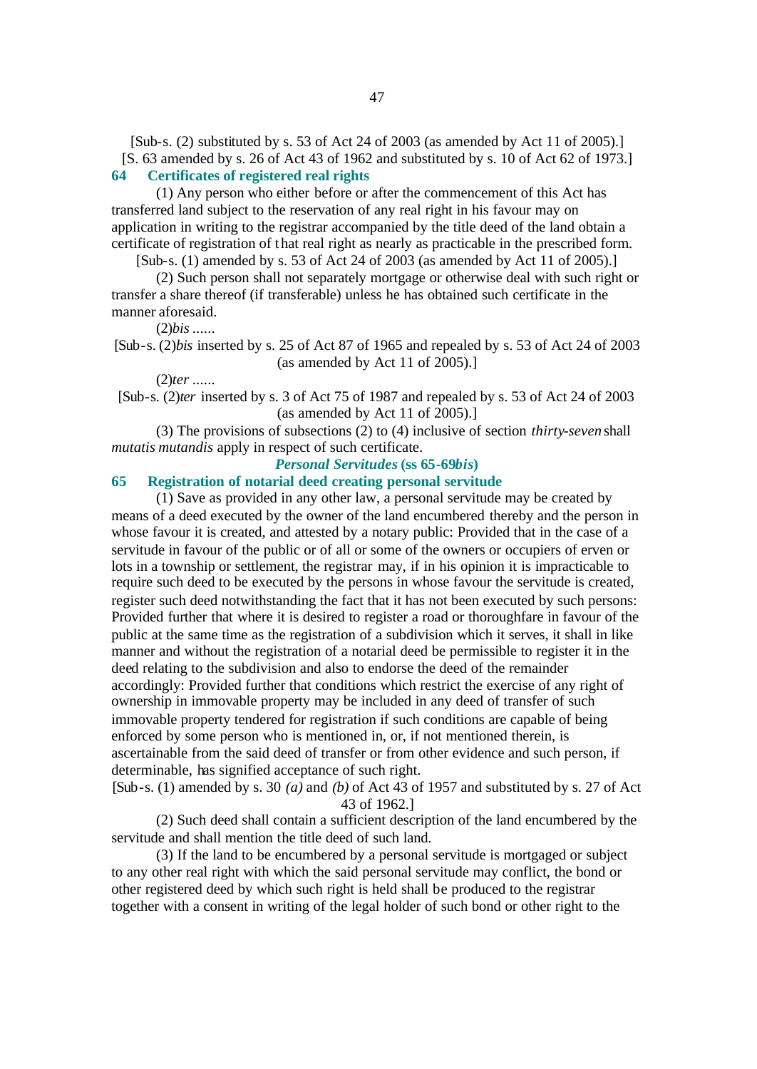[Sub-s. (2) substituted by s. 53 of Act 24 of 2003 (as amended by Act 11 of 2005).] [S. 63 amended by s. 26 of Act 43 of 1962 and substituted by s. 10 of Act 62 of 1973.] **64 Certificates of registered real rights**

(1) Any person who either before or after the commencement of this Act has transferred land subject to the reservation of any real right in his favour may on application in writing to the registrar accompanied by the title deed of the land obtain a certificate of registration of t hat real right as nearly as practicable in the prescribed form.

[Sub-s. (1) amended by s. 53 of Act 24 of 2003 (as amended by Act 11 of 2005).]

(2) Such person shall not separately mortgage or otherwise deal with such right or transfer a share thereof (if transferable) unless he has obtained such certificate in the manner aforesaid.

(2)*bis* ......

[Sub-s. (2)*bis* inserted by s. 25 of Act 87 of 1965 and repealed by s. 53 of Act 24 of 2003 (as amended by Act 11 of 2005).]

#### (2)*ter* ......

[Sub-s. (2)*ter* inserted by s. 3 of Act 75 of 1987 and repealed by s. 53 of Act 24 of 2003 (as amended by Act 11 of 2005).]

(3) The provisions of subsections (2) to (4) inclusive of section *thirty-seven* shall *mutatis mutandis* apply in respect of such certificate.

#### *Personal Servitudes* **(ss 65-69***bis***)**

#### **65 Registration of notarial deed creating personal servitude**

(1) Save as provided in any other law, a personal servitude may be created by means of a deed executed by the owner of the land encumbered thereby and the person in whose favour it is created, and attested by a notary public: Provided that in the case of a servitude in favour of the public or of all or some of the owners or occupiers of erven or lots in a township or settlement, the registrar may, if in his opinion it is impracticable to require such deed to be executed by the persons in whose favour the servitude is created, register such deed notwithstanding the fact that it has not been executed by such persons: Provided further that where it is desired to register a road or thoroughfare in favour of the public at the same time as the registration of a subdivision which it serves, it shall in like manner and without the registration of a notarial deed be permissible to register it in the deed relating to the subdivision and also to endorse the deed of the remainder accordingly: Provided further that conditions which restrict the exercise of any right of ownership in immovable property may be included in any deed of transfer of such immovable property tendered for registration if such conditions are capable of being enforced by some person who is mentioned in, or, if not mentioned therein, is ascertainable from the said deed of transfer or from other evidence and such person, if determinable, has signified acceptance of such right.

[Sub-s. (1) amended by s. 30 *(a)* and *(b)* of Act 43 of 1957 and substituted by s. 27 of Act 43 of 1962.]

(2) Such deed shall contain a sufficient description of the land encumbered by the servitude and shall mention the title deed of such land.

(3) If the land to be encumbered by a personal servitude is mortgaged or subject to any other real right with which the said personal servitude may conflict, the bond or other registered deed by which such right is held shall be produced to the registrar together with a consent in writing of the legal holder of such bond or other right to the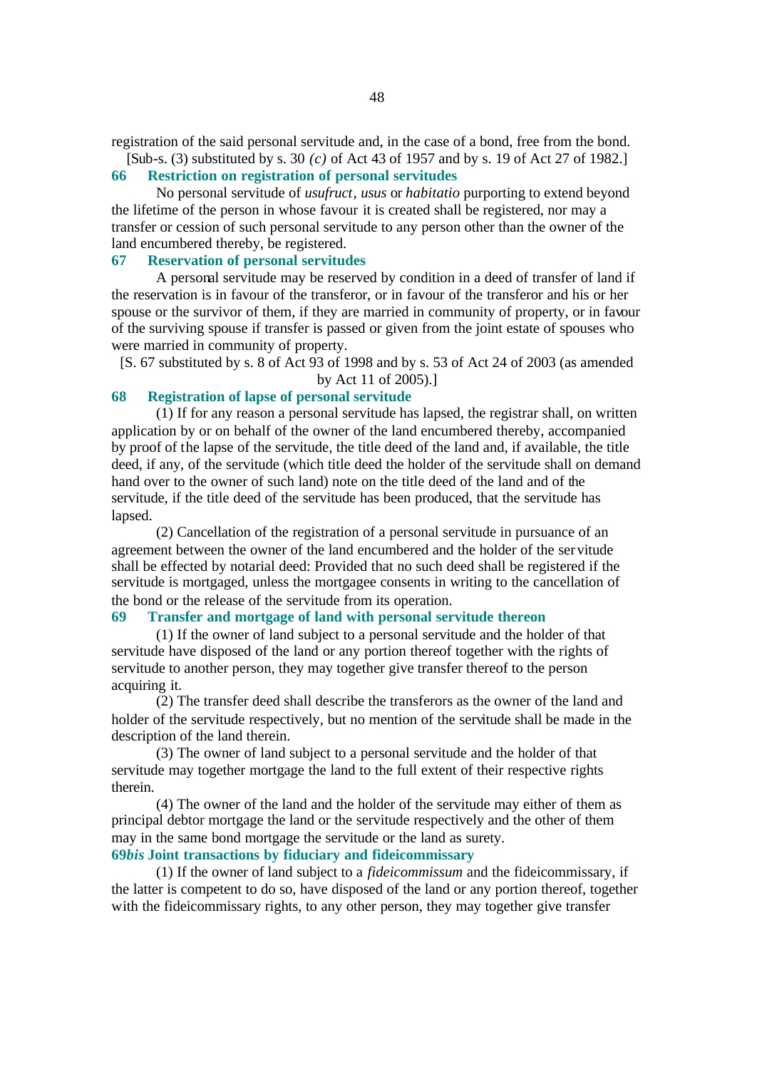registration of the said personal servitude and, in the case of a bond, free from the bond. [Sub-s. (3) substituted by s. 30 *(c)* of Act 43 of 1957 and by s. 19 of Act 27 of 1982.]

#### **66 Restriction on registration of personal servitudes**

No personal servitude of *usufruct*, *usus* or *habitatio* purporting to extend beyond the lifetime of the person in whose favour it is created shall be registered, nor may a transfer or cession of such personal servitude to any person other than the owner of the land encumbered thereby, be registered.

#### **67 Reservation of personal servitudes**

A personal servitude may be reserved by condition in a deed of transfer of land if the reservation is in favour of the transferor, or in favour of the transferor and his or her spouse or the survivor of them, if they are married in community of property, or in favour of the surviving spouse if transfer is passed or given from the joint estate of spouses who were married in community of property.

[S. 67 substituted by s. 8 of Act 93 of 1998 and by s. 53 of Act 24 of 2003 (as amended by Act 11 of 2005).]

# **68 Registration of lapse of personal servitude**

(1) If for any reason a personal servitude has lapsed, the registrar shall, on written application by or on behalf of the owner of the land encumbered thereby, accompanied by proof of the lapse of the servitude, the title deed of the land and, if available, the title deed, if any, of the servitude (which title deed the holder of the servitude shall on demand hand over to the owner of such land) note on the title deed of the land and of the servitude, if the title deed of the servitude has been produced, that the servitude has lapsed.

(2) Cancellation of the registration of a personal servitude in pursuance of an agreement between the owner of the land encumbered and the holder of the servitude shall be effected by notarial deed: Provided that no such deed shall be registered if the servitude is mortgaged, unless the mortgagee consents in writing to the cancellation of the bond or the release of the servitude from its operation.

#### **69 Transfer and mortgage of land with personal servitude thereon**

(1) If the owner of land subject to a personal servitude and the holder of that servitude have disposed of the land or any portion thereof together with the rights of servitude to another person, they may together give transfer thereof to the person acquiring it.

(2) The transfer deed shall describe the transferors as the owner of the land and holder of the servitude respectively, but no mention of the servitude shall be made in the description of the land therein.

(3) The owner of land subject to a personal servitude and the holder of that servitude may together mortgage the land to the full extent of their respective rights therein.

(4) The owner of the land and the holder of the servitude may either of them as principal debtor mortgage the land or the servitude respectively and the other of them may in the same bond mortgage the servitude or the land as surety.

# **69***bis* **Joint transactions by fiduciary and fideicommissary**

(1) If the owner of land subject to a *fideicommissum* and the fideicommissary, if the latter is competent to do so, have disposed of the land or any portion thereof, together with the fideicommissary rights, to any other person, they may together give transfer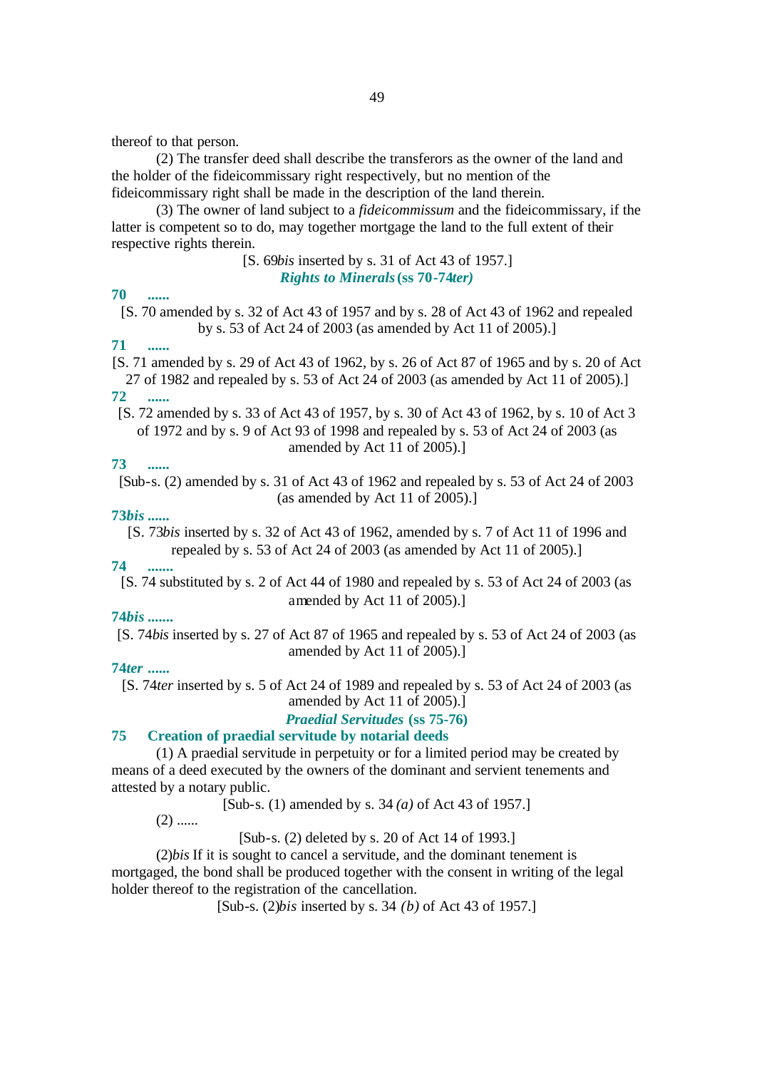thereof to that person.

(2) The transfer deed shall describe the transferors as the owner of the land and the holder of the fideicommissary right respectively, but no mention of the fideicommissary right shall be made in the description of the land therein.

(3) The owner of land subject to a *fideicommissum* and the fideicommissary, if the latter is competent so to do, may together mortgage the land to the full extent of their respective rights therein.

## [S. 69*bis* inserted by s. 31 of Act 43 of 1957.] *Rights to Minerals* **(ss 70-74***ter)*

## **70 ......**

[S. 70 amended by s. 32 of Act 43 of 1957 and by s. 28 of Act 43 of 1962 and repealed by s. 53 of Act 24 of 2003 (as amended by Act 11 of 2005).]

# **71 ......**

[S. 71 amended by s. 29 of Act 43 of 1962, by s. 26 of Act 87 of 1965 and by s. 20 of Act 27 of 1982 and repealed by s. 53 of Act 24 of 2003 (as amended by Act 11 of 2005).] **72 ......**

[S. 72 amended by s. 33 of Act 43 of 1957, by s. 30 of Act 43 of 1962, by s. 10 of Act 3 of 1972 and by s. 9 of Act 93 of 1998 and repealed by s. 53 of Act 24 of 2003 (as amended by Act 11 of 2005).]

# **73 ......**

[Sub-s. (2) amended by s. 31 of Act 43 of 1962 and repealed by s. 53 of Act 24 of 2003 (as amended by Act 11 of 2005).]

# **73***bis* **......**

[S. 73*bis* inserted by s. 32 of Act 43 of 1962, amended by s. 7 of Act 11 of 1996 and repealed by s. 53 of Act 24 of 2003 (as amended by Act 11 of 2005).]

# **74 .......**

[S. 74 substituted by s. 2 of Act 44 of 1980 and repealed by s. 53 of Act 24 of 2003 (as amended by Act 11 of 2005).]

# **74***bis* **.......**

[S. 74*bis* inserted by s. 27 of Act 87 of 1965 and repealed by s. 53 of Act 24 of 2003 (as amended by Act 11 of 2005).]

# **74***ter* **......**

[S. 74*ter* inserted by s. 5 of Act 24 of 1989 and repealed by s. 53 of Act 24 of 2003 (as amended by Act 11 of 2005).]

*Praedial Servitudes* **(ss 75-76)**

#### **75 Creation of praedial servitude by notarial deeds**

(1) A praedial servitude in perpetuity or for a limited period may be created by means of a deed executed by the owners of the dominant and servient tenements and attested by a notary public.

[Sub-s. (1) amended by s. 34 *(a)* of Act 43 of 1957.]

 $(2)$  ......

[Sub-s. (2) deleted by s. 20 of Act 14 of 1993.]

(2)*bis* If it is sought to cancel a servitude, and the dominant tenement is mortgaged, the bond shall be produced together with the consent in writing of the legal holder thereof to the registration of the cancellation.

[Sub-s. (2)*bis* inserted by s. 34 *(b)* of Act 43 of 1957.]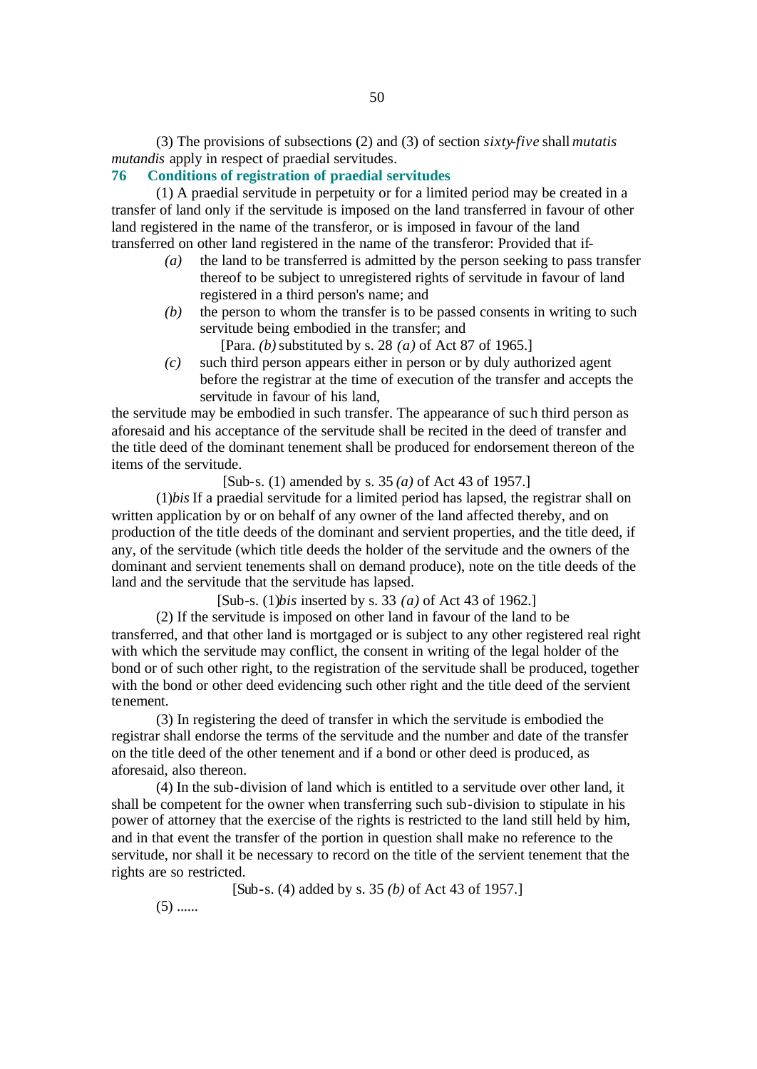(3) The provisions of subsections (2) and (3) of section *sixty-five* shall *mutatis mutandis* apply in respect of praedial servitudes.

# **76 Conditions of registration of praedial servitudes**

(1) A praedial servitude in perpetuity or for a limited period may be created in a transfer of land only if the servitude is imposed on the land transferred in favour of other land registered in the name of the transferor, or is imposed in favour of the land transferred on other land registered in the name of the transferor: Provided that if-

- *(a)* the land to be transferred is admitted by the person seeking to pass transfer thereof to be subject to unregistered rights of servitude in favour of land registered in a third person's name; and
- *(b)* the person to whom the transfer is to be passed consents in writing to such servitude being embodied in the transfer; and

[Para. *(b)* substituted by s. 28 *(a)* of Act 87 of 1965.]

*(c)* such third person appears either in person or by duly authorized agent before the registrar at the time of execution of the transfer and accepts the servitude in favour of his land,

the servitude may be embodied in such transfer. The appearance of such third person as aforesaid and his acceptance of the servitude shall be recited in the deed of transfer and the title deed of the dominant tenement shall be produced for endorsement thereon of the items of the servitude.

[Sub-s. (1) amended by s. 35 *(a)* of Act 43 of 1957.]

(1)*bis* If a praedial servitude for a limited period has lapsed, the registrar shall on written application by or on behalf of any owner of the land affected thereby, and on production of the title deeds of the dominant and servient properties, and the title deed, if any, of the servitude (which title deeds the holder of the servitude and the owners of the dominant and servient tenements shall on demand produce), note on the title deeds of the land and the servitude that the servitude has lapsed.

[Sub-s. (1)*bis* inserted by s. 33 *(a)* of Act 43 of 1962.]

(2) If the servitude is imposed on other land in favour of the land to be transferred, and that other land is mortgaged or is subject to any other registered real right with which the servitude may conflict, the consent in writing of the legal holder of the bond or of such other right, to the registration of the servitude shall be produced, together with the bond or other deed evidencing such other right and the title deed of the servient tenement.

(3) In registering the deed of transfer in which the servitude is embodied the registrar shall endorse the terms of the servitude and the number and date of the transfer on the title deed of the other tenement and if a bond or other deed is produced, as aforesaid, also thereon.

(4) In the sub-division of land which is entitled to a servitude over other land, it shall be competent for the owner when transferring such sub-division to stipulate in his power of attorney that the exercise of the rights is restricted to the land still held by him, and in that event the transfer of the portion in question shall make no reference to the servitude, nor shall it be necessary to record on the title of the servient tenement that the rights are so restricted.

[Sub-s. (4) added by s. 35 *(b)* of Act 43 of 1957.]

 $(5)$  ......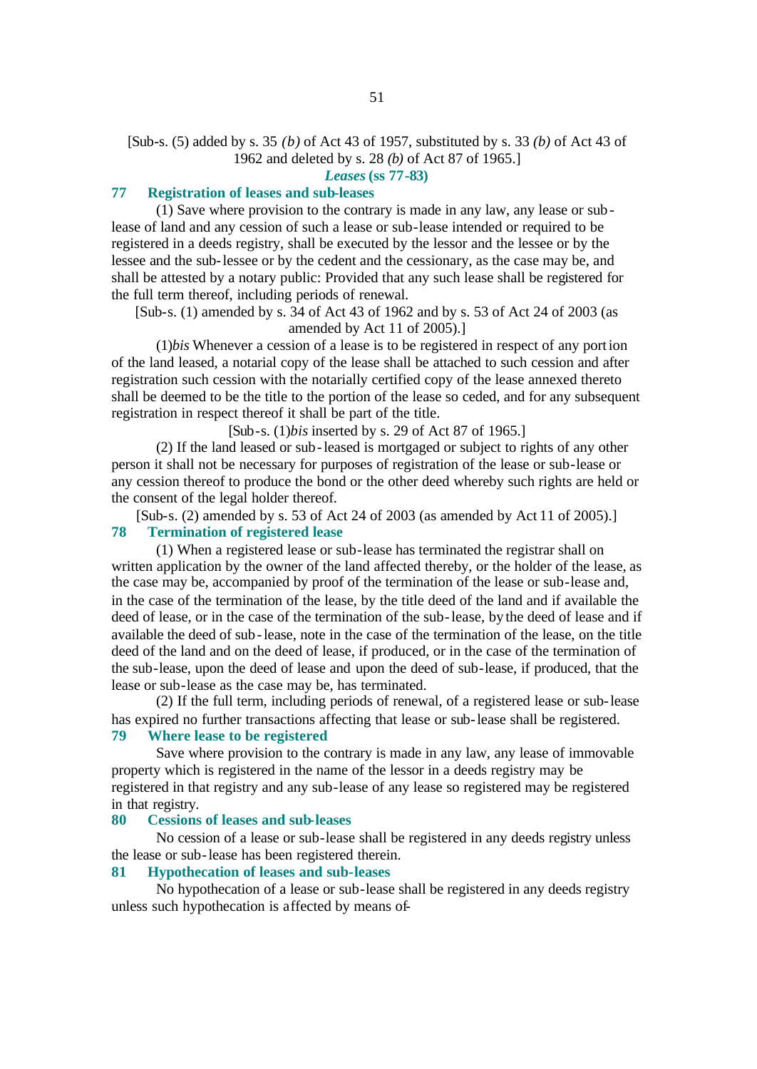# [Sub-s. (5) added by s. 35 *(b)* of Act 43 of 1957, substituted by s. 33 *(b)* of Act 43 of 1962 and deleted by s. 28 *(b)* of Act 87 of 1965.]

*Leases* **(ss 77-83)**

#### **77 Registration of leases and sub-leases**

(1) Save where provision to the contrary is made in any law, any lease or sublease of land and any cession of such a lease or sub-lease intended or required to be registered in a deeds registry, shall be executed by the lessor and the lessee or by the lessee and the sub-lessee or by the cedent and the cessionary, as the case may be, and shall be attested by a notary public: Provided that any such lease shall be registered for the full term thereof, including periods of renewal.

[Sub-s. (1) amended by s. 34 of Act 43 of 1962 and by s. 53 of Act 24 of 2003 (as amended by Act 11 of 2005).]

(1)*bis* Whenever a cession of a lease is to be registered in respect of any portion of the land leased, a notarial copy of the lease shall be attached to such cession and after registration such cession with the notarially certified copy of the lease annexed thereto shall be deemed to be the title to the portion of the lease so ceded, and for any subsequent registration in respect thereof it shall be part of the title.

[Sub-s. (1)*bis* inserted by s. 29 of Act 87 of 1965.]

(2) If the land leased or sub-leased is mortgaged or subject to rights of any other person it shall not be necessary for purposes of registration of the lease or sub-lease or any cession thereof to produce the bond or the other deed whereby such rights are held or the consent of the legal holder thereof.

[Sub-s. (2) amended by s. 53 of Act 24 of 2003 (as amended by Act 11 of 2005).] **78 Termination of registered lease**

(1) When a registered lease or sub-lease has terminated the registrar shall on written application by the owner of the land affected thereby, or the holder of the lease, as the case may be, accompanied by proof of the termination of the lease or sub-lease and, in the case of the termination of the lease, by the title deed of the land and if available the deed of lease, or in the case of the termination of the sub-lease, by the deed of lease and if available the deed of sub-lease, note in the case of the termination of the lease, on the title deed of the land and on the deed of lease, if produced, or in the case of the termination of the sub-lease, upon the deed of lease and upon the deed of sub-lease, if produced, that the lease or sub-lease as the case may be, has terminated.

(2) If the full term, including periods of renewal, of a registered lease or sub-lease has expired no further transactions affecting that lease or sub-lease shall be registered.

# **79 Where lease to be registered**

Save where provision to the contrary is made in any law, any lease of immovable property which is registered in the name of the lessor in a deeds registry may be registered in that registry and any sub-lease of any lease so registered may be registered in that registry.

#### **80 Cessions of leases and sub-leases**

No cession of a lease or sub-lease shall be registered in any deeds registry unless the lease or sub-lease has been registered therein.

# **81 Hypothecation of leases and sub-leases**

No hypothecation of a lease or sub-lease shall be registered in any deeds registry unless such hypothecation is affected by means of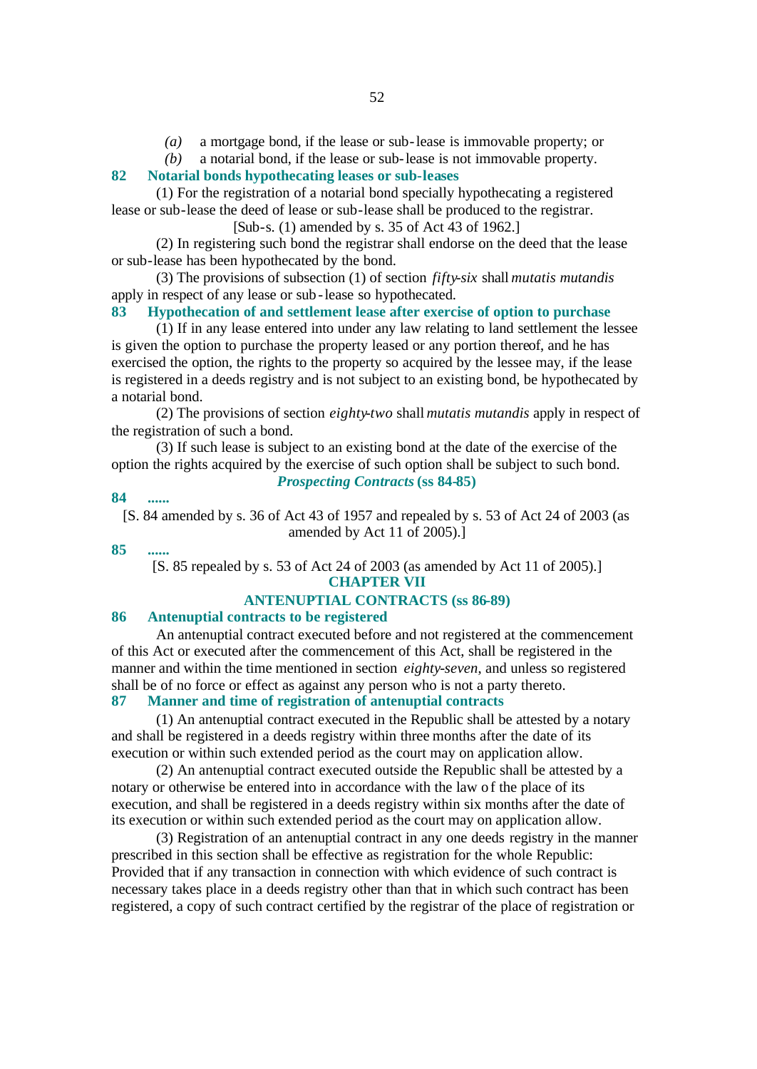*(a)* a mortgage bond, if the lease or sub-lease is immovable property; or

*(b)* a notarial bond, if the lease or sub-lease is not immovable property.

# **82 Notarial bonds hypothecating leases or sub-leases**

(1) For the registration of a notarial bond specially hypothecating a registered lease or sub-lease the deed of lease or sub-lease shall be produced to the registrar.

[Sub-s. (1) amended by s. 35 of Act 43 of 1962.]

(2) In registering such bond the registrar shall endorse on the deed that the lease or sub-lease has been hypothecated by the bond.

(3) The provisions of subsection (1) of section *fifty-six* shall *mutatis mutandis* apply in respect of any lease or sub-lease so hypothecated.

## **83 Hypothecation of and settlement lease after exercise of option to purchase**

(1) If in any lease entered into under any law relating to land settlement the lessee is given the option to purchase the property leased or any portion thereof, and he has exercised the option, the rights to the property so acquired by the lessee may, if the lease is registered in a deeds registry and is not subject to an existing bond, be hypothecated by a notarial bond.

(2) The provisions of section *eighty-two* shall *mutatis mutandis* apply in respect of the registration of such a bond.

(3) If such lease is subject to an existing bond at the date of the exercise of the option the rights acquired by the exercise of such option shall be subject to such bond. *Prospecting Contracts* **(ss 84-85)**

## **84 ......**

[S. 84 amended by s. 36 of Act 43 of 1957 and repealed by s. 53 of Act 24 of 2003 (as amended by Act 11 of 2005).]

**85 ......**

[S. 85 repealed by s. 53 of Act 24 of 2003 (as amended by Act 11 of 2005).] **CHAPTER VII**

#### **ANTENUPTIAL CONTRACTS (ss 86-89)**

#### **86 Antenuptial contracts to be registered**

An antenuptial contract executed before and not registered at the commencement of this Act or executed after the commencement of this Act, shall be registered in the manner and within the time mentioned in section *eighty-seven*, and unless so registered shall be of no force or effect as against any person who is not a party thereto.

# **87 Manner and time of registration of antenuptial contracts**

(1) An antenuptial contract executed in the Republic shall be attested by a notary and shall be registered in a deeds registry within three months after the date of its execution or within such extended period as the court may on application allow.

(2) An antenuptial contract executed outside the Republic shall be attested by a notary or otherwise be entered into in accordance with the law of the place of its execution, and shall be registered in a deeds registry within six months after the date of its execution or within such extended period as the court may on application allow.

(3) Registration of an antenuptial contract in any one deeds registry in the manner prescribed in this section shall be effective as registration for the whole Republic: Provided that if any transaction in connection with which evidence of such contract is necessary takes place in a deeds registry other than that in which such contract has been registered, a copy of such contract certified by the registrar of the place of registration or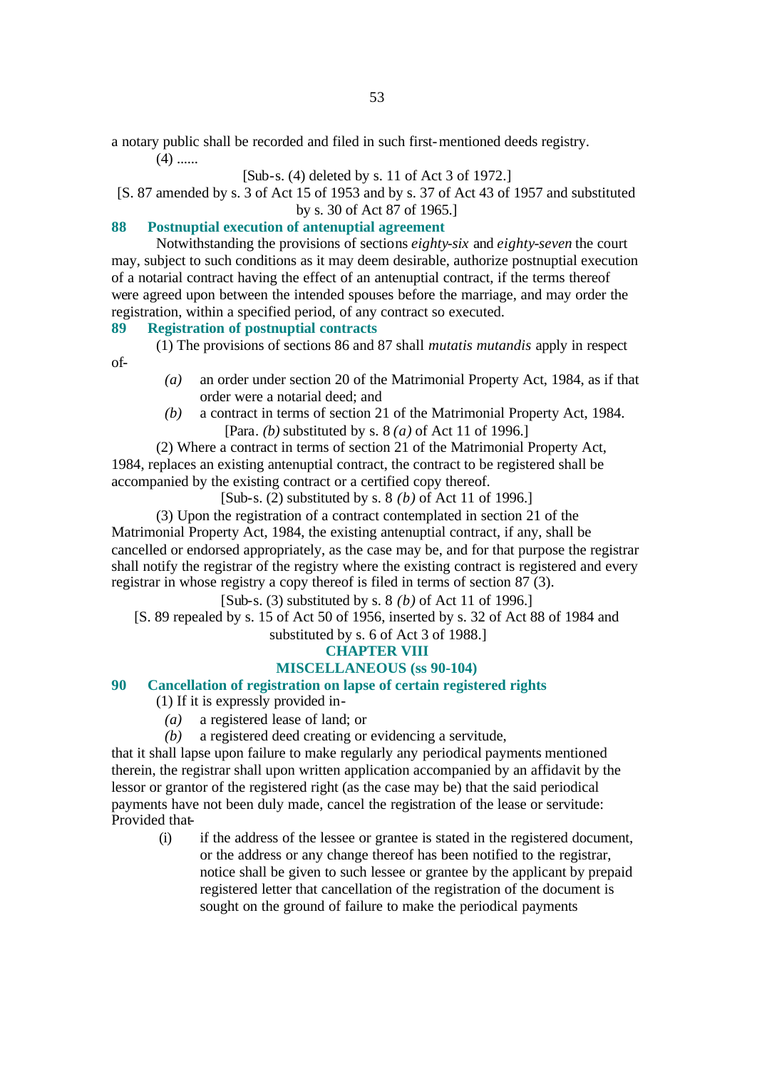a notary public shall be recorded and filed in such first-mentioned deeds registry.

 $(4)$  ......

of-

# [Sub-s. (4) deleted by s. 11 of Act 3 of 1972.]

[S. 87 amended by s. 3 of Act 15 of 1953 and by s. 37 of Act 43 of 1957 and substituted by s. 30 of Act 87 of 1965.]

# **88 Postnuptial execution of antenuptial agreement**

Notwithstanding the provisions of sections *eighty-six* and *eighty-seven* the court may, subject to such conditions as it may deem desirable, authorize postnuptial execution of a notarial contract having the effect of an antenuptial contract, if the terms thereof were agreed upon between the intended spouses before the marriage, and may order the registration, within a specified period, of any contract so executed.

# **89 Registration of postnuptial contracts**

(1) The provisions of sections 86 and 87 shall *mutatis mutandis* apply in respect

- *(a)* an order under section 20 of the Matrimonial Property Act, 1984, as if that order were a notarial deed; and
- *(b)* a contract in terms of section 21 of the Matrimonial Property Act, 1984. [Para. *(b)* substituted by s. 8 *(a)* of Act 11 of 1996.]

(2) Where a contract in terms of section 21 of the Matrimonial Property Act, 1984, replaces an existing antenuptial contract, the contract to be registered shall be accompanied by the existing contract or a certified copy thereof.

[Sub-s. (2) substituted by s. 8 *(b)* of Act 11 of 1996.]

(3) Upon the registration of a contract contemplated in section 21 of the Matrimonial Property Act, 1984, the existing antenuptial contract, if any, shall be cancelled or endorsed appropriately, as the case may be, and for that purpose the registrar shall notify the registrar of the registry where the existing contract is registered and every registrar in whose registry a copy thereof is filed in terms of section 87 (3).

[Sub-s. (3) substituted by s. 8 *(b)* of Act 11 of 1996.]

[S. 89 repealed by s. 15 of Act 50 of 1956, inserted by s. 32 of Act 88 of 1984 and substituted by s. 6 of Act 3 of 1988.]

# **CHAPTER VIII**

# **MISCELLANEOUS (ss 90-104)**

# **90 Cancellation of registration on lapse of certain registered rights**

(1) If it is expressly provided in-

- *(a)* a registered lease of land; or
- *(b)* a registered deed creating or evidencing a servitude,

that it shall lapse upon failure to make regularly any periodical payments mentioned therein, the registrar shall upon written application accompanied by an affidavit by the lessor or grantor of the registered right (as the case may be) that the said periodical payments have not been duly made, cancel the registration of the lease or servitude: Provided that-

(i) if the address of the lessee or grantee is stated in the registered document, or the address or any change thereof has been notified to the registrar, notice shall be given to such lessee or grantee by the applicant by prepaid registered letter that cancellation of the registration of the document is sought on the ground of failure to make the periodical payments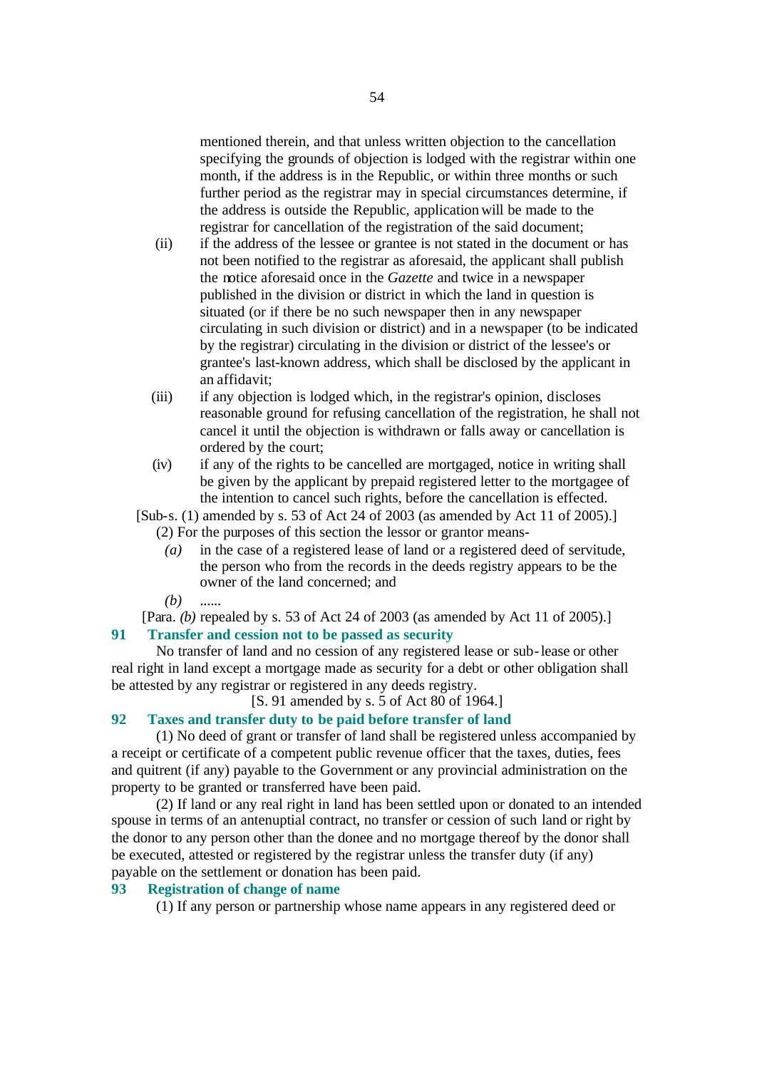mentioned therein, and that unless written objection to the cancellation specifying the grounds of objection is lodged with the registrar within one month, if the address is in the Republic, or within three months or such further period as the registrar may in special circumstances determine, if the address is outside the Republic, application will be made to the registrar for cancellation of the registration of the said document;

- (ii) if the address of the lessee or grantee is not stated in the document or has not been notified to the registrar as aforesaid, the applicant shall publish the notice aforesaid once in the *Gazette* and twice in a newspaper published in the division or district in which the land in question is situated (or if there be no such newspaper then in any newspaper circulating in such division or district) and in a newspaper (to be indicated by the registrar) circulating in the division or district of the lessee's or grantee's last-known address, which shall be disclosed by the applicant in an affidavit;
- (iii) if any objection is lodged which, in the registrar's opinion, discloses reasonable ground for refusing cancellation of the registration, he shall not cancel it until the objection is withdrawn or falls away or cancellation is ordered by the court;
- (iv) if any of the rights to be cancelled are mortgaged, notice in writing shall be given by the applicant by prepaid registered letter to the mortgagee of the intention to cancel such rights, before the cancellation is effected.
- [Sub-s. (1) amended by s. 53 of Act 24 of 2003 (as amended by Act 11 of 2005).] (2) For the purposes of this section the lessor or grantor means-
	- *(a)* in the case of a registered lease of land or a registered deed of servitude, the person who from the records in the deeds registry appears to be the owner of the land concerned; and

*(b)* ......

[Para. *(b)* repealed by s. 53 of Act 24 of 2003 (as amended by Act 11 of 2005).] **91 Transfer and cession not to be passed as security**

No transfer of land and no cession of any registered lease or sub-lease or other real right in land except a mortgage made as security for a debt or other obligation shall be attested by any registrar or registered in any deeds registry.

[S. 91 amended by s. 5 of Act 80 of 1964.]

# **92 Taxes and transfer duty to be paid before transfer of land**

(1) No deed of grant or transfer of land shall be registered unless accompanied by a receipt or certificate of a competent public revenue officer that the taxes, duties, fees and quitrent (if any) payable to the Government or any provincial administration on the property to be granted or transferred have been paid.

(2) If land or any real right in land has been settled upon or donated to an intended spouse in terms of an antenuptial contract, no transfer or cession of such land or right by the donor to any person other than the donee and no mortgage thereof by the donor shall be executed, attested or registered by the registrar unless the transfer duty (if any) payable on the settlement or donation has been paid.

# **93 Registration of change of name**

(1) If any person or partnership whose name appears in any registered deed or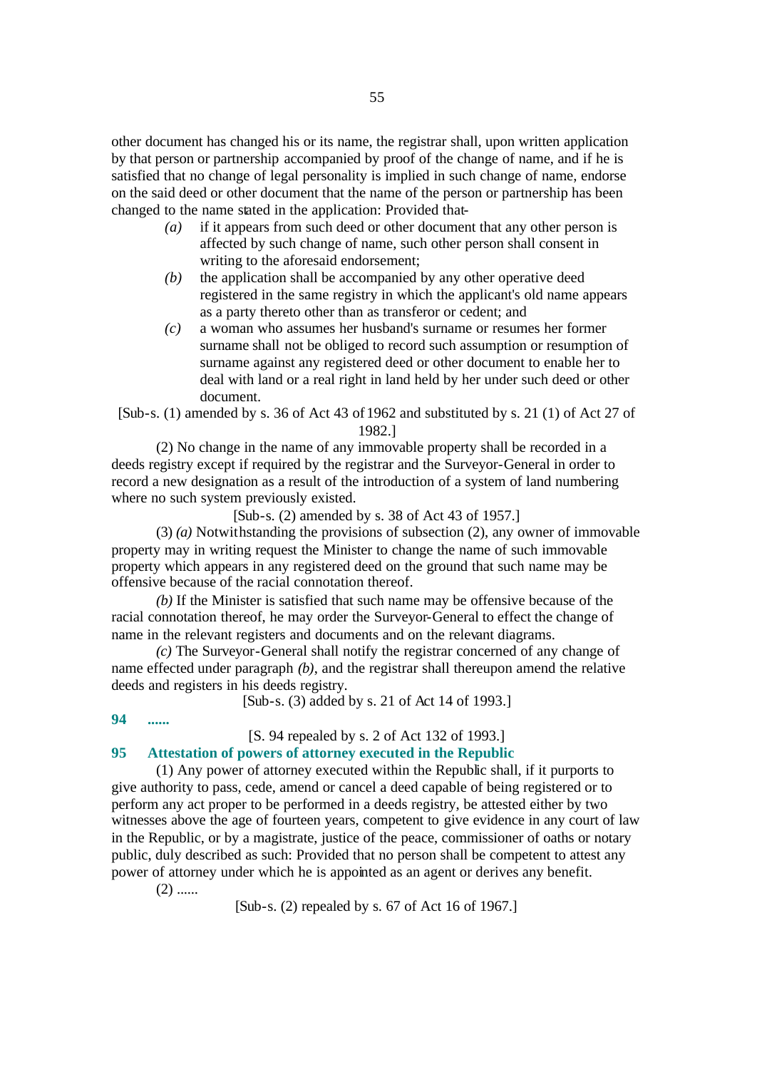other document has changed his or its name, the registrar shall, upon written application by that person or partnership accompanied by proof of the change of name, and if he is satisfied that no change of legal personality is implied in such change of name, endorse on the said deed or other document that the name of the person or partnership has been changed to the name stated in the application: Provided that-

- *(a)* if it appears from such deed or other document that any other person is affected by such change of name, such other person shall consent in writing to the aforesaid endorsement;
- *(b)* the application shall be accompanied by any other operative deed registered in the same registry in which the applicant's old name appears as a party thereto other than as transferor or cedent; and
- *(c)* a woman who assumes her husband's surname or resumes her former surname shall not be obliged to record such assumption or resumption of surname against any registered deed or other document to enable her to deal with land or a real right in land held by her under such deed or other document.

[Sub-s. (1) amended by s. 36 of Act 43 of 1962 and substituted by s. 21 (1) of Act 27 of 1982.]

(2) No change in the name of any immovable property shall be recorded in a deeds registry except if required by the registrar and the Surveyor-General in order to record a new designation as a result of the introduction of a system of land numbering where no such system previously existed.

[Sub-s. (2) amended by s. 38 of Act 43 of 1957.]

(3) *(a)* Notwithstanding the provisions of subsection (2), any owner of immovable property may in writing request the Minister to change the name of such immovable property which appears in any registered deed on the ground that such name may be offensive because of the racial connotation thereof.

*(b)* If the Minister is satisfied that such name may be offensive because of the racial connotation thereof, he may order the Surveyor-General to effect the change of name in the relevant registers and documents and on the relevant diagrams.

*(c)* The Surveyor-General shall notify the registrar concerned of any change of name effected under paragraph *(b)*, and the registrar shall thereupon amend the relative deeds and registers in his deeds registry.

[Sub-s. (3) added by s. 21 of Act 14 of 1993.]

# **94 ......**

[S. 94 repealed by s. 2 of Act 132 of 1993.]

#### **95 Attestation of powers of attorney executed in the Republic**

(1) Any power of attorney executed within the Republic shall, if it purports to give authority to pass, cede, amend or cancel a deed capable of being registered or to perform any act proper to be performed in a deeds registry, be attested either by two witnesses above the age of fourteen years, competent to give evidence in any court of law in the Republic, or by a magistrate, justice of the peace, commissioner of oaths or notary public, duly described as such: Provided that no person shall be competent to attest any power of attorney under which he is appointed as an agent or derives any benefit.

 $(2)$  ......

[Sub-s. (2) repealed by s. 67 of Act 16 of 1967.]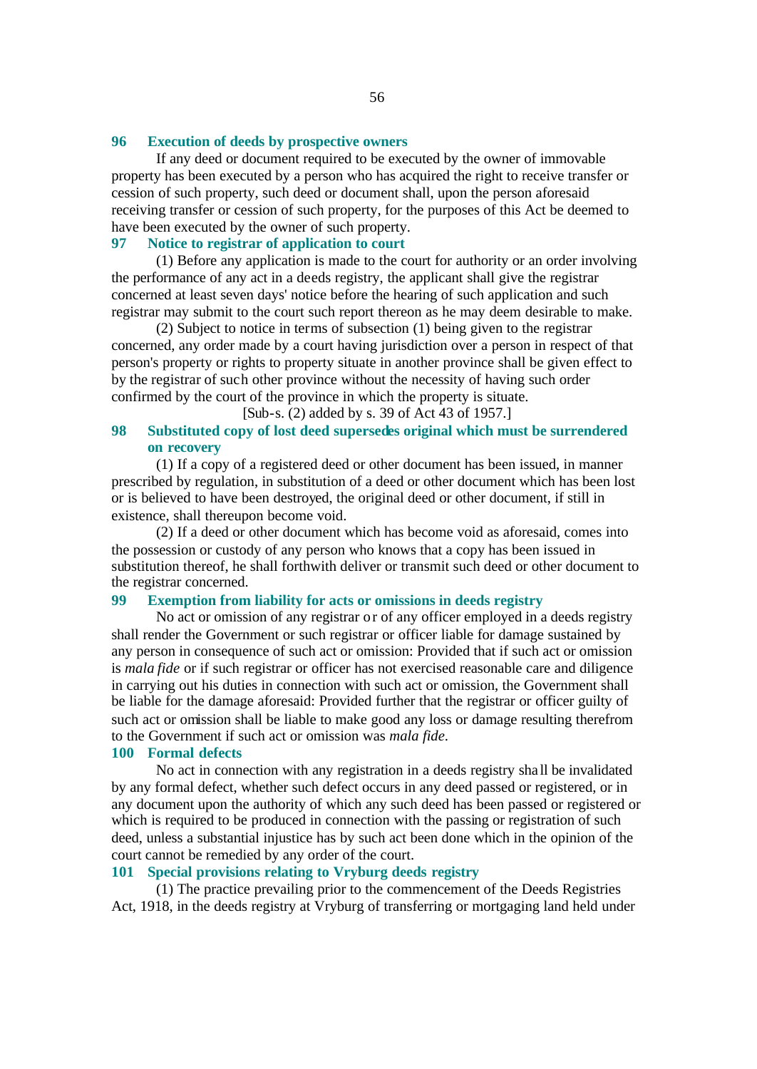#### **96 Execution of deeds by prospective owners**

If any deed or document required to be executed by the owner of immovable property has been executed by a person who has acquired the right to receive transfer or cession of such property, such deed or document shall, upon the person aforesaid receiving transfer or cession of such property, for the purposes of this Act be deemed to have been executed by the owner of such property.

# **97 Notice to registrar of application to court**

(1) Before any application is made to the court for authority or an order involving the performance of any act in a deeds registry, the applicant shall give the registrar concerned at least seven days' notice before the hearing of such application and such registrar may submit to the court such report thereon as he may deem desirable to make.

(2) Subject to notice in terms of subsection (1) being given to the registrar concerned, any order made by a court having jurisdiction over a person in respect of that person's property or rights to property situate in another province shall be given effect to by the registrar of such other province without the necessity of having such order confirmed by the court of the province in which the property is situate.

[Sub-s. (2) added by s. 39 of Act 43 of 1957.]

## **98 Substituted copy of lost deed supersedes original which must be surrendered on recovery**

(1) If a copy of a registered deed or other document has been issued, in manner prescribed by regulation, in substitution of a deed or other document which has been lost or is believed to have been destroyed, the original deed or other document, if still in existence, shall thereupon become void.

(2) If a deed or other document which has become void as aforesaid, comes into the possession or custody of any person who knows that a copy has been issued in substitution thereof, he shall forthwith deliver or transmit such deed or other document to the registrar concerned.

#### **99 Exemption from liability for acts or omissions in deeds registry**

No act or omission of any registrar or of any officer employed in a deeds registry shall render the Government or such registrar or officer liable for damage sustained by any person in consequence of such act or omission: Provided that if such act or omission is *mala fide* or if such registrar or officer has not exercised reasonable care and diligence in carrying out his duties in connection with such act or omission, the Government shall be liable for the damage aforesaid: Provided further that the registrar or officer guilty of such act or omission shall be liable to make good any loss or damage resulting therefrom to the Government if such act or omission was *mala fide*.

#### **100 Formal defects**

No act in connection with any registration in a deeds registry sha ll be invalidated by any formal defect, whether such defect occurs in any deed passed or registered, or in any document upon the authority of which any such deed has been passed or registered or which is required to be produced in connection with the passing or registration of such deed, unless a substantial injustice has by such act been done which in the opinion of the court cannot be remedied by any order of the court.

# **101 Special provisions relating to Vryburg deeds registry**

(1) The practice prevailing prior to the commencement of the Deeds Registries Act, 1918, in the deeds registry at Vryburg of transferring or mortgaging land held under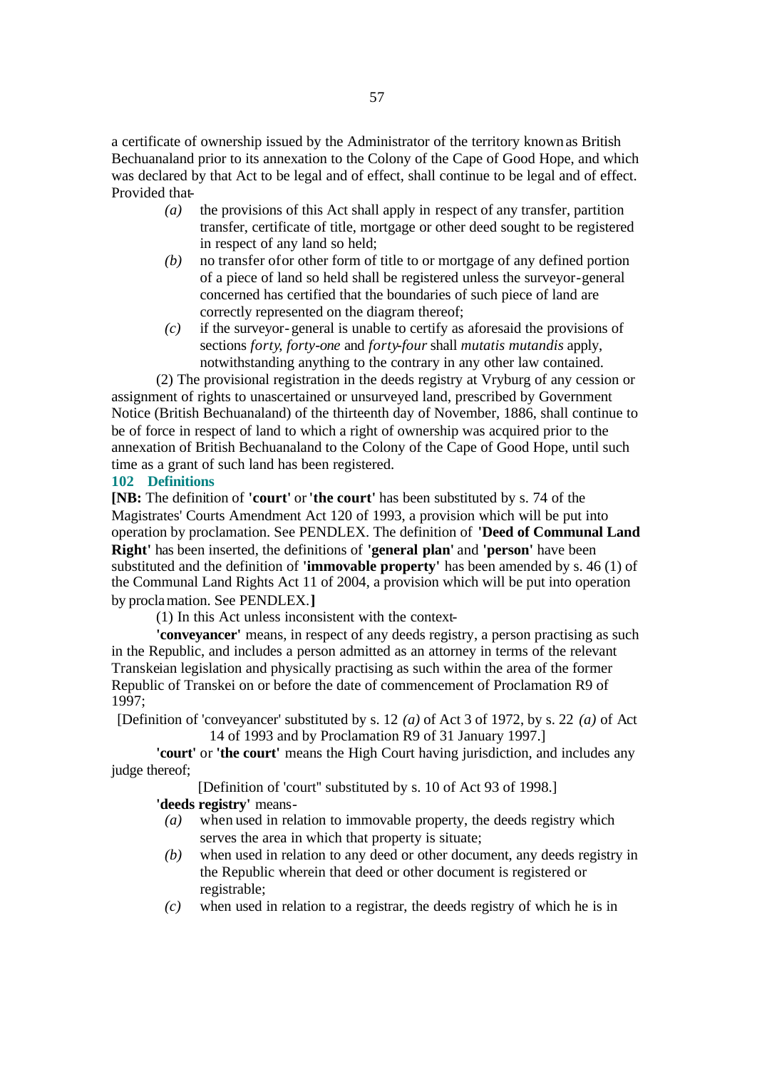a certificate of ownership issued by the Administrator of the territory known as British Bechuanaland prior to its annexation to the Colony of the Cape of Good Hope, and which was declared by that Act to be legal and of effect, shall continue to be legal and of effect. Provided that-

- *(a)* the provisions of this Act shall apply in respect of any transfer, partition transfer, certificate of title, mortgage or other deed sought to be registered in respect of any land so held;
- *(b)* no transfer of or other form of title to or mortgage of any defined portion of a piece of land so held shall be registered unless the surveyor-general concerned has certified that the boundaries of such piece of land are correctly represented on the diagram thereof;
- *(c)* if the surveyor-general is unable to certify as aforesaid the provisions of sections *forty*, *forty-one* and *forty-four* shall *mutatis mutandis* apply, notwithstanding anything to the contrary in any other law contained.

(2) The provisional registration in the deeds registry at Vryburg of any cession or assignment of rights to unascertained or unsurveyed land, prescribed by Government Notice (British Bechuanaland) of the thirteenth day of November, 1886, shall continue to be of force in respect of land to which a right of ownership was acquired prior to the annexation of British Bechuanaland to the Colony of the Cape of Good Hope, until such time as a grant of such land has been registered.

#### **102 Definitions**

**[NB:** The definition of **'court'** or **'the court'** has been substituted by s. 74 of the Magistrates' Courts Amendment Act 120 of 1993, a provision which will be put into operation by proclamation. See PENDLEX. The definition of **'Deed of Communal Land Right'** has been inserted, the definitions of **'general plan'** and **'person'** have been substituted and the definition of **'immovable property'** has been amended by s. 46 (1) of the Communal Land Rights Act 11 of 2004, a provision which will be put into operation by proclamation. See PENDLEX.**]**

(1) In this Act unless inconsistent with the context-

**'conveyancer'** means, in respect of any deeds registry, a person practising as such in the Republic, and includes a person admitted as an attorney in terms of the relevant Transkeian legislation and physically practising as such within the area of the former Republic of Transkei on or before the date of commencement of Proclamation R9 of 1997;

[Definition of 'conveyancer' substituted by s. 12 *(a)* of Act 3 of 1972, by s. 22 *(a)* of Act 14 of 1993 and by Proclamation R9 of 31 January 1997.]

**'court'** or **'the court'** means the High Court having jurisdiction, and includes any judge thereof;

[Definition of 'court'' substituted by s. 10 of Act 93 of 1998.]

**'deeds registry'** means-

- *(a)* when used in relation to immovable property, the deeds registry which serves the area in which that property is situate;
- *(b)* when used in relation to any deed or other document, any deeds registry in the Republic wherein that deed or other document is registered or registrable;
- *(c)* when used in relation to a registrar, the deeds registry of which he is in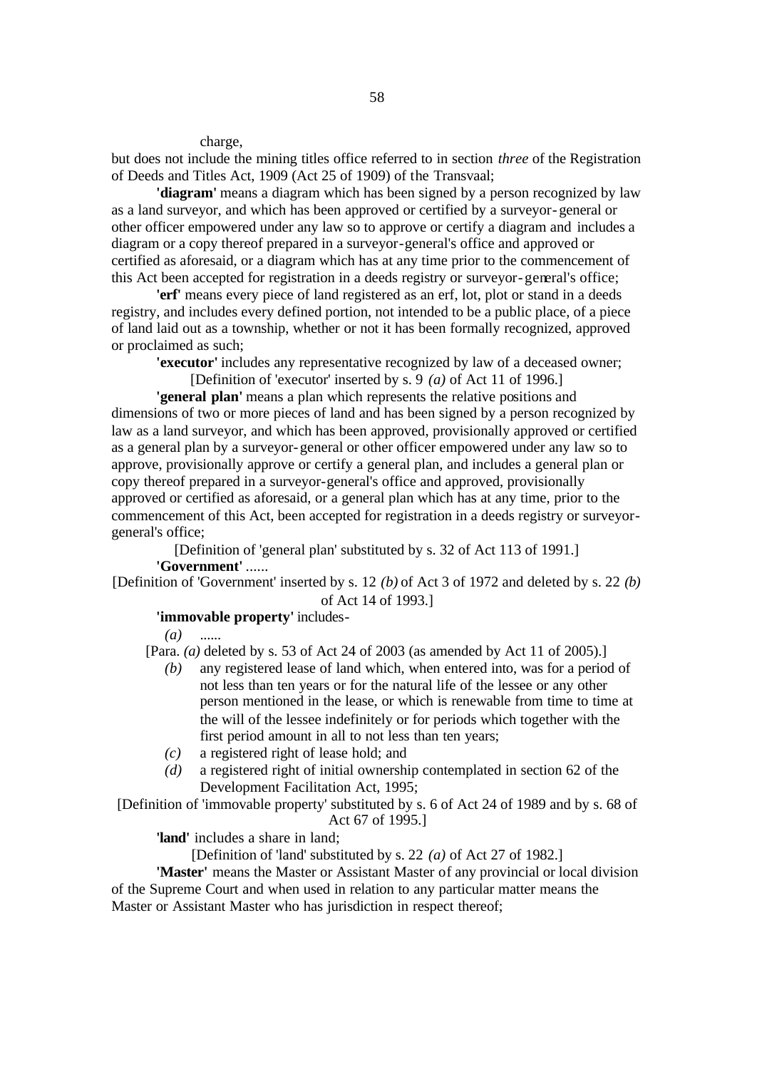#### charge,

but does not include the mining titles office referred to in section *three* of the Registration of Deeds and Titles Act, 1909 (Act 25 of 1909) of the Transvaal;

**'diagram'** means a diagram which has been signed by a person recognized by law as a land surveyor, and which has been approved or certified by a surveyor-general or other officer empowered under any law so to approve or certify a diagram and includes a diagram or a copy thereof prepared in a surveyor-general's office and approved or certified as aforesaid, or a diagram which has at any time prior to the commencement of this Act been accepted for registration in a deeds registry or surveyor-general's office;

**'erf'** means every piece of land registered as an erf, lot, plot or stand in a deeds registry, and includes every defined portion, not intended to be a public place, of a piece of land laid out as a township, whether or not it has been formally recognized, approved or proclaimed as such;

**'executor'** includes any representative recognized by law of a deceased owner;

[Definition of 'executor' inserted by s. 9 *(a)* of Act 11 of 1996.]

**'general plan'** means a plan which represents the relative positions and dimensions of two or more pieces of land and has been signed by a person recognized by law as a land surveyor, and which has been approved, provisionally approved or certified as a general plan by a surveyor-general or other officer empowered under any law so to approve, provisionally approve or certify a general plan, and includes a general plan or copy thereof prepared in a surveyor-general's office and approved, provisionally approved or certified as aforesaid, or a general plan which has at any time, prior to the commencement of this Act, been accepted for registration in a deeds registry or surveyorgeneral's office;

[Definition of 'general plan' substituted by s. 32 of Act 113 of 1991.] **'Government'** ......

[Definition of 'Government' inserted by s. 12 *(b)* of Act 3 of 1972 and deleted by s. 22 *(b)* of Act 14 of 1993.]

#### **'immovable property'** includes-

*(a)* ......

[Para. *(a)* deleted by s. 53 of Act 24 of 2003 (as amended by Act 11 of 2005).]

- *(b)* any registered lease of land which, when entered into, was for a period of not less than ten years or for the natural life of the lessee or any other person mentioned in the lease, or which is renewable from time to time at the will of the lessee indefinitely or for periods which together with the first period amount in all to not less than ten years;
- *(c)* a registered right of lease hold; and
- *(d)* a registered right of initial ownership contemplated in section 62 of the Development Facilitation Act, 1995;

[Definition of 'immovable property' substituted by s. 6 of Act 24 of 1989 and by s. 68 of Act 67 of 1995.]

**'land'** includes a share in land;

[Definition of 'land' substituted by s. 22 *(a)* of Act 27 of 1982.]

**'Master'** means the Master or Assistant Master of any provincial or local division of the Supreme Court and when used in relation to any particular matter means the Master or Assistant Master who has jurisdiction in respect thereof;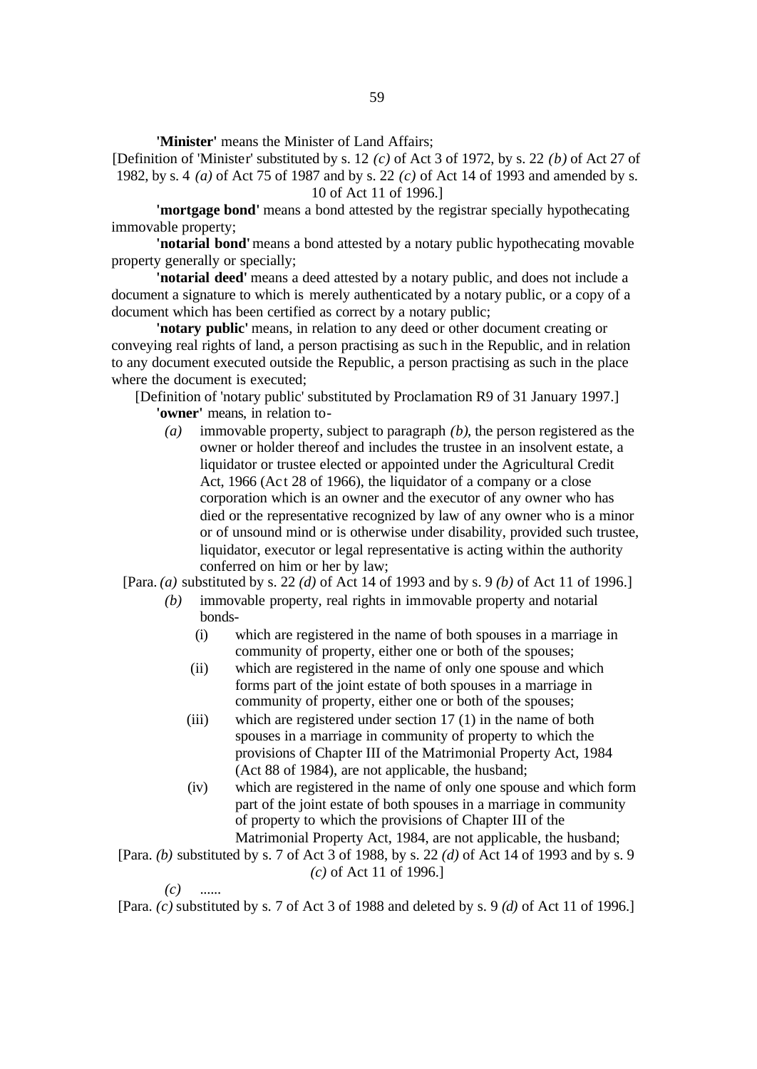**'Minister'** means the Minister of Land Affairs;

[Definition of 'Minister' substituted by s. 12 *(c)* of Act 3 of 1972, by s. 22 *(b)* of Act 27 of 1982, by s. 4 *(a)* of Act 75 of 1987 and by s. 22 *(c)* of Act 14 of 1993 and amended by s. 10 of Act 11 of 1996.]

**'mortgage bond'** means a bond attested by the registrar specially hypothecating immovable property;

**'notarial bond'** means a bond attested by a notary public hypothecating movable property generally or specially;

**'notarial deed'** means a deed attested by a notary public, and does not include a document a signature to which is merely authenticated by a notary public, or a copy of a document which has been certified as correct by a notary public;

**'notary public'** means, in relation to any deed or other document creating or conveying real rights of land, a person practising as such in the Republic, and in relation to any document executed outside the Republic, a person practising as such in the place where the document is executed;

[Definition of 'notary public' substituted by Proclamation R9 of 31 January 1997.] **'owner'** means, in relation to-

*(a)* immovable property, subject to paragraph *(b)*, the person registered as the owner or holder thereof and includes the trustee in an insolvent estate, a liquidator or trustee elected or appointed under the Agricultural Credit Act, 1966 (Ac t 28 of 1966), the liquidator of a company or a close corporation which is an owner and the executor of any owner who has died or the representative recognized by law of any owner who is a minor or of unsound mind or is otherwise under disability, provided such trustee, liquidator, executor or legal representative is acting within the authority conferred on him or her by law;

[Para. *(a)* substituted by s. 22 *(d)* of Act 14 of 1993 and by s. 9 *(b)* of Act 11 of 1996.]

- *(b)* immovable property, real rights in immovable property and notarial bonds-
	- (i) which are registered in the name of both spouses in a marriage in community of property, either one or both of the spouses;
	- (ii) which are registered in the name of only one spouse and which forms part of the joint estate of both spouses in a marriage in community of property, either one or both of the spouses;
	- (iii) which are registered under section 17 (1) in the name of both spouses in a marriage in community of property to which the provisions of Chapter III of the Matrimonial Property Act, 1984 (Act 88 of 1984), are not applicable, the husband;
	- (iv) which are registered in the name of only one spouse and which form part of the joint estate of both spouses in a marriage in community of property to which the provisions of Chapter III of the Matrimonial Property Act, 1984, are not applicable, the husband;

[Para. *(b)* substituted by s. 7 of Act 3 of 1988, by s. 22 *(d)* of Act 14 of 1993 and by s. 9 *(c)* of Act 11 of 1996.]

*(c)* ......

[Para. *(c)* substituted by s. 7 of Act 3 of 1988 and deleted by s. 9 *(d)* of Act 11 of 1996.]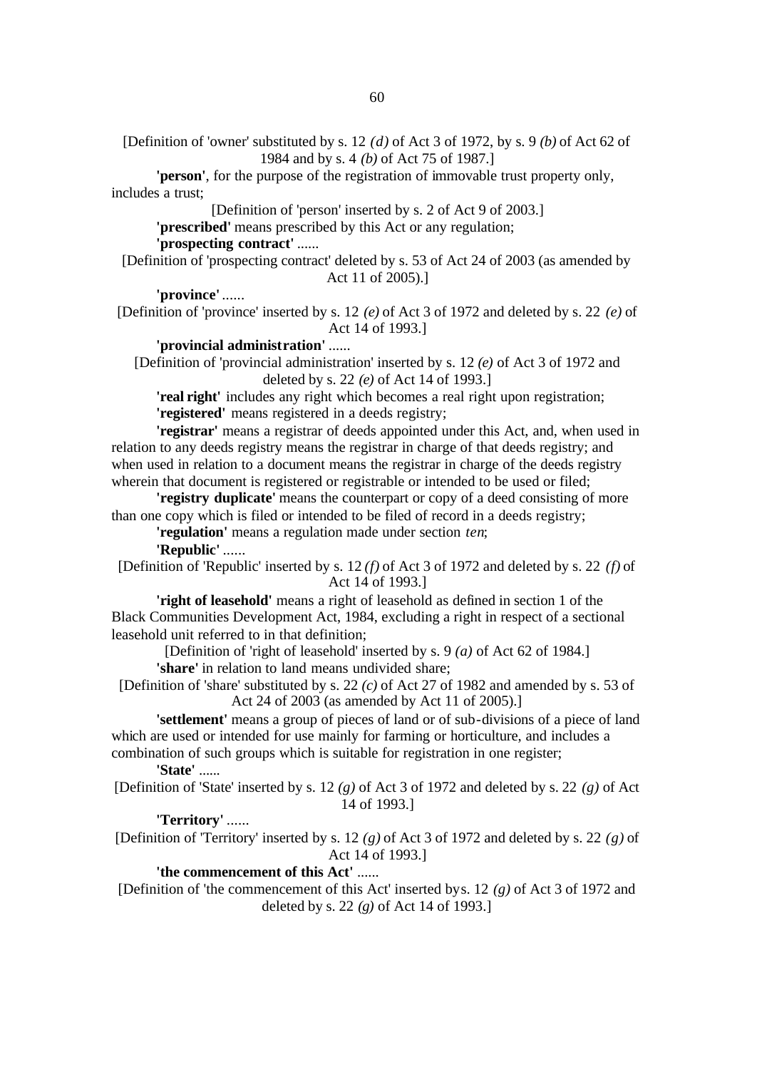[Definition of 'owner' substituted by s. 12 *(d)* of Act 3 of 1972, by s. 9 *(b)* of Act 62 of 1984 and by s. 4 *(b)* of Act 75 of 1987.]

**'person'**, for the purpose of the registration of immovable trust property only, includes a trust;

[Definition of 'person' inserted by s. 2 of Act 9 of 2003.] **'prescribed'** means prescribed by this Act or any regulation; **'prospecting contract'** ......

[Definition of 'prospecting contract' deleted by s. 53 of Act 24 of 2003 (as amended by Act 11 of 2005).]

**'province'** ......

[Definition of 'province' inserted by s. 12 *(e)* of Act 3 of 1972 and deleted by s. 22 *(e)* of Act 14 of 1993.]

**'provincial administration'** ......

[Definition of 'provincial administration' inserted by s. 12 *(e)* of Act 3 of 1972 and deleted by s. 22 *(e)* of Act 14 of 1993.]

**'real right'** includes any right which becomes a real right upon registration; **'registered'** means registered in a deeds registry;

**'registrar'** means a registrar of deeds appointed under this Act, and, when used in relation to any deeds registry means the registrar in charge of that deeds registry; and when used in relation to a document means the registrar in charge of the deeds registry wherein that document is registered or registrable or intended to be used or filed;

**'registry duplicate'** means the counterpart or copy of a deed consisting of more than one copy which is filed or intended to be filed of record in a deeds registry;

**'regulation'** means a regulation made under section *ten*;

**'Republic'** ......

[Definition of 'Republic' inserted by s. 12 *(f)* of Act 3 of 1972 and deleted by s. 22 *(f)* of Act 14 of 1993.]

**'right of leasehold'** means a right of leasehold as defined in section 1 of the Black Communities Development Act, 1984, excluding a right in respect of a sectional leasehold unit referred to in that definition;

[Definition of 'right of leasehold' inserted by s. 9 *(a)* of Act 62 of 1984.] **'share'** in relation to land means undivided share;

[Definition of 'share' substituted by s. 22 *(c)* of Act 27 of 1982 and amended by s. 53 of Act 24 of 2003 (as amended by Act 11 of 2005).]

**'settlement'** means a group of pieces of land or of sub-divisions of a piece of land which are used or intended for use mainly for farming or horticulture, and includes a combination of such groups which is suitable for registration in one register;

**'State'** ......

[Definition of 'State' inserted by s. 12 *(g)* of Act 3 of 1972 and deleted by s. 22 *(g)* of Act 14 of 1993.]

# **'Territory'** ......

[Definition of 'Territory' inserted by s. 12 *(g)* of Act 3 of 1972 and deleted by s. 22 *(g)* of Act 14 of 1993.]

### **'the commencement of this Act'** ......

[Definition of 'the commencement of this Act' inserted by s. 12 *(g)* of Act 3 of 1972 and deleted by s. 22 *(g)* of Act 14 of 1993.]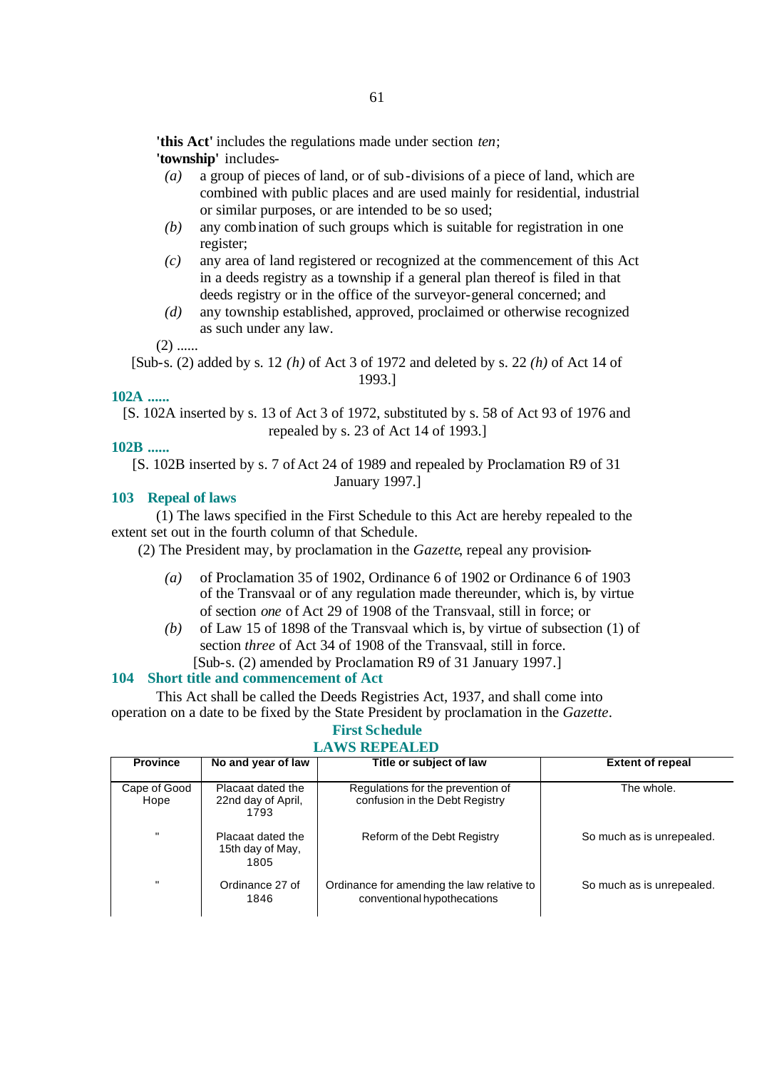**'this Act'** includes the regulations made under section *ten*; **'township'** includes-

- *(a)* a group of pieces of land, or of sub-divisions of a piece of land, which are combined with public places and are used mainly for residential, industrial or similar purposes, or are intended to be so used;
- *(b)* any combination of such groups which is suitable for registration in one register;
- *(c)* any area of land registered or recognized at the commencement of this Act in a deeds registry as a township if a general plan thereof is filed in that deeds registry or in the office of the surveyor-general concerned; and
- *(d)* any township established, approved, proclaimed or otherwise recognized as such under any law.

 $(2)$  ......

[Sub-s. (2) added by s. 12 *(h)* of Act 3 of 1972 and deleted by s. 22 *(h)* of Act 14 of 1993.]

## **102A ......**

[S. 102A inserted by s. 13 of Act 3 of 1972, substituted by s. 58 of Act 93 of 1976 and repealed by s. 23 of Act 14 of 1993.]

## **102B ......**

[S. 102B inserted by s. 7 of Act 24 of 1989 and repealed by Proclamation R9 of 31 January 1997.]

# **103 Repeal of laws**

(1) The laws specified in the First Schedule to this Act are hereby repealed to the extent set out in the fourth column of that Schedule.

(2) The President may, by proclamation in the *Gazette*, repeal any provision-

- *(a)* of Proclamation 35 of 1902, Ordinance 6 of 1902 or Ordinance 6 of 1903 of the Transvaal or of any regulation made thereunder, which is, by virtue of section *one* of Act 29 of 1908 of the Transvaal, still in force; or
- *(b)* of Law 15 of 1898 of the Transvaal which is, by virtue of subsection (1) of section *three* of Act 34 of 1908 of the Transvaal, still in force. [Sub-s. (2) amended by Proclamation R9 of 31 January 1997.]

#### **104 Short title and commencement of Act**

This Act shall be called the Deeds Registries Act, 1937, and shall come into operation on a date to be fixed by the State President by proclamation in the *Gazette*.

#### **First Schedule LAWS REPEALED**

| <b>Province</b>      | No and year of law                              | Title or subject of law                                                   | <b>Extent of repeal</b>   |  |  |
|----------------------|-------------------------------------------------|---------------------------------------------------------------------------|---------------------------|--|--|
| Cape of Good<br>Hope | Placaat dated the<br>22nd day of April,<br>1793 | Regulations for the prevention of<br>confusion in the Debt Registry       | The whole.                |  |  |
| $\mathbf{u}$         | Placaat dated the<br>15th day of May,<br>1805   | Reform of the Debt Registry                                               | So much as is unrepealed. |  |  |
| $\mathbf{u}$         | Ordinance 27 of<br>1846                         | Ordinance for amending the law relative to<br>conventional hypothecations | So much as is unrepealed. |  |  |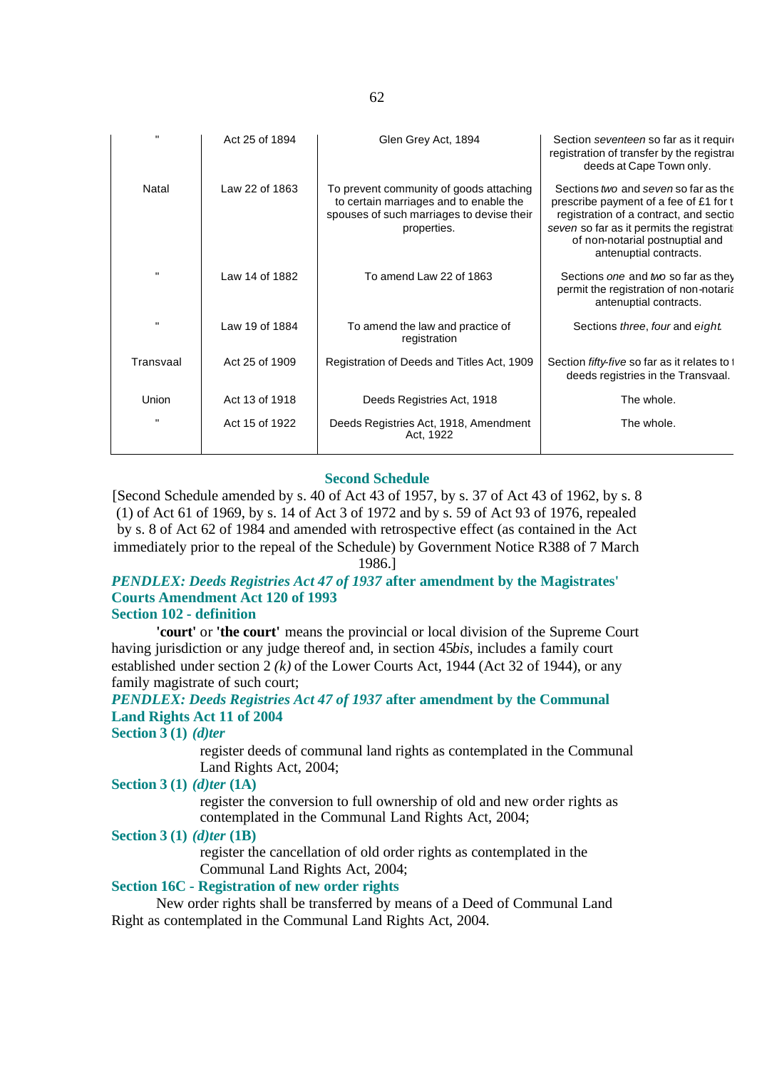| $\mathbf{u}$ | Act 25 of 1894 | Glen Grey Act, 1894                                                                                                                           | Section seventeen so far as it require<br>registration of transfer by the registral<br>deeds at Cape Town only.                                                                                                                   |
|--------------|----------------|-----------------------------------------------------------------------------------------------------------------------------------------------|-----------------------------------------------------------------------------------------------------------------------------------------------------------------------------------------------------------------------------------|
| Natal        | Law 22 of 1863 | To prevent community of goods attaching<br>to certain marriages and to enable the<br>spouses of such marriages to devise their<br>properties. | Sections two and seven so far as the<br>prescribe payment of a fee of £1 for t<br>registration of a contract, and sectio<br>seven so far as it permits the registrat<br>of non-notarial postnuptial and<br>antenuptial contracts. |
| $\mathbf{u}$ | Law 14 of 1882 | To amend Law 22 of 1863                                                                                                                       | Sections one and two so far as they<br>permit the registration of non-notaria<br>antenuptial contracts.                                                                                                                           |
| $\mathbf{u}$ | Law 19 of 1884 | To amend the law and practice of<br>registration                                                                                              | Sections three, four and eight                                                                                                                                                                                                    |
| Transvaal    | Act 25 of 1909 | Registration of Deeds and Titles Act, 1909                                                                                                    | Section fifty-five so far as it relates to t<br>deeds registries in the Transvaal.                                                                                                                                                |
| <b>Union</b> | Act 13 of 1918 | Deeds Registries Act, 1918                                                                                                                    | The whole.                                                                                                                                                                                                                        |
| $\mathbf{u}$ | Act 15 of 1922 | Deeds Registries Act, 1918, Amendment<br>Act, 1922                                                                                            | The whole.                                                                                                                                                                                                                        |

#### **Second Schedule**

[Second Schedule amended by s. 40 of Act 43 of 1957, by s. 37 of Act 43 of 1962, by s. 8 (1) of Act 61 of 1969, by s. 14 of Act 3 of 1972 and by s. 59 of Act 93 of 1976, repealed by s. 8 of Act 62 of 1984 and amended with retrospective effect (as contained in the Act immediately prior to the repeal of the Schedule) by Government Notice R388 of 7 March 1986.]

#### *PENDLEX: Deeds Registries Act 47 of 1937* **after amendment by the Magistrates' Courts Amendment Act 120 of 1993 Section 102 - definition**

**'court'** or **'the court'** means the provincial or local division of the Supreme Court having jurisdiction or any judge thereof and, in section 45*bis*, includes a family court established under section 2 *(k)* of the Lower Courts Act, 1944 (Act 32 of 1944), or any family magistrate of such court;

# *PENDLEX: Deeds Registries Act 47 of 1937* **after amendment by the Communal Land Rights Act 11 of 2004**

**Section 3 (1)** *(d)ter*

register deeds of communal land rights as contemplated in the Communal Land Rights Act, 2004;

#### **Section 3 (1)** *(d)ter* **(1A)**

register the conversion to full ownership of old and new order rights as contemplated in the Communal Land Rights Act, 2004;

#### **Section 3 (1)** *(d)ter* **(1B)**

register the cancellation of old order rights as contemplated in the Communal Land Rights Act, 2004;

#### **Section 16C - Registration of new order rights**

New order rights shall be transferred by means of a Deed of Communal Land Right as contemplated in the Communal Land Rights Act, 2004.